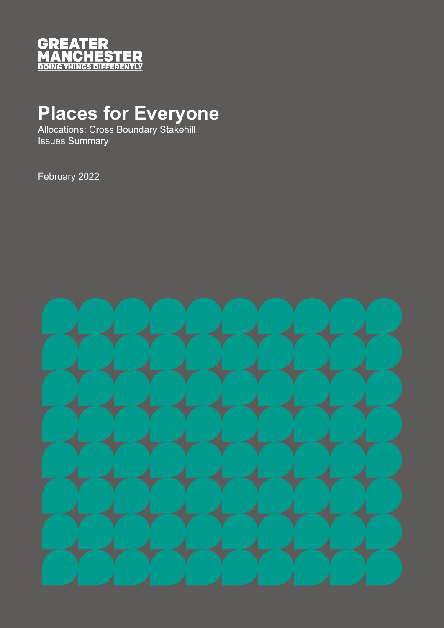

# **Places for Everyone**

Allocations: Cross Boundary Stakehill Issues Summary

February 2022

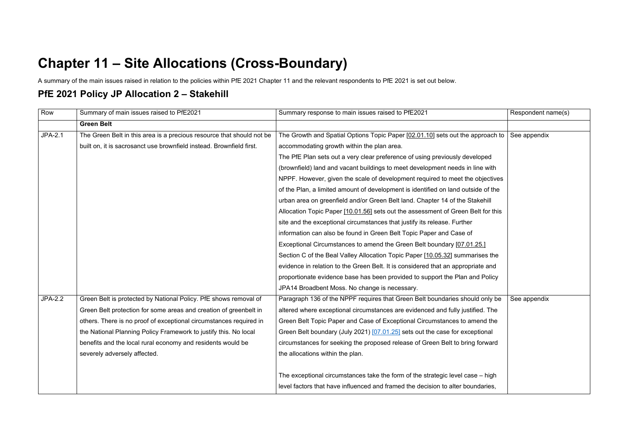## **Chapter 11 – Site Allocations (Cross-Boundary)**

A summary of the main issues raised in relation to the policies within PfE 2021 Chapter 11 and the relevant respondents to PfE 2021 is set out below.

#### **PfE 2021 Policy JP Allocation 2 – Stakehill**

| Row            | Summary of main issues raised to PfE2021                              | Summary response to main issues raised to PfE2021                                 | Respondent name(s) |
|----------------|-----------------------------------------------------------------------|-----------------------------------------------------------------------------------|--------------------|
|                | <b>Green Belt</b>                                                     |                                                                                   |                    |
| <b>JPA-2.1</b> | The Green Belt in this area is a precious resource that should not be | The Growth and Spatial Options Topic Paper [02.01.10] sets out the approach to    | See appendix       |
|                | built on, it is sacrosanct use brownfield instead. Brownfield first.  | accommodating growth within the plan area.                                        |                    |
|                |                                                                       | The PfE Plan sets out a very clear preference of using previously developed       |                    |
|                |                                                                       | (brownfield) land and vacant buildings to meet development needs in line with     |                    |
|                |                                                                       | NPPF. However, given the scale of development required to meet the objectives     |                    |
|                |                                                                       | of the Plan, a limited amount of development is identified on land outside of the |                    |
|                |                                                                       | urban area on greenfield and/or Green Belt land. Chapter 14 of the Stakehill      |                    |
|                |                                                                       | Allocation Topic Paper [10.01.56] sets out the assessment of Green Belt for this  |                    |
|                |                                                                       | site and the exceptional circumstances that justify its release. Further          |                    |
|                |                                                                       | information can also be found in Green Belt Topic Paper and Case of               |                    |
|                |                                                                       | Exceptional Circumstances to amend the Green Belt boundary [07.01.25.]            |                    |
|                |                                                                       | Section C of the Beal Valley Allocation Topic Paper [10.05.32] summarises the     |                    |
|                |                                                                       | evidence in relation to the Green Belt. It is considered that an appropriate and  |                    |
|                |                                                                       | proportionate evidence base has been provided to support the Plan and Policy      |                    |
|                |                                                                       | JPA14 Broadbent Moss. No change is necessary.                                     |                    |
| <b>JPA-2.2</b> | Green Belt is protected by National Policy. PfE shows removal of      | Paragraph 136 of the NPPF requires that Green Belt boundaries should only be      | See appendix       |
|                | Green Belt protection for some areas and creation of greenbelt in     | altered where exceptional circumstances are evidenced and fully justified. The    |                    |
|                | others. There is no proof of exceptional circumstances required in    | Green Belt Topic Paper and Case of Exceptional Circumstances to amend the         |                    |
|                | the National Planning Policy Framework to justify this. No local      | Green Belt boundary (July 2021) [07.01.25] sets out the case for exceptional      |                    |
|                | benefits and the local rural economy and residents would be           | circumstances for seeking the proposed release of Green Belt to bring forward     |                    |
|                | severely adversely affected.                                          | the allocations within the plan.                                                  |                    |
|                |                                                                       |                                                                                   |                    |
|                |                                                                       | The exceptional circumstances take the form of the strategic level case – high    |                    |
|                |                                                                       | level factors that have influenced and framed the decision to alter boundaries,   |                    |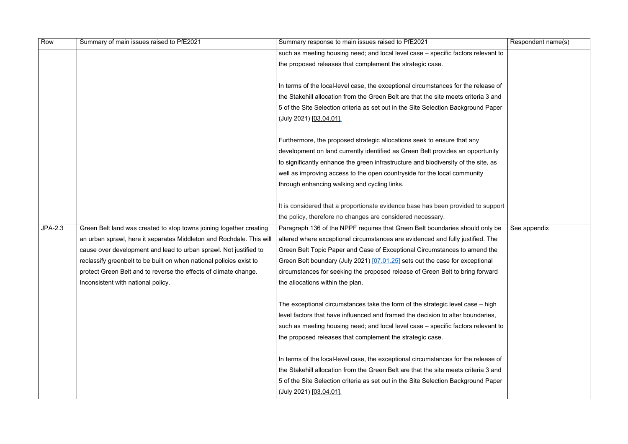| such as meeting housing need; and local level case - specific factors relevant to<br>the proposed releases that complement the strategic case.<br>In terms of the local-level case, the exceptional circumstances for the release of<br>the Stakehill allocation from the Green Belt are that the site meets criteria 3 and<br>5 of the Site Selection criteria as set out in the Site Selection Background Paper<br>(July 2021) [03.04.01].<br>Furthermore, the proposed strategic allocations seek to ensure that any<br>development on land currently identified as Green Belt provides an opportunity<br>to significantly enhance the green infrastructure and biodiversity of the site, as<br>well as improving access to the open countryside for the local community<br>through enhancing walking and cycling links.<br>It is considered that a proportionate evidence base has been provided to support<br>the policy, therefore no changes are considered necessary.<br><b>JPA-2.3</b><br>Green Belt land was created to stop towns joining together creating<br>Paragraph 136 of the NPPF requires that Green Belt boundaries should only be<br>See appendix<br>an urban sprawl, here it separates Middleton and Rochdale. This will<br>altered where exceptional circumstances are evidenced and fully justified. The<br>cause over development and lead to urban sprawl. Not justified to<br>Green Belt Topic Paper and Case of Exceptional Circumstances to amend the<br>reclassify greenbelt to be built on when national policies exist to<br>Green Belt boundary (July 2021) [07.01.25] sets out the case for exceptional<br>circumstances for seeking the proposed release of Green Belt to bring forward<br>protect Green Belt and to reverse the effects of climate change.<br>the allocations within the plan.<br>Inconsistent with national policy.<br>The exceptional circumstances take the form of the strategic level case – high<br>level factors that have influenced and framed the decision to alter boundaries,<br>such as meeting housing need; and local level case – specific factors relevant to<br>the proposed releases that complement the strategic case.<br>In terms of the local-level case, the exceptional circumstances for the release of<br>the Stakehill allocation from the Green Belt are that the site meets criteria 3 and | Row | Summary of main issues raised to PfE2021 | Summary response to main issues raised to PfE2021                                  | Respondent name(s) |
|------------------------------------------------------------------------------------------------------------------------------------------------------------------------------------------------------------------------------------------------------------------------------------------------------------------------------------------------------------------------------------------------------------------------------------------------------------------------------------------------------------------------------------------------------------------------------------------------------------------------------------------------------------------------------------------------------------------------------------------------------------------------------------------------------------------------------------------------------------------------------------------------------------------------------------------------------------------------------------------------------------------------------------------------------------------------------------------------------------------------------------------------------------------------------------------------------------------------------------------------------------------------------------------------------------------------------------------------------------------------------------------------------------------------------------------------------------------------------------------------------------------------------------------------------------------------------------------------------------------------------------------------------------------------------------------------------------------------------------------------------------------------------------------------------------------------------------------------------------------------------------------------------------------------------------------------------------------------------------------------------------------------------------------------------------------------------------------------------------------------------------------------------------------------------------------------------------------------------------------------------------------------------------------------------------------------------------------------------------------------------|-----|------------------------------------------|------------------------------------------------------------------------------------|--------------------|
|                                                                                                                                                                                                                                                                                                                                                                                                                                                                                                                                                                                                                                                                                                                                                                                                                                                                                                                                                                                                                                                                                                                                                                                                                                                                                                                                                                                                                                                                                                                                                                                                                                                                                                                                                                                                                                                                                                                                                                                                                                                                                                                                                                                                                                                                                                                                                                              |     |                                          |                                                                                    |                    |
|                                                                                                                                                                                                                                                                                                                                                                                                                                                                                                                                                                                                                                                                                                                                                                                                                                                                                                                                                                                                                                                                                                                                                                                                                                                                                                                                                                                                                                                                                                                                                                                                                                                                                                                                                                                                                                                                                                                                                                                                                                                                                                                                                                                                                                                                                                                                                                              |     |                                          |                                                                                    |                    |
|                                                                                                                                                                                                                                                                                                                                                                                                                                                                                                                                                                                                                                                                                                                                                                                                                                                                                                                                                                                                                                                                                                                                                                                                                                                                                                                                                                                                                                                                                                                                                                                                                                                                                                                                                                                                                                                                                                                                                                                                                                                                                                                                                                                                                                                                                                                                                                              |     |                                          |                                                                                    |                    |
|                                                                                                                                                                                                                                                                                                                                                                                                                                                                                                                                                                                                                                                                                                                                                                                                                                                                                                                                                                                                                                                                                                                                                                                                                                                                                                                                                                                                                                                                                                                                                                                                                                                                                                                                                                                                                                                                                                                                                                                                                                                                                                                                                                                                                                                                                                                                                                              |     |                                          |                                                                                    |                    |
|                                                                                                                                                                                                                                                                                                                                                                                                                                                                                                                                                                                                                                                                                                                                                                                                                                                                                                                                                                                                                                                                                                                                                                                                                                                                                                                                                                                                                                                                                                                                                                                                                                                                                                                                                                                                                                                                                                                                                                                                                                                                                                                                                                                                                                                                                                                                                                              |     |                                          |                                                                                    |                    |
|                                                                                                                                                                                                                                                                                                                                                                                                                                                                                                                                                                                                                                                                                                                                                                                                                                                                                                                                                                                                                                                                                                                                                                                                                                                                                                                                                                                                                                                                                                                                                                                                                                                                                                                                                                                                                                                                                                                                                                                                                                                                                                                                                                                                                                                                                                                                                                              |     |                                          |                                                                                    |                    |
|                                                                                                                                                                                                                                                                                                                                                                                                                                                                                                                                                                                                                                                                                                                                                                                                                                                                                                                                                                                                                                                                                                                                                                                                                                                                                                                                                                                                                                                                                                                                                                                                                                                                                                                                                                                                                                                                                                                                                                                                                                                                                                                                                                                                                                                                                                                                                                              |     |                                          |                                                                                    |                    |
|                                                                                                                                                                                                                                                                                                                                                                                                                                                                                                                                                                                                                                                                                                                                                                                                                                                                                                                                                                                                                                                                                                                                                                                                                                                                                                                                                                                                                                                                                                                                                                                                                                                                                                                                                                                                                                                                                                                                                                                                                                                                                                                                                                                                                                                                                                                                                                              |     |                                          |                                                                                    |                    |
|                                                                                                                                                                                                                                                                                                                                                                                                                                                                                                                                                                                                                                                                                                                                                                                                                                                                                                                                                                                                                                                                                                                                                                                                                                                                                                                                                                                                                                                                                                                                                                                                                                                                                                                                                                                                                                                                                                                                                                                                                                                                                                                                                                                                                                                                                                                                                                              |     |                                          |                                                                                    |                    |
|                                                                                                                                                                                                                                                                                                                                                                                                                                                                                                                                                                                                                                                                                                                                                                                                                                                                                                                                                                                                                                                                                                                                                                                                                                                                                                                                                                                                                                                                                                                                                                                                                                                                                                                                                                                                                                                                                                                                                                                                                                                                                                                                                                                                                                                                                                                                                                              |     |                                          |                                                                                    |                    |
|                                                                                                                                                                                                                                                                                                                                                                                                                                                                                                                                                                                                                                                                                                                                                                                                                                                                                                                                                                                                                                                                                                                                                                                                                                                                                                                                                                                                                                                                                                                                                                                                                                                                                                                                                                                                                                                                                                                                                                                                                                                                                                                                                                                                                                                                                                                                                                              |     |                                          |                                                                                    |                    |
|                                                                                                                                                                                                                                                                                                                                                                                                                                                                                                                                                                                                                                                                                                                                                                                                                                                                                                                                                                                                                                                                                                                                                                                                                                                                                                                                                                                                                                                                                                                                                                                                                                                                                                                                                                                                                                                                                                                                                                                                                                                                                                                                                                                                                                                                                                                                                                              |     |                                          |                                                                                    |                    |
|                                                                                                                                                                                                                                                                                                                                                                                                                                                                                                                                                                                                                                                                                                                                                                                                                                                                                                                                                                                                                                                                                                                                                                                                                                                                                                                                                                                                                                                                                                                                                                                                                                                                                                                                                                                                                                                                                                                                                                                                                                                                                                                                                                                                                                                                                                                                                                              |     |                                          |                                                                                    |                    |
|                                                                                                                                                                                                                                                                                                                                                                                                                                                                                                                                                                                                                                                                                                                                                                                                                                                                                                                                                                                                                                                                                                                                                                                                                                                                                                                                                                                                                                                                                                                                                                                                                                                                                                                                                                                                                                                                                                                                                                                                                                                                                                                                                                                                                                                                                                                                                                              |     |                                          |                                                                                    |                    |
|                                                                                                                                                                                                                                                                                                                                                                                                                                                                                                                                                                                                                                                                                                                                                                                                                                                                                                                                                                                                                                                                                                                                                                                                                                                                                                                                                                                                                                                                                                                                                                                                                                                                                                                                                                                                                                                                                                                                                                                                                                                                                                                                                                                                                                                                                                                                                                              |     |                                          |                                                                                    |                    |
|                                                                                                                                                                                                                                                                                                                                                                                                                                                                                                                                                                                                                                                                                                                                                                                                                                                                                                                                                                                                                                                                                                                                                                                                                                                                                                                                                                                                                                                                                                                                                                                                                                                                                                                                                                                                                                                                                                                                                                                                                                                                                                                                                                                                                                                                                                                                                                              |     |                                          |                                                                                    |                    |
|                                                                                                                                                                                                                                                                                                                                                                                                                                                                                                                                                                                                                                                                                                                                                                                                                                                                                                                                                                                                                                                                                                                                                                                                                                                                                                                                                                                                                                                                                                                                                                                                                                                                                                                                                                                                                                                                                                                                                                                                                                                                                                                                                                                                                                                                                                                                                                              |     |                                          |                                                                                    |                    |
|                                                                                                                                                                                                                                                                                                                                                                                                                                                                                                                                                                                                                                                                                                                                                                                                                                                                                                                                                                                                                                                                                                                                                                                                                                                                                                                                                                                                                                                                                                                                                                                                                                                                                                                                                                                                                                                                                                                                                                                                                                                                                                                                                                                                                                                                                                                                                                              |     |                                          |                                                                                    |                    |
|                                                                                                                                                                                                                                                                                                                                                                                                                                                                                                                                                                                                                                                                                                                                                                                                                                                                                                                                                                                                                                                                                                                                                                                                                                                                                                                                                                                                                                                                                                                                                                                                                                                                                                                                                                                                                                                                                                                                                                                                                                                                                                                                                                                                                                                                                                                                                                              |     |                                          |                                                                                    |                    |
|                                                                                                                                                                                                                                                                                                                                                                                                                                                                                                                                                                                                                                                                                                                                                                                                                                                                                                                                                                                                                                                                                                                                                                                                                                                                                                                                                                                                                                                                                                                                                                                                                                                                                                                                                                                                                                                                                                                                                                                                                                                                                                                                                                                                                                                                                                                                                                              |     |                                          |                                                                                    |                    |
|                                                                                                                                                                                                                                                                                                                                                                                                                                                                                                                                                                                                                                                                                                                                                                                                                                                                                                                                                                                                                                                                                                                                                                                                                                                                                                                                                                                                                                                                                                                                                                                                                                                                                                                                                                                                                                                                                                                                                                                                                                                                                                                                                                                                                                                                                                                                                                              |     |                                          |                                                                                    |                    |
|                                                                                                                                                                                                                                                                                                                                                                                                                                                                                                                                                                                                                                                                                                                                                                                                                                                                                                                                                                                                                                                                                                                                                                                                                                                                                                                                                                                                                                                                                                                                                                                                                                                                                                                                                                                                                                                                                                                                                                                                                                                                                                                                                                                                                                                                                                                                                                              |     |                                          |                                                                                    |                    |
|                                                                                                                                                                                                                                                                                                                                                                                                                                                                                                                                                                                                                                                                                                                                                                                                                                                                                                                                                                                                                                                                                                                                                                                                                                                                                                                                                                                                                                                                                                                                                                                                                                                                                                                                                                                                                                                                                                                                                                                                                                                                                                                                                                                                                                                                                                                                                                              |     |                                          |                                                                                    |                    |
|                                                                                                                                                                                                                                                                                                                                                                                                                                                                                                                                                                                                                                                                                                                                                                                                                                                                                                                                                                                                                                                                                                                                                                                                                                                                                                                                                                                                                                                                                                                                                                                                                                                                                                                                                                                                                                                                                                                                                                                                                                                                                                                                                                                                                                                                                                                                                                              |     |                                          |                                                                                    |                    |
|                                                                                                                                                                                                                                                                                                                                                                                                                                                                                                                                                                                                                                                                                                                                                                                                                                                                                                                                                                                                                                                                                                                                                                                                                                                                                                                                                                                                                                                                                                                                                                                                                                                                                                                                                                                                                                                                                                                                                                                                                                                                                                                                                                                                                                                                                                                                                                              |     |                                          |                                                                                    |                    |
|                                                                                                                                                                                                                                                                                                                                                                                                                                                                                                                                                                                                                                                                                                                                                                                                                                                                                                                                                                                                                                                                                                                                                                                                                                                                                                                                                                                                                                                                                                                                                                                                                                                                                                                                                                                                                                                                                                                                                                                                                                                                                                                                                                                                                                                                                                                                                                              |     |                                          |                                                                                    |                    |
|                                                                                                                                                                                                                                                                                                                                                                                                                                                                                                                                                                                                                                                                                                                                                                                                                                                                                                                                                                                                                                                                                                                                                                                                                                                                                                                                                                                                                                                                                                                                                                                                                                                                                                                                                                                                                                                                                                                                                                                                                                                                                                                                                                                                                                                                                                                                                                              |     |                                          | 5 of the Site Selection criteria as set out in the Site Selection Background Paper |                    |
| (July 2021) [03.04.01].                                                                                                                                                                                                                                                                                                                                                                                                                                                                                                                                                                                                                                                                                                                                                                                                                                                                                                                                                                                                                                                                                                                                                                                                                                                                                                                                                                                                                                                                                                                                                                                                                                                                                                                                                                                                                                                                                                                                                                                                                                                                                                                                                                                                                                                                                                                                                      |     |                                          |                                                                                    |                    |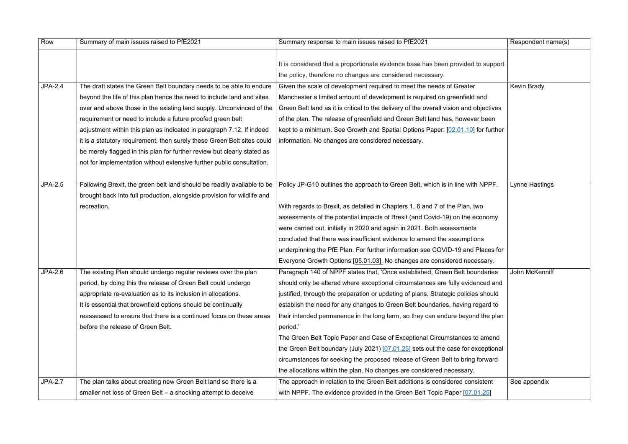| Row            | Summary of main issues raised to PfE2021                                | Summary response to main issues raised to PfE2021                                      | Respondent name(s) |
|----------------|-------------------------------------------------------------------------|----------------------------------------------------------------------------------------|--------------------|
|                |                                                                         |                                                                                        |                    |
|                |                                                                         | It is considered that a proportionate evidence base has been provided to support       |                    |
|                |                                                                         | the policy, therefore no changes are considered necessary.                             |                    |
| <b>JPA-2.4</b> | The draft states the Green Belt boundary needs to be able to endure     | Given the scale of development required to meet the needs of Greater                   | <b>Kevin Brady</b> |
|                | beyond the life of this plan hence the need to include land and sites   | Manchester a limited amount of development is required on greenfield and               |                    |
|                | over and above those in the existing land supply. Unconvinced of the    | Green Belt land as it is critical to the delivery of the overall vision and objectives |                    |
|                | requirement or need to include a future proofed green belt              | of the plan. The release of greenfield and Green Belt land has, however been           |                    |
|                | adjustment within this plan as indicated in paragraph 7.12. If indeed   | kept to a minimum. See Growth and Spatial Options Paper: [02.01.10] for further        |                    |
|                | it is a statutory requirement, then surely these Green Belt sites could | information. No changes are considered necessary.                                      |                    |
|                | be merely flagged in this plan for further review but clearly stated as |                                                                                        |                    |
|                | not for implementation without extensive further public consultation.   |                                                                                        |                    |
|                |                                                                         |                                                                                        |                    |
| <b>JPA-2.5</b> | Following Brexit, the green belt land should be readily available to be | Policy JP-G10 outlines the approach to Green Belt, which is in line with NPPF.         | Lynne Hastings     |
|                | brought back into full production, alongside provision for wildlife and |                                                                                        |                    |
|                | recreation.                                                             | With regards to Brexit, as detailed in Chapters 1, 6 and 7 of the Plan, two            |                    |
|                |                                                                         | assessments of the potential impacts of Brexit (and Covid-19) on the economy           |                    |
|                |                                                                         | were carried out, initially in 2020 and again in 2021. Both assessments                |                    |
|                |                                                                         | concluded that there was insufficient evidence to amend the assumptions                |                    |
|                |                                                                         | underpinning the PfE Plan. For further information see COVID-19 and Places for         |                    |
|                |                                                                         | Everyone Growth Options [05.01.03]. No changes are considered necessary.               |                    |
| JPA-2.6        | The existing Plan should undergo regular reviews over the plan          | Paragraph 140 of NPPF states that, 'Once established, Green Belt boundaries            | John McKenniff     |
|                | period, by doing this the release of Green Belt could undergo           | should only be altered where exceptional circumstances are fully evidenced and         |                    |
|                | appropriate re-evaluation as to its inclusion in allocations.           | justified, through the preparation or updating of plans. Strategic policies should     |                    |
|                | It is essential that brownfield options should be continually           | establish the need for any changes to Green Belt boundaries, having regard to          |                    |
|                | reassessed to ensure that there is a continued focus on these areas     | their intended permanence in the long term, so they can endure beyond the plan         |                    |
|                | before the release of Green Belt.                                       | period.'                                                                               |                    |
|                |                                                                         | The Green Belt Topic Paper and Case of Exceptional Circumstances to amend              |                    |
|                |                                                                         | the Green Belt boundary (July 2021) $[07.01.25]$ sets out the case for exceptional     |                    |
|                |                                                                         | circumstances for seeking the proposed release of Green Belt to bring forward          |                    |
|                |                                                                         | the allocations within the plan. No changes are considered necessary.                  |                    |
| <b>JPA-2.7</b> | The plan talks about creating new Green Belt land so there is a         | The approach in relation to the Green Belt additions is considered consistent          | See appendix       |
|                | smaller net loss of Green Belt - a shocking attempt to deceive          | with NPPF. The evidence provided in the Green Belt Topic Paper [07.01.25]              |                    |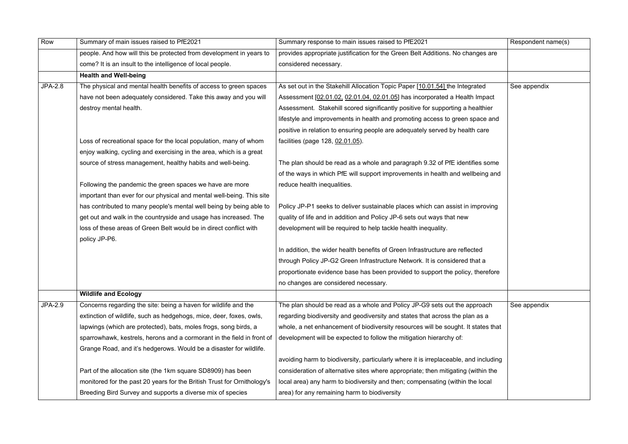| Row            | Summary of main issues raised to PfE2021                                | Summary response to main issues raised to PfE2021                                    | Respondent name(s) |
|----------------|-------------------------------------------------------------------------|--------------------------------------------------------------------------------------|--------------------|
|                | people. And how will this be protected from development in years to     | provides appropriate justification for the Green Belt Additions. No changes are      |                    |
|                | come? It is an insult to the intelligence of local people.              | considered necessary.                                                                |                    |
|                | <b>Health and Well-being</b>                                            |                                                                                      |                    |
| <b>JPA-2.8</b> | The physical and mental health benefits of access to green spaces       | As set out in the Stakehill Allocation Topic Paper [10.01.54] the Integrated         | See appendix       |
|                | have not been adequately considered. Take this away and you will        | Assessment [02.01.02, 02.01.04, 02.01.05] has incorporated a Health Impact           |                    |
|                | destroy mental health.                                                  | Assessment. Stakehill scored significantly positive for supporting a healthier       |                    |
|                |                                                                         | lifestyle and improvements in health and promoting access to green space and         |                    |
|                |                                                                         | positive in relation to ensuring people are adequately served by health care         |                    |
|                | Loss of recreational space for the local population, many of whom       | facilities (page 128, 02.01.05).                                                     |                    |
|                | enjoy walking, cycling and exercising in the area, which is a great     |                                                                                      |                    |
|                | source of stress management, healthy habits and well-being.             | The plan should be read as a whole and paragraph 9.32 of PfE identifies some         |                    |
|                |                                                                         | of the ways in which PfE will support improvements in health and wellbeing and       |                    |
|                | Following the pandemic the green spaces we have are more                | reduce health inequalities.                                                          |                    |
|                | important than ever for our physical and mental well-being. This site   |                                                                                      |                    |
|                | has contributed to many people's mental well being by being able to     | Policy JP-P1 seeks to deliver sustainable places which can assist in improving       |                    |
|                | get out and walk in the countryside and usage has increased. The        | quality of life and in addition and Policy JP-6 sets out ways that new               |                    |
|                | loss of these areas of Green Belt would be in direct conflict with      | development will be required to help tackle health inequality.                       |                    |
|                | policy JP-P6.                                                           |                                                                                      |                    |
|                |                                                                         | In addition, the wider health benefits of Green Infrastructure are reflected         |                    |
|                |                                                                         | through Policy JP-G2 Green Infrastructure Network. It is considered that a           |                    |
|                |                                                                         | proportionate evidence base has been provided to support the policy, therefore       |                    |
|                |                                                                         | no changes are considered necessary.                                                 |                    |
|                | <b>Wildlife and Ecology</b>                                             |                                                                                      |                    |
| JPA-2.9        | Concerns regarding the site: being a haven for wildlife and the         | The plan should be read as a whole and Policy JP-G9 sets out the approach            | See appendix       |
|                | extinction of wildlife, such as hedgehogs, mice, deer, foxes, owls,     | regarding biodiversity and geodiversity and states that across the plan as a         |                    |
|                | lapwings (which are protected), bats, moles frogs, song birds, a        | whole, a net enhancement of biodiversity resources will be sought. It states that    |                    |
|                | sparrowhawk, kestrels, herons and a cormorant in the field in front of  | development will be expected to follow the mitigation hierarchy of:                  |                    |
|                | Grange Road, and it's hedgerows. Would be a disaster for wildlife.      |                                                                                      |                    |
|                |                                                                         | avoiding harm to biodiversity, particularly where it is irreplaceable, and including |                    |
|                | Part of the allocation site (the 1km square SD8909) has been            | consideration of alternative sites where appropriate; then mitigating (within the    |                    |
|                | monitored for the past 20 years for the British Trust for Ornithology's | local area) any harm to biodiversity and then; compensating (within the local        |                    |
|                | Breeding Bird Survey and supports a diverse mix of species              | area) for any remaining harm to biodiversity                                         |                    |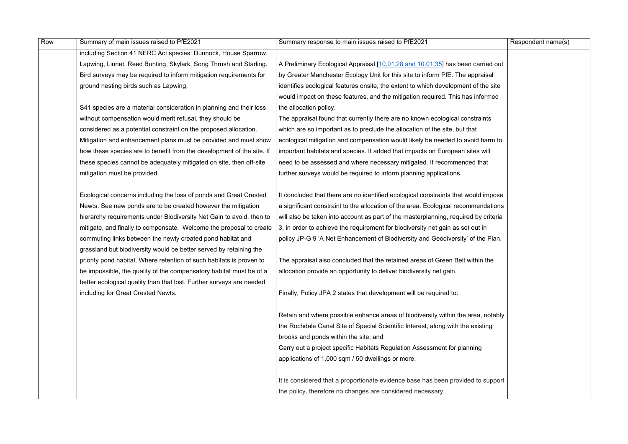| Row | Summary of main issues raised to PfE2021                              | Summary response to main issues raised to PfE2021                                   | Respondent name(s) |
|-----|-----------------------------------------------------------------------|-------------------------------------------------------------------------------------|--------------------|
|     | including Section 41 NERC Act species: Dunnock, House Sparrow,        |                                                                                     |                    |
|     | Lapwing, Linnet, Reed Bunting, Skylark, Song Thrush and Starling.     | A Preliminary Ecological Appraisal [10.01.28 and 10.01.35] has been carried out     |                    |
|     | Bird surveys may be required to inform mitigation requirements for    | by Greater Manchester Ecology Unit for this site to inform PfE. The appraisal       |                    |
|     | ground nesting birds such as Lapwing.                                 | identifies ecological features onsite, the extent to which development of the site  |                    |
|     |                                                                       | would impact on these features, and the mitigation required. This has informed      |                    |
|     | S41 species are a material consideration in planning and their loss   | the allocation policy.                                                              |                    |
|     | without compensation would merit refusal, they should be              | The appraisal found that currently there are no known ecological constraints        |                    |
|     | considered as a potential constraint on the proposed allocation.      | which are so important as to preclude the allocation of the site, but that          |                    |
|     | Mitigation and enhancement plans must be provided and must show       | ecological mitigation and compensation would likely be needed to avoid harm to      |                    |
|     | how these species are to benefit from the development of the site. If | important habitats and species. It added that impacts on European sites will        |                    |
|     | these species cannot be adequately mitigated on site, then off-site   | need to be assessed and where necessary mitigated. It recommended that              |                    |
|     | mitigation must be provided.                                          | further surveys would be required to inform planning applications.                  |                    |
|     |                                                                       |                                                                                     |                    |
|     | Ecological concerns including the loss of ponds and Great Crested     | It concluded that there are no identified ecological constraints that would impose  |                    |
|     | Newts. See new ponds are to be created however the mitigation         | a significant constraint to the allocation of the area. Ecological recommendations  |                    |
|     | hierarchy requirements under Biodiversity Net Gain to avoid, then to  | will also be taken into account as part of the masterplanning, required by criteria |                    |
|     | mitigate, and finally to compensate. Welcome the proposal to create   | 3, in order to achieve the requirement for biodiversity net gain as set out in      |                    |
|     | commuting links between the newly created pond habitat and            | policy JP-G 9 'A Net Enhancement of Biodiversity and Geodiversity' of the Plan.     |                    |
|     | grassland but biodiversity would be better served by retaining the    |                                                                                     |                    |
|     | priority pond habitat. Where retention of such habitats is proven to  | The appraisal also concluded that the retained areas of Green Belt within the       |                    |
|     | be impossible, the quality of the compensatory habitat must be of a   | allocation provide an opportunity to deliver biodiversity net gain.                 |                    |
|     | better ecological quality than that lost. Further surveys are needed  |                                                                                     |                    |
|     | including for Great Crested Newts.                                    | Finally, Policy JPA 2 states that development will be required to:                  |                    |
|     |                                                                       |                                                                                     |                    |
|     |                                                                       | Retain and where possible enhance areas of biodiversity within the area, notably    |                    |
|     |                                                                       | the Rochdale Canal Site of Special Scientific Interest, along with the existing     |                    |
|     |                                                                       | brooks and ponds within the site; and                                               |                    |
|     |                                                                       | Carry out a project specific Habitats Regulation Assessment for planning            |                    |
|     |                                                                       | applications of 1,000 sqm / 50 dwellings or more.                                   |                    |
|     |                                                                       |                                                                                     |                    |
|     |                                                                       | It is considered that a proportionate evidence base has been provided to support    |                    |
|     |                                                                       | the policy, therefore no changes are considered necessary.                          |                    |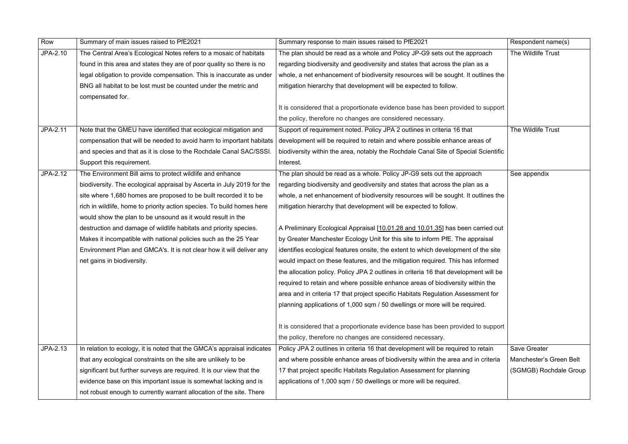| Row      | Summary of main issues raised to PfE2021                                | Summary response to main issues raised to PfE2021                                    | Respondent name(s)      |
|----------|-------------------------------------------------------------------------|--------------------------------------------------------------------------------------|-------------------------|
| JPA-2.10 | The Central Area's Ecological Notes refers to a mosaic of habitats      | The plan should be read as a whole and Policy JP-G9 sets out the approach            | The Wildlife Trust      |
|          | found in this area and states they are of poor quality so there is no   | regarding biodiversity and geodiversity and states that across the plan as a         |                         |
|          | legal obligation to provide compensation. This is inaccurate as under   | whole, a net enhancement of biodiversity resources will be sought. It outlines the   |                         |
|          | BNG all habitat to be lost must be counted under the metric and         | mitigation hierarchy that development will be expected to follow.                    |                         |
|          | compensated for.                                                        |                                                                                      |                         |
|          |                                                                         | It is considered that a proportionate evidence base has been provided to support     |                         |
|          |                                                                         | the policy, therefore no changes are considered necessary.                           |                         |
| JPA-2.11 | Note that the GMEU have identified that ecological mitigation and       | Support of requirement noted. Policy JPA 2 outlines in criteria 16 that              | The Wildlife Trust      |
|          | compensation that will be needed to avoid harm to important habitats    | development will be required to retain and where possible enhance areas of           |                         |
|          | and species and that as it is close to the Rochdale Canal SAC/SSSI.     | biodiversity within the area, notably the Rochdale Canal Site of Special Scientific  |                         |
|          | Support this requirement.                                               | Interest.                                                                            |                         |
| JPA-2.12 | The Environment Bill aims to protect wildlife and enhance               | The plan should be read as a whole. Policy JP-G9 sets out the approach               | See appendix            |
|          | biodiversity. The ecological appraisal by Ascerta in July 2019 for the  | regarding biodiversity and geodiversity and states that across the plan as a         |                         |
|          | site where 1,680 homes are proposed to be built recorded it to be       | whole, a net enhancement of biodiversity resources will be sought. It outlines the   |                         |
|          | rich in wildlife, home to priority action species. To build homes here  | mitigation hierarchy that development will be expected to follow.                    |                         |
|          | would show the plan to be unsound as it would result in the             |                                                                                      |                         |
|          | destruction and damage of wildlife habitats and priority species.       | A Preliminary Ecological Appraisal [10.01.28 and 10.01.35] has been carried out      |                         |
|          | Makes it incompatible with national policies such as the 25 Year        | by Greater Manchester Ecology Unit for this site to inform PfE. The appraisal        |                         |
|          | Environment Plan and GMCA's. It is not clear how it will deliver any    | identifies ecological features onsite, the extent to which development of the site   |                         |
|          | net gains in biodiversity.                                              | would impact on these features, and the mitigation required. This has informed       |                         |
|          |                                                                         | the allocation policy. Policy JPA 2 outlines in criteria 16 that development will be |                         |
|          |                                                                         | required to retain and where possible enhance areas of biodiversity within the       |                         |
|          |                                                                         | area and in criteria 17 that project specific Habitats Regulation Assessment for     |                         |
|          |                                                                         | planning applications of 1,000 sqm / 50 dwellings or more will be required.          |                         |
|          |                                                                         | It is considered that a proportionate evidence base has been provided to support     |                         |
|          |                                                                         | the policy, therefore no changes are considered necessary.                           |                         |
| JPA-2.13 | In relation to ecology, it is noted that the GMCA's appraisal indicates | Policy JPA 2 outlines in criteria 16 that development will be required to retain     | <b>Save Greater</b>     |
|          | that any ecological constraints on the site are unlikely to be          | and where possible enhance areas of biodiversity within the area and in criteria     | Manchester's Green Belt |
|          | significant but further surveys are required. It is our view that the   | 17 that project specific Habitats Regulation Assessment for planning                 | (SGMGB) Rochdale Group  |
|          | evidence base on this important issue is somewhat lacking and is        | applications of 1,000 sqm / 50 dwellings or more will be required.                   |                         |
|          | not robust enough to currently warrant allocation of the site. There    |                                                                                      |                         |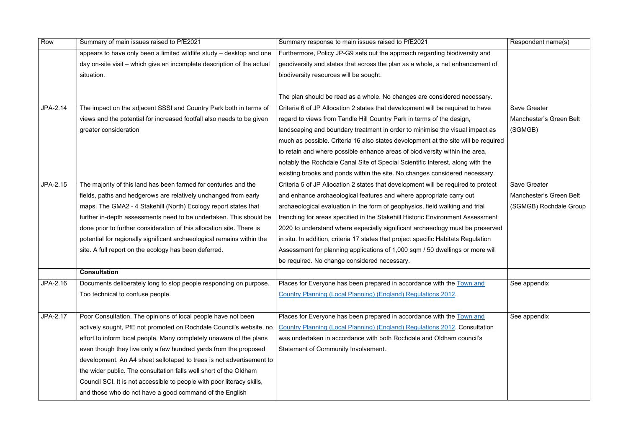| Row      | Summary of main issues raised to PfE2021                               | Summary response to main issues raised to PfE2021                                  | Respondent name(s)      |
|----------|------------------------------------------------------------------------|------------------------------------------------------------------------------------|-------------------------|
|          | appears to have only been a limited wildlife study - desktop and one   | Furthermore, Policy JP-G9 sets out the approach regarding biodiversity and         |                         |
|          | day on-site visit - which give an incomplete description of the actual | geodiversity and states that across the plan as a whole, a net enhancement of      |                         |
|          | situation.                                                             | biodiversity resources will be sought.                                             |                         |
|          |                                                                        |                                                                                    |                         |
|          |                                                                        | The plan should be read as a whole. No changes are considered necessary.           |                         |
| JPA-2.14 | The impact on the adjacent SSSI and Country Park both in terms of      | Criteria 6 of JP Allocation 2 states that development will be required to have     | <b>Save Greater</b>     |
|          | views and the potential for increased footfall also needs to be given  | regard to views from Tandle Hill Country Park in terms of the design,              | Manchester's Green Belt |
|          | greater consideration                                                  | landscaping and boundary treatment in order to minimise the visual impact as       | (SGMGB)                 |
|          |                                                                        | much as possible. Criteria 16 also states development at the site will be required |                         |
|          |                                                                        | to retain and where possible enhance areas of biodiversity within the area,        |                         |
|          |                                                                        | notably the Rochdale Canal Site of Special Scientific Interest, along with the     |                         |
|          |                                                                        | existing brooks and ponds within the site. No changes considered necessary.        |                         |
| JPA-2.15 | The majority of this land has been farmed for centuries and the        | Criteria 5 of JP Allocation 2 states that development will be required to protect  | <b>Save Greater</b>     |
|          | fields, paths and hedgerows are relatively unchanged from early        | and enhance archaeological features and where appropriate carry out                | Manchester's Green Belt |
|          | maps. The GMA2 - 4 Stakehill (North) Ecology report states that        | archaeological evaluation in the form of geophysics, field walking and trial       | (SGMGB) Rochdale Group  |
|          | further in-depth assessments need to be undertaken. This should be     | trenching for areas specified in the Stakehill Historic Environment Assessment     |                         |
|          | done prior to further consideration of this allocation site. There is  | 2020 to understand where especially significant archaeology must be preserved      |                         |
|          | potential for regionally significant archaeological remains within the | in situ. In addition, criteria 17 states that project specific Habitats Regulation |                         |
|          | site. A full report on the ecology has been deferred.                  | Assessment for planning applications of 1,000 sqm / 50 dwellings or more will      |                         |
|          |                                                                        | be required. No change considered necessary.                                       |                         |
|          | <b>Consultation</b>                                                    |                                                                                    |                         |
| JPA-2.16 | Documents deliberately long to stop people responding on purpose.      | Places for Everyone has been prepared in accordance with the Town and              | See appendix            |
|          | Too technical to confuse people.                                       | <b>Country Planning (Local Planning) (England) Regulations 2012.</b>               |                         |
|          |                                                                        |                                                                                    |                         |
| JPA-2.17 | Poor Consultation. The opinions of local people have not been          | Places for Everyone has been prepared in accordance with the Town and              | See appendix            |
|          | actively sought, PfE not promoted on Rochdale Council's website, no    | <b>Country Planning (Local Planning) (England) Regulations 2012. Consultation</b>  |                         |
|          | effort to inform local people. Many completely unaware of the plans    | was undertaken in accordance with both Rochdale and Oldham council's               |                         |
|          | even though they live only a few hundred yards from the proposed       | Statement of Community Involvement.                                                |                         |
|          | development. An A4 sheet sellotaped to trees is not advertisement to   |                                                                                    |                         |
|          | the wider public. The consultation falls well short of the Oldham      |                                                                                    |                         |
|          | Council SCI. It is not accessible to people with poor literacy skills, |                                                                                    |                         |
|          | and those who do not have a good command of the English                |                                                                                    |                         |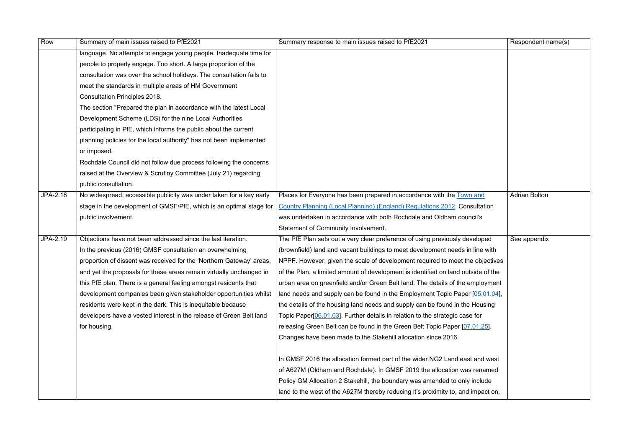| Row      | Summary of main issues raised to PfE2021                             | Summary response to main issues raised to PfE2021                                 | Respondent name(s)   |
|----------|----------------------------------------------------------------------|-----------------------------------------------------------------------------------|----------------------|
|          | language. No attempts to engage young people. Inadequate time for    |                                                                                   |                      |
|          | people to properly engage. Too short. A large proportion of the      |                                                                                   |                      |
|          | consultation was over the school holidays. The consultation fails to |                                                                                   |                      |
|          | meet the standards in multiple areas of HM Government                |                                                                                   |                      |
|          | <b>Consultation Principles 2018.</b>                                 |                                                                                   |                      |
|          | The section "Prepared the plan in accordance with the latest Local   |                                                                                   |                      |
|          | Development Scheme (LDS) for the nine Local Authorities              |                                                                                   |                      |
|          | participating in PfE, which informs the public about the current     |                                                                                   |                      |
|          | planning policies for the local authority" has not been implemented  |                                                                                   |                      |
|          | or imposed.                                                          |                                                                                   |                      |
|          | Rochdale Council did not follow due process following the concerns   |                                                                                   |                      |
|          | raised at the Overview & Scrutiny Committee (July 21) regarding      |                                                                                   |                      |
|          | public consultation.                                                 |                                                                                   |                      |
| JPA-2.18 | No widespread, accessible publicity was under taken for a key early  | Places for Everyone has been prepared in accordance with the Town and             | <b>Adrian Bolton</b> |
|          | stage in the development of GMSF/PfE, which is an optimal stage for  | <b>Country Planning (Local Planning) (England) Regulations 2012. Consultation</b> |                      |
|          | public involvement.                                                  | was undertaken in accordance with both Rochdale and Oldham council's              |                      |
|          |                                                                      | Statement of Community Involvement.                                               |                      |
| JPA-2.19 | Objections have not been addressed since the last iteration.         | The PfE Plan sets out a very clear preference of using previously developed       | See appendix         |
|          | In the previous (2016) GMSF consultation an overwhelming             | (brownfield) land and vacant buildings to meet development needs in line with     |                      |
|          | proportion of dissent was received for the 'Northern Gateway' areas, | NPPF. However, given the scale of development required to meet the objectives     |                      |
|          | and yet the proposals for these areas remain virtually unchanged in  | of the Plan, a limited amount of development is identified on land outside of the |                      |
|          | this PfE plan. There is a general feeling amongst residents that     | urban area on greenfield and/or Green Belt land. The details of the employment    |                      |
|          | development companies been given stakeholder opportunities whilst    | land needs and supply can be found in the Employment Topic Paper [05.01.04],      |                      |
|          | residents were kept in the dark. This is inequitable because         | the details of the housing land needs and supply can be found in the Housing      |                      |
|          | developers have a vested interest in the release of Green Belt land  | Topic Paper[06.01.03]. Further details in relation to the strategic case for      |                      |
|          | for housing.                                                         | releasing Green Belt can be found in the Green Belt Topic Paper [07.01.25].       |                      |
|          |                                                                      | Changes have been made to the Stakehill allocation since 2016.                    |                      |
|          |                                                                      |                                                                                   |                      |
|          |                                                                      | In GMSF 2016 the allocation formed part of the wider NG2 Land east and west       |                      |
|          |                                                                      | of A627M (Oldham and Rochdale). In GMSF 2019 the allocation was renamed           |                      |
|          |                                                                      | Policy GM Allocation 2 Stakehill, the boundary was amended to only include        |                      |
|          |                                                                      | land to the west of the A627M thereby reducing it's proximity to, and impact on,  |                      |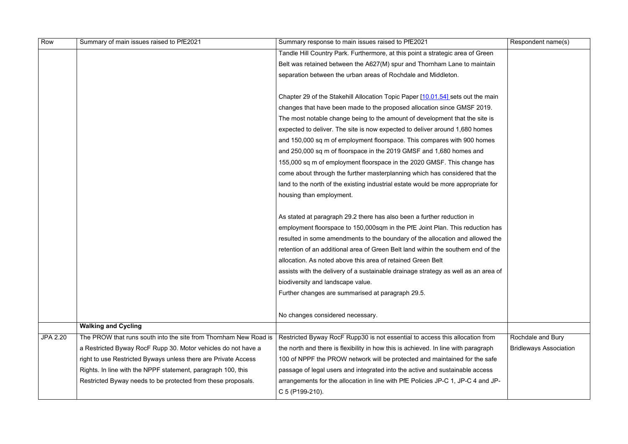| Row             | Summary of main issues raised to PfE2021                         | Summary response to main issues raised to PfE2021                                  | Respondent name(s)            |
|-----------------|------------------------------------------------------------------|------------------------------------------------------------------------------------|-------------------------------|
|                 |                                                                  | Tandle Hill Country Park. Furthermore, at this point a strategic area of Green     |                               |
|                 |                                                                  | Belt was retained between the A627(M) spur and Thornham Lane to maintain           |                               |
|                 |                                                                  | separation between the urban areas of Rochdale and Middleton.                      |                               |
|                 |                                                                  |                                                                                    |                               |
|                 |                                                                  | Chapter 29 of the Stakehill Allocation Topic Paper [10.01.54] sets out the main    |                               |
|                 |                                                                  | changes that have been made to the proposed allocation since GMSF 2019.            |                               |
|                 |                                                                  | The most notable change being to the amount of development that the site is        |                               |
|                 |                                                                  | expected to deliver. The site is now expected to deliver around 1,680 homes        |                               |
|                 |                                                                  | and 150,000 sq m of employment floorspace. This compares with 900 homes            |                               |
|                 |                                                                  | and 250,000 sq m of floorspace in the 2019 GMSF and 1,680 homes and                |                               |
|                 |                                                                  | 155,000 sq m of employment floorspace in the 2020 GMSF. This change has            |                               |
|                 |                                                                  | come about through the further masterplanning which has considered that the        |                               |
|                 |                                                                  | land to the north of the existing industrial estate would be more appropriate for  |                               |
|                 |                                                                  | housing than employment.                                                           |                               |
|                 |                                                                  |                                                                                    |                               |
|                 |                                                                  | As stated at paragraph 29.2 there has also been a further reduction in             |                               |
|                 |                                                                  | employment floorspace to 150,000sqm in the PfE Joint Plan. This reduction has      |                               |
|                 |                                                                  | resulted in some amendments to the boundary of the allocation and allowed the      |                               |
|                 |                                                                  | retention of an additional area of Green Belt land within the southern end of the  |                               |
|                 |                                                                  | allocation. As noted above this area of retained Green Belt                        |                               |
|                 |                                                                  | assists with the delivery of a sustainable drainage strategy as well as an area of |                               |
|                 |                                                                  | biodiversity and landscape value.                                                  |                               |
|                 |                                                                  | Further changes are summarised at paragraph 29.5.                                  |                               |
|                 |                                                                  |                                                                                    |                               |
|                 |                                                                  | No changes considered necessary.                                                   |                               |
|                 | <b>Walking and Cycling</b>                                       |                                                                                    |                               |
| <b>JPA 2.20</b> | The PROW that runs south into the site from Thornham New Road is | Restricted Byway RocF Rupp30 is not essential to access this allocation from       | Rochdale and Bury             |
|                 | a Restricted Byway RocF Rupp 30. Motor vehicles do not have a    | the north and there is flexibility in how this is achieved. In line with paragraph | <b>Bridleways Association</b> |
|                 | right to use Restricted Byways unless there are Private Access   | 100 of NPPF the PROW network will be protected and maintained for the safe         |                               |
|                 | Rights. In line with the NPPF statement, paragraph 100, this     | passage of legal users and integrated into the active and sustainable access       |                               |
|                 | Restricted Byway needs to be protected from these proposals.     | arrangements for the allocation in line with PfE Policies JP-C 1, JP-C 4 and JP-   |                               |
|                 |                                                                  | C 5 (P199-210).                                                                    |                               |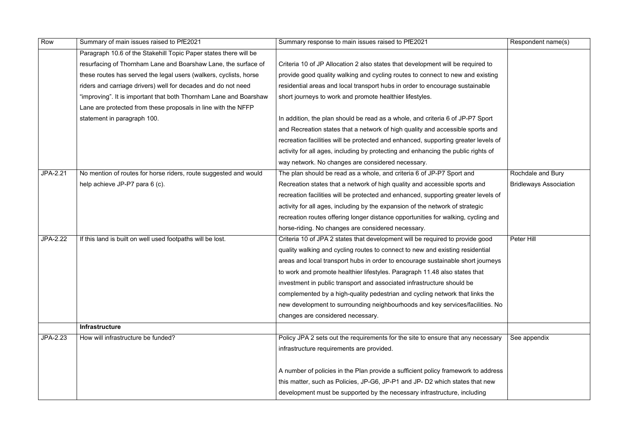| Row             | Summary of main issues raised to PfE2021                          | Summary response to main issues raised to PfE2021                                  | Respondent name(s)            |
|-----------------|-------------------------------------------------------------------|------------------------------------------------------------------------------------|-------------------------------|
|                 | Paragraph 10.6 of the Stakehill Topic Paper states there will be  |                                                                                    |                               |
|                 | resurfacing of Thornham Lane and Boarshaw Lane, the surface of    | Criteria 10 of JP Allocation 2 also states that development will be required to    |                               |
|                 | these routes has served the legal users (walkers, cyclists, horse | provide good quality walking and cycling routes to connect to new and existing     |                               |
|                 | riders and carriage drivers) well for decades and do not need     | residential areas and local transport hubs in order to encourage sustainable       |                               |
|                 | "improving". It is important that both Thornham Lane and Boarshaw | short journeys to work and promote healthier lifestyles.                           |                               |
|                 | Lane are protected from these proposals in line with the NFFP     |                                                                                    |                               |
|                 | statement in paragraph 100.                                       | In addition, the plan should be read as a whole, and criteria 6 of JP-P7 Sport     |                               |
|                 |                                                                   | and Recreation states that a network of high quality and accessible sports and     |                               |
|                 |                                                                   | recreation facilities will be protected and enhanced, supporting greater levels of |                               |
|                 |                                                                   | activity for all ages, including by protecting and enhancing the public rights of  |                               |
|                 |                                                                   | way network. No changes are considered necessary.                                  |                               |
| JPA-2.21        | No mention of routes for horse riders, route suggested and would  | The plan should be read as a whole, and criteria 6 of JP-P7 Sport and              | Rochdale and Bury             |
|                 | help achieve JP-P7 para 6 (c).                                    | Recreation states that a network of high quality and accessible sports and         | <b>Bridleways Association</b> |
|                 |                                                                   | recreation facilities will be protected and enhanced, supporting greater levels of |                               |
|                 |                                                                   | activity for all ages, including by the expansion of the network of strategic      |                               |
|                 |                                                                   | recreation routes offering longer distance opportunities for walking, cycling and  |                               |
|                 |                                                                   | horse-riding. No changes are considered necessary.                                 |                               |
| <b>JPA-2.22</b> | If this land is built on well used footpaths will be lost.        | Criteria 10 of JPA 2 states that development will be required to provide good      | Peter Hill                    |
|                 |                                                                   | quality walking and cycling routes to connect to new and existing residential      |                               |
|                 |                                                                   | areas and local transport hubs in order to encourage sustainable short journeys    |                               |
|                 |                                                                   | to work and promote healthier lifestyles. Paragraph 11.48 also states that         |                               |
|                 |                                                                   | investment in public transport and associated infrastructure should be             |                               |
|                 |                                                                   | complemented by a high-quality pedestrian and cycling network that links the       |                               |
|                 |                                                                   | new development to surrounding neighbourhoods and key services/facilities. No      |                               |
|                 |                                                                   | changes are considered necessary.                                                  |                               |
|                 | Infrastructure                                                    |                                                                                    |                               |
| JPA-2.23        | How will infrastructure be funded?                                | Policy JPA 2 sets out the requirements for the site to ensure that any necessary   | See appendix                  |
|                 |                                                                   | infrastructure requirements are provided.                                          |                               |
|                 |                                                                   |                                                                                    |                               |
|                 |                                                                   | A number of policies in the Plan provide a sufficient policy framework to address  |                               |
|                 |                                                                   | this matter, such as Policies, JP-G6, JP-P1 and JP- D2 which states that new       |                               |
|                 |                                                                   | development must be supported by the necessary infrastructure, including           |                               |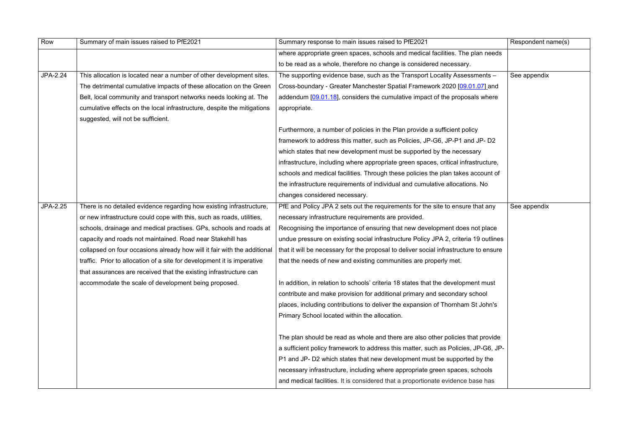| Row      | Summary of main issues raised to PfE2021                                 | Summary response to main issues raised to PfE2021                                     | Respondent name(s) |
|----------|--------------------------------------------------------------------------|---------------------------------------------------------------------------------------|--------------------|
|          |                                                                          | where appropriate green spaces, schools and medical facilities. The plan needs        |                    |
|          |                                                                          | to be read as a whole, therefore no change is considered necessary.                   |                    |
| JPA-2.24 | This allocation is located near a number of other development sites.     | The supporting evidence base, such as the Transport Locality Assessments -            | See appendix       |
|          | The detrimental cumulative impacts of these allocation on the Green      | Cross-boundary - Greater Manchester Spatial Framework 2020 [09.01.07] and             |                    |
|          | Belt, local community and transport networks needs looking at. The       | addendum [09.01.18], considers the cumulative impact of the proposals where           |                    |
|          | cumulative effects on the local infrastructure, despite the mitigations  | appropriate.                                                                          |                    |
|          | suggested, will not be sufficient.                                       |                                                                                       |                    |
|          |                                                                          | Furthermore, a number of policies in the Plan provide a sufficient policy             |                    |
|          |                                                                          | framework to address this matter, such as Policies, JP-G6, JP-P1 and JP-D2            |                    |
|          |                                                                          | which states that new development must be supported by the necessary                  |                    |
|          |                                                                          | infrastructure, including where appropriate green spaces, critical infrastructure,    |                    |
|          |                                                                          | schools and medical facilities. Through these policies the plan takes account of      |                    |
|          |                                                                          | the infrastructure requirements of individual and cumulative allocations. No          |                    |
|          |                                                                          | changes considered necessary.                                                         |                    |
| JPA-2.25 | There is no detailed evidence regarding how existing infrastructure,     | PfE and Policy JPA 2 sets out the requirements for the site to ensure that any        | See appendix       |
|          | or new infrastructure could cope with this, such as roads, utilities,    | necessary infrastructure requirements are provided.                                   |                    |
|          | schools, drainage and medical practises. GPs, schools and roads at       | Recognising the importance of ensuring that new development does not place            |                    |
|          | capacity and roads not maintained. Road near Stakehill has               | undue pressure on existing social infrastructure Policy JPA 2, criteria 19 outlines   |                    |
|          | collapsed on four occasions already how will it fair with the additional | that it will be necessary for the proposal to deliver social infrastructure to ensure |                    |
|          | traffic. Prior to allocation of a site for development it is imperative  | that the needs of new and existing communities are properly met.                      |                    |
|          | that assurances are received that the existing infrastructure can        |                                                                                       |                    |
|          | accommodate the scale of development being proposed.                     | In addition, in relation to schools' criteria 18 states that the development must     |                    |
|          |                                                                          | contribute and make provision for additional primary and secondary school             |                    |
|          |                                                                          | places, including contributions to deliver the expansion of Thornham St John's        |                    |
|          |                                                                          | Primary School located within the allocation.                                         |                    |
|          |                                                                          |                                                                                       |                    |
|          |                                                                          | The plan should be read as whole and there are also other policies that provide       |                    |
|          |                                                                          | a sufficient policy framework to address this matter, such as Policies, JP-G6, JP-    |                    |
|          |                                                                          | P1 and JP- D2 which states that new development must be supported by the              |                    |
|          |                                                                          | necessary infrastructure, including where appropriate green spaces, schools           |                    |
|          |                                                                          | and medical facilities. It is considered that a proportionate evidence base has       |                    |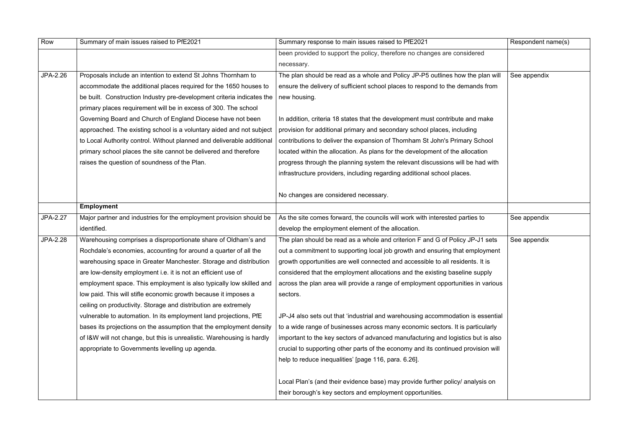| Row      | Summary of main issues raised to PfE2021                               | Summary response to main issues raised to PfE2021                                 | Respondent name(s) |
|----------|------------------------------------------------------------------------|-----------------------------------------------------------------------------------|--------------------|
|          |                                                                        | been provided to support the policy, therefore no changes are considered          |                    |
|          |                                                                        | necessary.                                                                        |                    |
| JPA-2.26 | Proposals include an intention to extend St Johns Thornham to          | The plan should be read as a whole and Policy JP-P5 outlines how the plan will    | See appendix       |
|          | accommodate the additional places required for the 1650 houses to      | ensure the delivery of sufficient school places to respond to the demands from    |                    |
|          | be built. Construction Industry pre-development criteria indicates the | new housing.                                                                      |                    |
|          | primary places requirement will be in excess of 300. The school        |                                                                                   |                    |
|          | Governing Board and Church of England Diocese have not been            | In addition, criteria 18 states that the development must contribute and make     |                    |
|          | approached. The existing school is a voluntary aided and not subject   | provision for additional primary and secondary school places, including           |                    |
|          | to Local Authority control. Without planned and deliverable additional | contributions to deliver the expansion of Thornham St John's Primary School       |                    |
|          | primary school places the site cannot be delivered and therefore       | located within the allocation. As plans for the development of the allocation     |                    |
|          | raises the question of soundness of the Plan.                          | progress through the planning system the relevant discussions will be had with    |                    |
|          |                                                                        | infrastructure providers, including regarding additional school places.           |                    |
|          |                                                                        |                                                                                   |                    |
|          |                                                                        | No changes are considered necessary.                                              |                    |
|          | <b>Employment</b>                                                      |                                                                                   |                    |
| JPA-2.27 | Major partner and industries for the employment provision should be    | As the site comes forward, the councils will work with interested parties to      | See appendix       |
|          | identified.                                                            | develop the employment element of the allocation.                                 |                    |
| JPA-2.28 | Warehousing comprises a disproportionate share of Oldham's and         | The plan should be read as a whole and criterion F and G of Policy JP-J1 sets     | See appendix       |
|          | Rochdale's economies, accounting for around a quarter of all the       | out a commitment to supporting local job growth and ensuring that employment      |                    |
|          | warehousing space in Greater Manchester. Storage and distribution      | growth opportunities are well connected and accessible to all residents. It is    |                    |
|          | are low-density employment i.e. it is not an efficient use of          | considered that the employment allocations and the existing baseline supply       |                    |
|          | employment space. This employment is also typically low skilled and    | across the plan area will provide a range of employment opportunities in various  |                    |
|          | low paid. This will stifle economic growth because it imposes a        | sectors.                                                                          |                    |
|          | ceiling on productivity. Storage and distribution are extremely        |                                                                                   |                    |
|          | vulnerable to automation. In its employment land projections, PfE      | JP-J4 also sets out that 'industrial and warehousing accommodation is essential   |                    |
|          | bases its projections on the assumption that the employment density    | to a wide range of businesses across many economic sectors. It is particularly    |                    |
|          | of I&W will not change, but this is unrealistic. Warehousing is hardly | important to the key sectors of advanced manufacturing and logistics but is also  |                    |
|          | appropriate to Governments levelling up agenda.                        | crucial to supporting other parts of the economy and its continued provision will |                    |
|          |                                                                        | help to reduce inequalities' [page 116, para. 6.26].                              |                    |
|          |                                                                        | Local Plan's (and their evidence base) may provide further policy/ analysis on    |                    |
|          |                                                                        | their borough's key sectors and employment opportunities.                         |                    |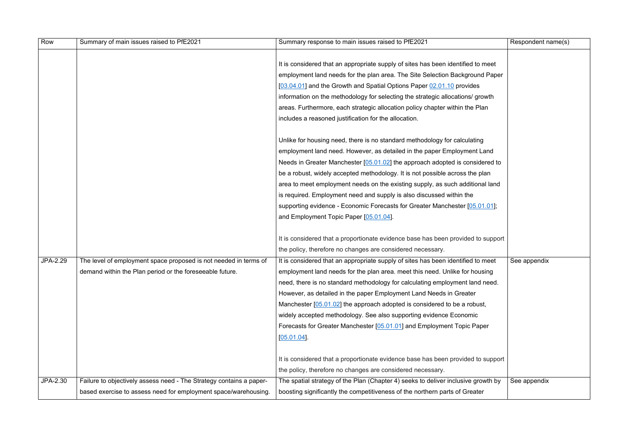| Row      | Summary of main issues raised to PfE2021                            | Summary response to main issues raised to PfE2021                                 | Respondent name(s) |
|----------|---------------------------------------------------------------------|-----------------------------------------------------------------------------------|--------------------|
|          |                                                                     |                                                                                   |                    |
|          |                                                                     | It is considered that an appropriate supply of sites has been identified to meet  |                    |
|          |                                                                     | employment land needs for the plan area. The Site Selection Background Paper      |                    |
|          |                                                                     | [03.04.01] and the Growth and Spatial Options Paper 02.01.10 provides             |                    |
|          |                                                                     | information on the methodology for selecting the strategic allocations/growth     |                    |
|          |                                                                     | areas. Furthermore, each strategic allocation policy chapter within the Plan      |                    |
|          |                                                                     | includes a reasoned justification for the allocation.                             |                    |
|          |                                                                     |                                                                                   |                    |
|          |                                                                     | Unlike for housing need, there is no standard methodology for calculating         |                    |
|          |                                                                     | employment land need. However, as detailed in the paper Employment Land           |                    |
|          |                                                                     | Needs in Greater Manchester [05.01.02] the approach adopted is considered to      |                    |
|          |                                                                     | be a robust, widely accepted methodology. It is not possible across the plan      |                    |
|          |                                                                     | area to meet employment needs on the existing supply, as such additional land     |                    |
|          |                                                                     | is required. Employment need and supply is also discussed within the              |                    |
|          |                                                                     | supporting evidence - Economic Forecasts for Greater Manchester [05.01.01];       |                    |
|          |                                                                     | and Employment Topic Paper [05.01.04].                                            |                    |
|          |                                                                     |                                                                                   |                    |
|          |                                                                     | It is considered that a proportionate evidence base has been provided to support  |                    |
|          |                                                                     | the policy, therefore no changes are considered necessary.                        |                    |
| JPA-2.29 | The level of employment space proposed is not needed in terms of    | It is considered that an appropriate supply of sites has been identified to meet  | See appendix       |
|          | demand within the Plan period or the foreseeable future.            | employment land needs for the plan area. meet this need. Unlike for housing       |                    |
|          |                                                                     | need, there is no standard methodology for calculating employment land need.      |                    |
|          |                                                                     | However, as detailed in the paper Employment Land Needs in Greater                |                    |
|          |                                                                     | Manchester $[05.01.02]$ the approach adopted is considered to be a robust,        |                    |
|          |                                                                     | widely accepted methodology. See also supporting evidence Economic                |                    |
|          |                                                                     | Forecasts for Greater Manchester [05.01.01] and Employment Topic Paper            |                    |
|          |                                                                     | [05.01.04]                                                                        |                    |
|          |                                                                     |                                                                                   |                    |
|          |                                                                     | It is considered that a proportionate evidence base has been provided to support  |                    |
|          |                                                                     | the policy, therefore no changes are considered necessary.                        |                    |
| JPA-2.30 | Failure to objectively assess need - The Strategy contains a paper- | The spatial strategy of the Plan (Chapter 4) seeks to deliver inclusive growth by | See appendix       |
|          | based exercise to assess need for employment space/warehousing.     | boosting significantly the competitiveness of the northern parts of Greater       |                    |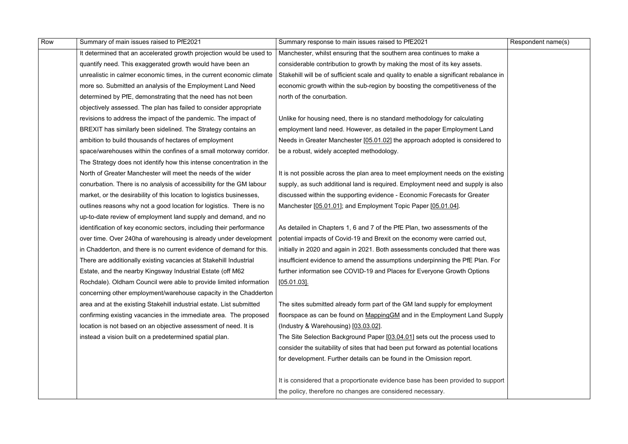| Row | Summary of main issues raised to PfE2021                              | Summary response to main issues raised to PfE2021                                      | Respondent name(s) |
|-----|-----------------------------------------------------------------------|----------------------------------------------------------------------------------------|--------------------|
|     | It determined that an accelerated growth projection would be used to  | Manchester, whilst ensuring that the southern area continues to make a                 |                    |
|     | quantify need. This exaggerated growth would have been an             | considerable contribution to growth by making the most of its key assets.              |                    |
|     | unrealistic in calmer economic times, in the current economic climate | Stakehill will be of sufficient scale and quality to enable a significant rebalance in |                    |
|     | more so. Submitted an analysis of the Employment Land Need            | economic growth within the sub-region by boosting the competitiveness of the           |                    |
|     | determined by PfE, demonstrating that the need has not been           | north of the conurbation.                                                              |                    |
|     | objectively assessed. The plan has failed to consider appropriate     |                                                                                        |                    |
|     | revisions to address the impact of the pandemic. The impact of        | Unlike for housing need, there is no standard methodology for calculating              |                    |
|     | BREXIT has similarly been sidelined. The Strategy contains an         | employment land need. However, as detailed in the paper Employment Land                |                    |
|     | ambition to build thousands of hectares of employment                 | Needs in Greater Manchester [05.01.02] the approach adopted is considered to           |                    |
|     | space/warehouses within the confines of a small motorway corridor.    | be a robust, widely accepted methodology.                                              |                    |
|     | The Strategy does not identify how this intense concentration in the  |                                                                                        |                    |
|     | North of Greater Manchester will meet the needs of the wider          | It is not possible across the plan area to meet employment needs on the existing       |                    |
|     | conurbation. There is no analysis of accessibility for the GM labour  | supply, as such additional land is required. Employment need and supply is also        |                    |
|     | market, or the desirability of this location to logistics businesses, | discussed within the supporting evidence - Economic Forecasts for Greater              |                    |
|     | outlines reasons why not a good location for logistics. There is no   | Manchester [05.01.01]; and Employment Topic Paper [05.01.04].                          |                    |
|     | up-to-date review of employment land supply and demand, and no        |                                                                                        |                    |
|     | identification of key economic sectors, including their performance   | As detailed in Chapters 1, 6 and 7 of the PfE Plan, two assessments of the             |                    |
|     | over time. Over 240ha of warehousing is already under development     | potential impacts of Covid-19 and Brexit on the economy were carried out,              |                    |
|     | in Chadderton, and there is no current evidence of demand for this.   | initially in 2020 and again in 2021. Both assessments concluded that there was         |                    |
|     | There are additionally existing vacancies at Stakehill Industrial     | insufficient evidence to amend the assumptions underpinning the PfE Plan. For          |                    |
|     | Estate, and the nearby Kingsway Industrial Estate (off M62            | further information see COVID-19 and Places for Everyone Growth Options                |                    |
|     | Rochdale). Oldham Council were able to provide limited information    | $[05.01.03]$ .                                                                         |                    |
|     | concerning other employment/warehouse capacity in the Chadderton      |                                                                                        |                    |
|     | area and at the existing Stakehill industrial estate. List submitted  | The sites submitted already form part of the GM land supply for employment             |                    |
|     | confirming existing vacancies in the immediate area. The proposed     | floorspace as can be found on Mapping GM and in the Employment Land Supply             |                    |
|     | location is not based on an objective assessment of need. It is       | (Industry & Warehousing) [03.03.02].                                                   |                    |
|     | instead a vision built on a predetermined spatial plan.               | The Site Selection Background Paper [03.04.01] sets out the process used to            |                    |
|     |                                                                       | consider the suitability of sites that had been put forward as potential locations     |                    |
|     |                                                                       | for development. Further details can be found in the Omission report.                  |                    |
|     |                                                                       | It is considered that a proportionate evidence base has been provided to support       |                    |
|     |                                                                       | the policy, therefore no changes are considered necessary.                             |                    |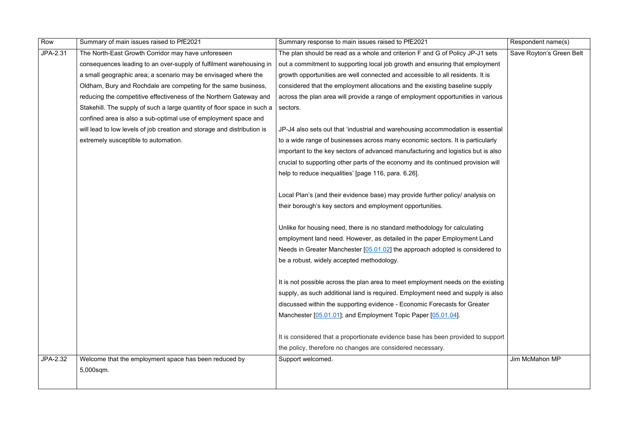| Row      | Summary of main issues raised to PfE2021                                | Summary response to main issues raised to PfE2021                                 | Respondent name(s)       |
|----------|-------------------------------------------------------------------------|-----------------------------------------------------------------------------------|--------------------------|
| JPA-2.31 | The North-East Growth Corridor may have unforeseen                      | The plan should be read as a whole and criterion F and G of Policy JP-J1 sets     | Save Royton's Green Belt |
|          | consequences leading to an over-supply of fulfilment warehousing in     | out a commitment to supporting local job growth and ensuring that employment      |                          |
|          | a small geographic area; a scenario may be envisaged where the          | growth opportunities are well connected and accessible to all residents. It is    |                          |
|          | Oldham, Bury and Rochdale are competing for the same business,          | considered that the employment allocations and the existing baseline supply       |                          |
|          | reducing the competitive effectiveness of the Northern Gateway and      | across the plan area will provide a range of employment opportunities in various  |                          |
|          | Stakehill. The supply of such a large quantity of floor space in such a | sectors.                                                                          |                          |
|          | confined area is also a sub-optimal use of employment space and         |                                                                                   |                          |
|          | will lead to low levels of job creation and storage and distribution is | JP-J4 also sets out that 'industrial and warehousing accommodation is essential   |                          |
|          | extremely susceptible to automation.                                    | to a wide range of businesses across many economic sectors. It is particularly    |                          |
|          |                                                                         | important to the key sectors of advanced manufacturing and logistics but is also  |                          |
|          |                                                                         | crucial to supporting other parts of the economy and its continued provision will |                          |
|          |                                                                         | help to reduce inequalities' [page 116, para. 6.26].                              |                          |
|          |                                                                         |                                                                                   |                          |
|          |                                                                         | Local Plan's (and their evidence base) may provide further policy/ analysis on    |                          |
|          |                                                                         | their borough's key sectors and employment opportunities.                         |                          |
|          |                                                                         |                                                                                   |                          |
|          |                                                                         | Unlike for housing need, there is no standard methodology for calculating         |                          |
|          |                                                                         | employment land need. However, as detailed in the paper Employment Land           |                          |
|          |                                                                         | Needs in Greater Manchester [05.01.02] the approach adopted is considered to      |                          |
|          |                                                                         | be a robust, widely accepted methodology.                                         |                          |
|          |                                                                         |                                                                                   |                          |
|          |                                                                         | It is not possible across the plan area to meet employment needs on the existing  |                          |
|          |                                                                         | supply, as such additional land is required. Employment need and supply is also   |                          |
|          |                                                                         | discussed within the supporting evidence - Economic Forecasts for Greater         |                          |
|          |                                                                         | Manchester [05.01.01]; and Employment Topic Paper [05.01.04].                     |                          |
|          |                                                                         |                                                                                   |                          |
|          |                                                                         | It is considered that a proportionate evidence base has been provided to support  |                          |
|          |                                                                         | the policy, therefore no changes are considered necessary.                        |                          |
| JPA-2.32 | Welcome that the employment space has been reduced by                   | Support welcomed.                                                                 | Jim McMahon MP           |
|          | 5,000sqm.                                                               |                                                                                   |                          |
|          |                                                                         |                                                                                   |                          |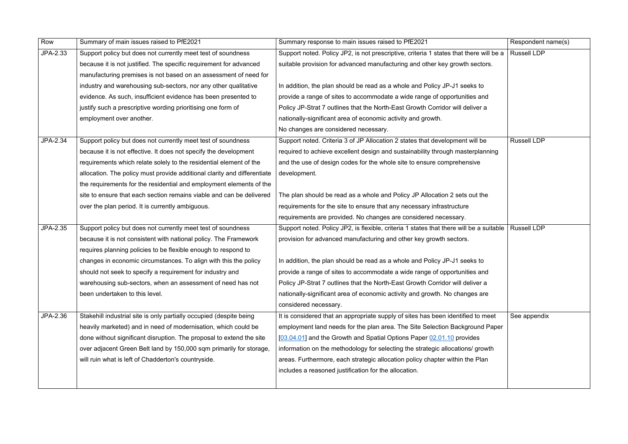| Row      | Summary of main issues raised to PfE2021                                 | Summary response to main issues raised to PfE2021                                       | Respondent name(s) |
|----------|--------------------------------------------------------------------------|-----------------------------------------------------------------------------------------|--------------------|
| JPA-2.33 | Support policy but does not currently meet test of soundness             | Support noted. Policy JP2, is not prescriptive, criteria 1 states that there will be a  | <b>Russell LDP</b> |
|          | because it is not justified. The specific requirement for advanced       | suitable provision for advanced manufacturing and other key growth sectors.             |                    |
|          | manufacturing premises is not based on an assessment of need for         |                                                                                         |                    |
|          | industry and warehousing sub-sectors, nor any other qualitative          | In addition, the plan should be read as a whole and Policy JP-J1 seeks to               |                    |
|          | evidence. As such, insufficient evidence has been presented to           | provide a range of sites to accommodate a wide range of opportunities and               |                    |
|          | justify such a prescriptive wording prioritising one form of             | Policy JP-Strat 7 outlines that the North-East Growth Corridor will deliver a           |                    |
|          | employment over another.                                                 | nationally-significant area of economic activity and growth.                            |                    |
|          |                                                                          | No changes are considered necessary.                                                    |                    |
| JPA-2.34 | Support policy but does not currently meet test of soundness             | Support noted. Criteria 3 of JP Allocation 2 states that development will be            | <b>Russell LDP</b> |
|          | because it is not effective. It does not specify the development         | required to achieve excellent design and sustainability through masterplanning          |                    |
|          | requirements which relate solely to the residential element of the       | and the use of design codes for the whole site to ensure comprehensive                  |                    |
|          | allocation. The policy must provide additional clarity and differentiate | development.                                                                            |                    |
|          | the requirements for the residential and employment elements of the      |                                                                                         |                    |
|          | site to ensure that each section remains viable and can be delivered     | The plan should be read as a whole and Policy JP Allocation 2 sets out the              |                    |
|          | over the plan period. It is currently ambiguous.                         | requirements for the site to ensure that any necessary infrastructure                   |                    |
|          |                                                                          | requirements are provided. No changes are considered necessary.                         |                    |
| JPA-2.35 | Support policy but does not currently meet test of soundness             | Support noted. Policy JP2, is flexible, criteria 1 states that there will be a suitable | <b>Russell LDP</b> |
|          | because it is not consistent with national policy. The Framework         | provision for advanced manufacturing and other key growth sectors.                      |                    |
|          | requires planning policies to be flexible enough to respond to           |                                                                                         |                    |
|          | changes in economic circumstances. To align with this the policy         | In addition, the plan should be read as a whole and Policy JP-J1 seeks to               |                    |
|          | should not seek to specify a requirement for industry and                | provide a range of sites to accommodate a wide range of opportunities and               |                    |
|          | warehousing sub-sectors, when an assessment of need has not              | Policy JP-Strat 7 outlines that the North-East Growth Corridor will deliver a           |                    |
|          | been undertaken to this level.                                           | nationally-significant area of economic activity and growth. No changes are             |                    |
|          |                                                                          | considered necessary.                                                                   |                    |
| JPA-2.36 | Stakehill industrial site is only partially occupied (despite being      | It is considered that an appropriate supply of sites has been identified to meet        | See appendix       |
|          | heavily marketed) and in need of modernisation, which could be           | employment land needs for the plan area. The Site Selection Background Paper            |                    |
|          | done without significant disruption. The proposal to extend the site     | [03.04.01] and the Growth and Spatial Options Paper 02.01.10 provides                   |                    |
|          | over adjacent Green Belt land by 150,000 sqm primarily for storage,      | information on the methodology for selecting the strategic allocations/ growth          |                    |
|          | will ruin what is left of Chadderton's countryside.                      | areas. Furthermore, each strategic allocation policy chapter within the Plan            |                    |
|          |                                                                          | includes a reasoned justification for the allocation.                                   |                    |
|          |                                                                          |                                                                                         |                    |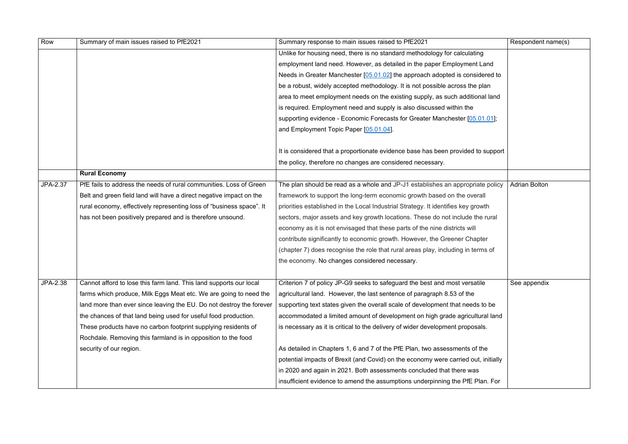| Row      | Summary of main issues raised to PfE2021                             | Summary response to main issues raised to PfE2021                                  | Respondent name(s)   |
|----------|----------------------------------------------------------------------|------------------------------------------------------------------------------------|----------------------|
|          |                                                                      | Unlike for housing need, there is no standard methodology for calculating          |                      |
|          |                                                                      | employment land need. However, as detailed in the paper Employment Land            |                      |
|          |                                                                      | Needs in Greater Manchester [05.01.02] the approach adopted is considered to       |                      |
|          |                                                                      | be a robust, widely accepted methodology. It is not possible across the plan       |                      |
|          |                                                                      | area to meet employment needs on the existing supply, as such additional land      |                      |
|          |                                                                      | is required. Employment need and supply is also discussed within the               |                      |
|          |                                                                      | supporting evidence - Economic Forecasts for Greater Manchester [05.01.01];        |                      |
|          |                                                                      | and Employment Topic Paper [05.01.04].                                             |                      |
|          |                                                                      |                                                                                    |                      |
|          |                                                                      | It is considered that a proportionate evidence base has been provided to support   |                      |
|          |                                                                      | the policy, therefore no changes are considered necessary.                         |                      |
|          | <b>Rural Economy</b>                                                 |                                                                                    |                      |
| JPA-2.37 | PfE fails to address the needs of rural communities. Loss of Green   | The plan should be read as a whole and JP-J1 establishes an appropriate policy     | <b>Adrian Bolton</b> |
|          | Belt and green field land will have a direct negative impact on the  | framework to support the long-term economic growth based on the overall            |                      |
|          | rural economy, effectively representing loss of "business space". It | priorities established in the Local Industrial Strategy. It identifies key growth  |                      |
|          | has not been positively prepared and is therefore unsound.           | sectors, major assets and key growth locations. These do not include the rural     |                      |
|          |                                                                      | economy as it is not envisaged that these parts of the nine districts will         |                      |
|          |                                                                      | contribute significantly to economic growth. However, the Greener Chapter          |                      |
|          |                                                                      | (chapter 7) does recognise the role that rural areas play, including in terms of   |                      |
|          |                                                                      | the economy. No changes considered necessary.                                      |                      |
|          |                                                                      |                                                                                    |                      |
| JPA-2.38 | Cannot afford to lose this farm land. This land supports our local   | Criterion 7 of policy JP-G9 seeks to safeguard the best and most versatile         | See appendix         |
|          | farms which produce, Milk Eggs Meat etc. We are going to need the    | agricultural land. However, the last sentence of paragraph 8.53 of the             |                      |
|          | land more than ever since leaving the EU. Do not destroy the forever | supporting text states given the overall scale of development that needs to be     |                      |
|          | the chances of that land being used for useful food production.      | accommodated a limited amount of development on high grade agricultural land       |                      |
|          | These products have no carbon footprint supplying residents of       | is necessary as it is critical to the delivery of wider development proposals.     |                      |
|          | Rochdale. Removing this farmland is in opposition to the food        |                                                                                    |                      |
|          | security of our region.                                              | As detailed in Chapters 1, 6 and 7 of the PfE Plan, two assessments of the         |                      |
|          |                                                                      | potential impacts of Brexit (and Covid) on the economy were carried out, initially |                      |
|          |                                                                      | in 2020 and again in 2021. Both assessments concluded that there was               |                      |
|          |                                                                      | insufficient evidence to amend the assumptions underpinning the PfE Plan. For      |                      |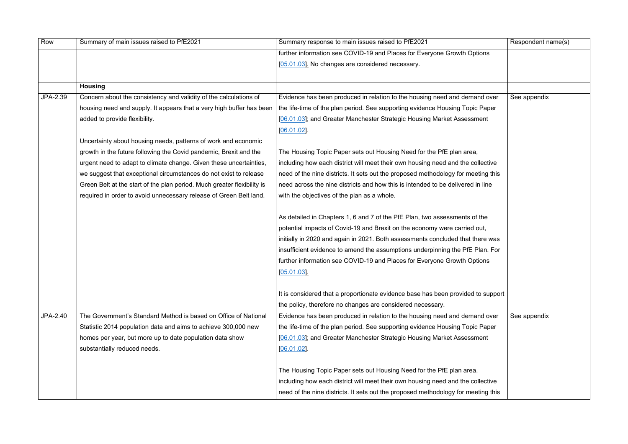| Row      | Summary of main issues raised to PfE2021                                | Summary response to main issues raised to PfE2021                                 | Respondent name(s) |
|----------|-------------------------------------------------------------------------|-----------------------------------------------------------------------------------|--------------------|
|          |                                                                         | further information see COVID-19 and Places for Everyone Growth Options           |                    |
|          |                                                                         | [05.01.03]. No changes are considered necessary.                                  |                    |
|          |                                                                         |                                                                                   |                    |
|          | <b>Housing</b>                                                          |                                                                                   |                    |
| JPA-2.39 | Concern about the consistency and validity of the calculations of       | Evidence has been produced in relation to the housing need and demand over        | See appendix       |
|          | housing need and supply. It appears that a very high buffer has been    | the life-time of the plan period. See supporting evidence Housing Topic Paper     |                    |
|          | added to provide flexibility.                                           | [06.01.03]; and Greater Manchester Strategic Housing Market Assessment            |                    |
|          |                                                                         | $[06.01.02]$ .                                                                    |                    |
|          | Uncertainty about housing needs, patterns of work and economic          |                                                                                   |                    |
|          | growth in the future following the Covid pandemic, Brexit and the       | The Housing Topic Paper sets out Housing Need for the PfE plan area,              |                    |
|          | urgent need to adapt to climate change. Given these uncertainties,      | including how each district will meet their own housing need and the collective   |                    |
|          | we suggest that exceptional circumstances do not exist to release       | need of the nine districts. It sets out the proposed methodology for meeting this |                    |
|          | Green Belt at the start of the plan period. Much greater flexibility is | need across the nine districts and how this is intended to be delivered in line   |                    |
|          | required in order to avoid unnecessary release of Green Belt land.      | with the objectives of the plan as a whole.                                       |                    |
|          |                                                                         |                                                                                   |                    |
|          |                                                                         | As detailed in Chapters 1, 6 and 7 of the PfE Plan, two assessments of the        |                    |
|          |                                                                         | potential impacts of Covid-19 and Brexit on the economy were carried out,         |                    |
|          |                                                                         | initially in 2020 and again in 2021. Both assessments concluded that there was    |                    |
|          |                                                                         | insufficient evidence to amend the assumptions underpinning the PfE Plan. For     |                    |
|          |                                                                         | further information see COVID-19 and Places for Everyone Growth Options           |                    |
|          |                                                                         | [05.01.03]                                                                        |                    |
|          |                                                                         |                                                                                   |                    |
|          |                                                                         | It is considered that a proportionate evidence base has been provided to support  |                    |
|          |                                                                         | the policy, therefore no changes are considered necessary.                        |                    |
| JPA-2.40 | The Government's Standard Method is based on Office of National         | Evidence has been produced in relation to the housing need and demand over        | See appendix       |
|          | Statistic 2014 population data and aims to achieve 300,000 new          | the life-time of the plan period. See supporting evidence Housing Topic Paper     |                    |
|          | homes per year, but more up to date population data show                | [06.01.03]; and Greater Manchester Strategic Housing Market Assessment            |                    |
|          | substantially reduced needs.                                            | [06.01.02]                                                                        |                    |
|          |                                                                         |                                                                                   |                    |
|          |                                                                         | The Housing Topic Paper sets out Housing Need for the PfE plan area,              |                    |
|          |                                                                         | including how each district will meet their own housing need and the collective   |                    |
|          |                                                                         | need of the nine districts. It sets out the proposed methodology for meeting this |                    |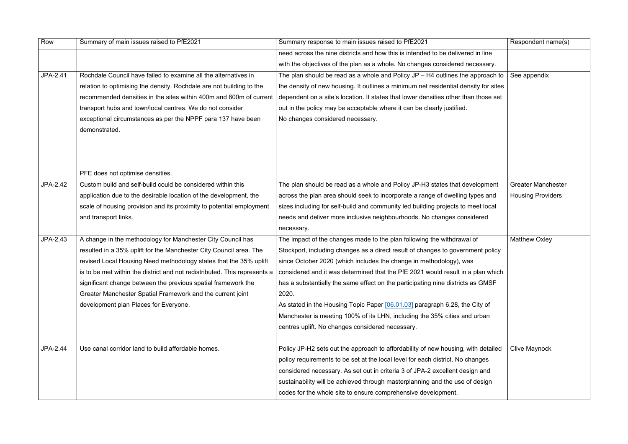| Row      | Summary of main issues raised to PfE2021                                  | Summary response to main issues raised to PfE2021                                   | Respondent name(s)        |
|----------|---------------------------------------------------------------------------|-------------------------------------------------------------------------------------|---------------------------|
|          |                                                                           | need across the nine districts and how this is intended to be delivered in line     |                           |
|          |                                                                           | with the objectives of the plan as a whole. No changes considered necessary.        |                           |
| JPA-2.41 | Rochdale Council have failed to examine all the alternatives in           | The plan should be read as a whole and Policy $JP - H4$ outlines the approach to    | See appendix              |
|          | relation to optimising the density. Rochdale are not building to the      | the density of new housing. It outlines a minimum net residential density for sites |                           |
|          | recommended densities in the sites within 400m and 800m of current        | dependent on a site's location. It states that lower densities other than those set |                           |
|          | transport hubs and town/local centres. We do not consider                 | out in the policy may be acceptable where it can be clearly justified.              |                           |
|          | exceptional circumstances as per the NPPF para 137 have been              | No changes considered necessary.                                                    |                           |
|          | demonstrated.                                                             |                                                                                     |                           |
|          |                                                                           |                                                                                     |                           |
|          |                                                                           |                                                                                     |                           |
|          |                                                                           |                                                                                     |                           |
|          | PFE does not optimise densities.                                          |                                                                                     |                           |
| JPA-2.42 | Custom build and self-build could be considered within this               | The plan should be read as a whole and Policy JP-H3 states that development         | <b>Greater Manchester</b> |
|          | application due to the desirable location of the development, the         | across the plan area should seek to incorporate a range of dwelling types and       | <b>Housing Providers</b>  |
|          | scale of housing provision and its proximity to potential employment      | sizes including for self-build and community led building projects to meet local    |                           |
|          | and transport links.                                                      | needs and deliver more inclusive neighbourhoods. No changes considered              |                           |
|          |                                                                           | necessary.                                                                          |                           |
| JPA-2.43 | A change in the methodology for Manchester City Council has               | The impact of the changes made to the plan following the withdrawal of              | Matthew Oxley             |
|          | resulted in a 35% uplift for the Manchester City Council area. The        | Stockport, including changes as a direct result of changes to government policy     |                           |
|          | revised Local Housing Need methodology states that the 35% uplift         | since October 2020 (which includes the change in methodology), was                  |                           |
|          | is to be met within the district and not redistributed. This represents a | considered and it was determined that the PfE 2021 would result in a plan which     |                           |
|          | significant change between the previous spatial framework the             | has a substantially the same effect on the participating nine districts as GMSF     |                           |
|          | Greater Manchester Spatial Framework and the current joint                | 2020.                                                                               |                           |
|          | development plan Places for Everyone.                                     | As stated in the Housing Topic Paper [06.01.03] paragraph 6.28, the City of         |                           |
|          |                                                                           | Manchester is meeting 100% of its LHN, including the 35% cities and urban           |                           |
|          |                                                                           | centres uplift. No changes considered necessary.                                    |                           |
|          |                                                                           |                                                                                     |                           |
| JPA-2.44 | Use canal corridor land to build affordable homes.                        | Policy JP-H2 sets out the approach to affordability of new housing, with detailed   | <b>Clive Maynock</b>      |
|          |                                                                           | policy requirements to be set at the local level for each district. No changes      |                           |
|          |                                                                           | considered necessary. As set out in criteria 3 of JPA-2 excellent design and        |                           |
|          |                                                                           | sustainability will be achieved through masterplanning and the use of design        |                           |
|          |                                                                           | codes for the whole site to ensure comprehensive development.                       |                           |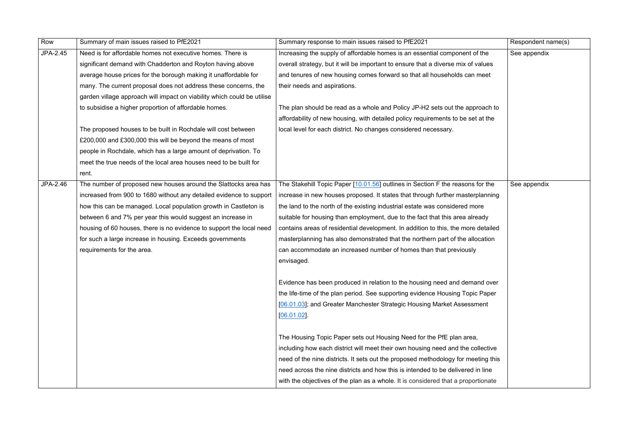| Row             | Summary of main issues raised to PfE2021                                | Summary response to main issues raised to PfE2021                                 | Respondent name(s) |
|-----------------|-------------------------------------------------------------------------|-----------------------------------------------------------------------------------|--------------------|
| <b>JPA-2.45</b> | Need is for affordable homes not executive homes. There is              | Increasing the supply of affordable homes is an essential component of the        | See appendix       |
|                 | significant demand with Chadderton and Royton having above              | overall strategy, but it will be important to ensure that a diverse mix of values |                    |
|                 | average house prices for the borough making it unaffordable for         | and tenures of new housing comes forward so that all households can meet          |                    |
|                 | many. The current proposal does not address these concerns, the         | their needs and aspirations.                                                      |                    |
|                 | garden village approach will impact on viability which could be utilise |                                                                                   |                    |
|                 | to subsidise a higher proportion of affordable homes.                   | The plan should be read as a whole and Policy JP-H2 sets out the approach to      |                    |
|                 |                                                                         | affordability of new housing, with detailed policy requirements to be set at the  |                    |
|                 | The proposed houses to be built in Rochdale will cost between           | local level for each district. No changes considered necessary.                   |                    |
|                 | £200,000 and £300,000 this will be beyond the means of most             |                                                                                   |                    |
|                 | people in Rochdale, which has a large amount of deprivation. To         |                                                                                   |                    |
|                 | meet the true needs of the local area houses need to be built for       |                                                                                   |                    |
|                 | rent.                                                                   |                                                                                   |                    |
| JPA-2.46        | The number of proposed new houses around the Slattocks area has         | The Stakehill Topic Paper [10.01.56] outlines in Section F the reasons for the    | See appendix       |
|                 | increased from 900 to 1680 without any detailed evidence to support     | increase in new houses proposed. It states that through further masterplanning    |                    |
|                 | how this can be managed. Local population growth in Castleton is        | the land to the north of the existing industrial estate was considered more       |                    |
|                 | between 6 and 7% per year this would suggest an increase in             | suitable for housing than employment, due to the fact that this area already      |                    |
|                 | housing of 60 houses, there is no evidence to support the local need    | contains areas of residential development. In addition to this, the more detailed |                    |
|                 | for such a large increase in housing. Exceeds governments               | masterplanning has also demonstrated that the northern part of the allocation     |                    |
|                 | requirements for the area.                                              | can accommodate an increased number of homes than that previously                 |                    |
|                 |                                                                         | envisaged.                                                                        |                    |
|                 |                                                                         |                                                                                   |                    |
|                 |                                                                         | Evidence has been produced in relation to the housing need and demand over        |                    |
|                 |                                                                         | the life-time of the plan period. See supporting evidence Housing Topic Paper     |                    |
|                 |                                                                         | [06.01.03]; and Greater Manchester Strategic Housing Market Assessment            |                    |
|                 |                                                                         | $[06.01.02]$ .                                                                    |                    |
|                 |                                                                         |                                                                                   |                    |
|                 |                                                                         | The Housing Topic Paper sets out Housing Need for the PfE plan area,              |                    |
|                 |                                                                         | including how each district will meet their own housing need and the collective   |                    |
|                 |                                                                         | need of the nine districts. It sets out the proposed methodology for meeting this |                    |
|                 |                                                                         | need across the nine districts and how this is intended to be delivered in line   |                    |
|                 |                                                                         | with the objectives of the plan as a whole. It is considered that a proportionate |                    |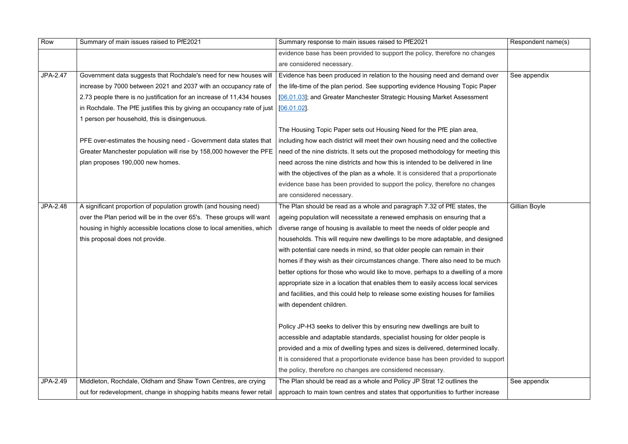| Row      | Summary of main issues raised to PfE2021                                | Summary response to main issues raised to PfE2021                                 | Respondent name(s) |
|----------|-------------------------------------------------------------------------|-----------------------------------------------------------------------------------|--------------------|
|          |                                                                         | evidence base has been provided to support the policy, therefore no changes       |                    |
|          |                                                                         | are considered necessary.                                                         |                    |
| JPA-2.47 | Government data suggests that Rochdale's need for new houses will       | Evidence has been produced in relation to the housing need and demand over        | See appendix       |
|          | increase by 7000 between 2021 and 2037 with an occupancy rate of        | the life-time of the plan period. See supporting evidence Housing Topic Paper     |                    |
|          | 2.73 people there is no justification for an increase of 11,434 houses  | [06.01.03]; and Greater Manchester Strategic Housing Market Assessment            |                    |
|          | in Rochdale. The PfE justifies this by giving an occupancy rate of just | $[06.01.02]$ .                                                                    |                    |
|          | 1 person per household, this is disingenuous.                           |                                                                                   |                    |
|          |                                                                         | The Housing Topic Paper sets out Housing Need for the PfE plan area,              |                    |
|          | PFE over-estimates the housing need - Government data states that       | including how each district will meet their own housing need and the collective   |                    |
|          | Greater Manchester population will rise by 158,000 however the PFE      | need of the nine districts. It sets out the proposed methodology for meeting this |                    |
|          | plan proposes 190,000 new homes.                                        | need across the nine districts and how this is intended to be delivered in line   |                    |
|          |                                                                         | with the objectives of the plan as a whole. It is considered that a proportionate |                    |
|          |                                                                         | evidence base has been provided to support the policy, therefore no changes       |                    |
|          |                                                                         | are considered necessary.                                                         |                    |
| JPA-2.48 | A significant proportion of population growth (and housing need)        | The Plan should be read as a whole and paragraph 7.32 of PfE states, the          | Gillian Boyle      |
|          | over the Plan period will be in the over 65's. These groups will want   | ageing population will necessitate a renewed emphasis on ensuring that a          |                    |
|          | housing in highly accessible locations close to local amenities, which  | diverse range of housing is available to meet the needs of older people and       |                    |
|          | this proposal does not provide.                                         | households. This will require new dwellings to be more adaptable, and designed    |                    |
|          |                                                                         | with potential care needs in mind, so that older people can remain in their       |                    |
|          |                                                                         | homes if they wish as their circumstances change. There also need to be much      |                    |
|          |                                                                         | better options for those who would like to move, perhaps to a dwelling of a more  |                    |
|          |                                                                         | appropriate size in a location that enables them to easily access local services  |                    |
|          |                                                                         | and facilities, and this could help to release some existing houses for families  |                    |
|          |                                                                         | with dependent children.                                                          |                    |
|          |                                                                         | Policy JP-H3 seeks to deliver this by ensuring new dwellings are built to         |                    |
|          |                                                                         | accessible and adaptable standards, specialist housing for older people is        |                    |
|          |                                                                         | provided and a mix of dwelling types and sizes is delivered, determined locally.  |                    |
|          |                                                                         | It is considered that a proportionate evidence base has been provided to support  |                    |
|          |                                                                         | the policy, therefore no changes are considered necessary.                        |                    |
| JPA-2.49 | Middleton, Rochdale, Oldham and Shaw Town Centres, are crying           | The Plan should be read as a whole and Policy JP Strat 12 outlines the            | See appendix       |
|          | out for redevelopment, change in shopping habits means fewer retail     | approach to main town centres and states that opportunities to further increase   |                    |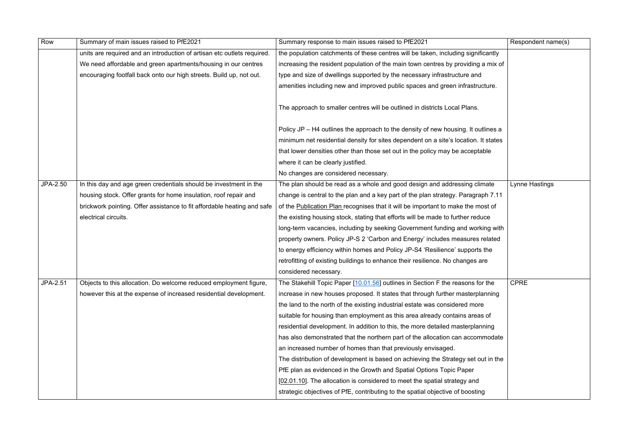| Row      | Summary of main issues raised to PfE2021                                | Summary response to main issues raised to PfE2021                                   | Respondent name(s)    |
|----------|-------------------------------------------------------------------------|-------------------------------------------------------------------------------------|-----------------------|
|          | units are required and an introduction of artisan etc outlets required. | the population catchments of these centres will be taken, including significantly   |                       |
|          | We need affordable and green apartments/housing in our centres          | increasing the resident population of the main town centres by providing a mix of   |                       |
|          | encouraging footfall back onto our high streets. Build up, not out.     | type and size of dwellings supported by the necessary infrastructure and            |                       |
|          |                                                                         | amenities including new and improved public spaces and green infrastructure.        |                       |
|          |                                                                         | The approach to smaller centres will be outlined in districts Local Plans.          |                       |
|          |                                                                         |                                                                                     |                       |
|          |                                                                         | Policy JP – H4 outlines the approach to the density of new housing. It outlines a   |                       |
|          |                                                                         | minimum net residential density for sites dependent on a site's location. It states |                       |
|          |                                                                         | that lower densities other than those set out in the policy may be acceptable       |                       |
|          |                                                                         | where it can be clearly justified.                                                  |                       |
|          |                                                                         | No changes are considered necessary.                                                |                       |
| JPA-2.50 | In this day and age green credentials should be investment in the       | The plan should be read as a whole and good design and addressing climate           | <b>Lynne Hastings</b> |
|          | housing stock. Offer grants for home insulation, roof repair and        | change is central to the plan and a key part of the plan strategy. Paragraph 7.11   |                       |
|          | brickwork pointing. Offer assistance to fit affordable heating and safe | of the Publication Plan recognises that it will be important to make the most of    |                       |
|          | electrical circuits.                                                    | the existing housing stock, stating that efforts will be made to further reduce     |                       |
|          |                                                                         | long-term vacancies, including by seeking Government funding and working with       |                       |
|          |                                                                         | property owners. Policy JP-S 2 'Carbon and Energy' includes measures related        |                       |
|          |                                                                         | to energy efficiency within homes and Policy JP-S4 'Resilience' supports the        |                       |
|          |                                                                         | retrofitting of existing buildings to enhance their resilience. No changes are      |                       |
|          |                                                                         | considered necessary.                                                               |                       |
| JPA-2.51 | Objects to this allocation. Do welcome reduced employment figure,       | The Stakehill Topic Paper [10.01.56] outlines in Section F the reasons for the      | <b>CPRE</b>           |
|          | however this at the expense of increased residential development.       | increase in new houses proposed. It states that through further masterplanning      |                       |
|          |                                                                         | the land to the north of the existing industrial estate was considered more         |                       |
|          |                                                                         | suitable for housing than employment as this area already contains areas of         |                       |
|          |                                                                         | residential development. In addition to this, the more detailed masterplanning      |                       |
|          |                                                                         | has also demonstrated that the northern part of the allocation can accommodate      |                       |
|          |                                                                         | an increased number of homes than that previously envisaged.                        |                       |
|          |                                                                         | The distribution of development is based on achieving the Strategy set out in the   |                       |
|          |                                                                         | PfE plan as evidenced in the Growth and Spatial Options Topic Paper                 |                       |
|          |                                                                         | [02.01.10]. The allocation is considered to meet the spatial strategy and           |                       |
|          |                                                                         | strategic objectives of PfE, contributing to the spatial objective of boosting      |                       |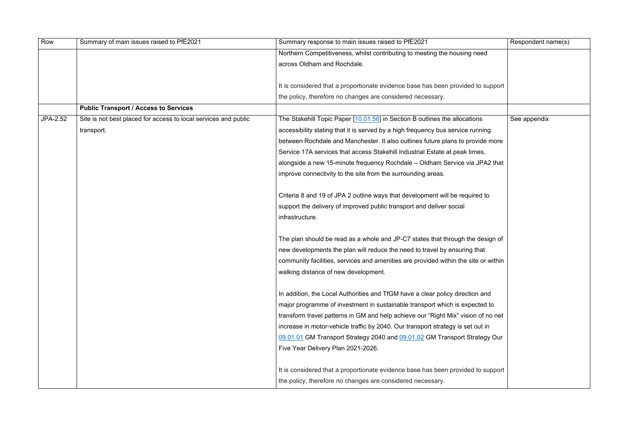| Row             | Summary of main issues raised to PfE2021                        | Summary response to main issues raised to PfE2021                                   | Respondent name(s) |
|-----------------|-----------------------------------------------------------------|-------------------------------------------------------------------------------------|--------------------|
|                 |                                                                 | Northern Competitiveness, whilst contributing to meeting the housing need           |                    |
|                 |                                                                 | across Oldham and Rochdale.                                                         |                    |
|                 |                                                                 |                                                                                     |                    |
|                 |                                                                 | It is considered that a proportionate evidence base has been provided to support    |                    |
|                 |                                                                 | the policy, therefore no changes are considered necessary.                          |                    |
|                 | <b>Public Transport / Access to Services</b>                    |                                                                                     |                    |
| <b>JPA-2.52</b> | Site is not best placed for access to local services and public | The Stakehill Topic Paper [10.01.56] in Section B outlines the allocations          | See appendix       |
|                 | transport.                                                      | accessibility stating that it is served by a high frequency bus service running     |                    |
|                 |                                                                 | between Rochdale and Manchester. It also outlines future plans to provide more      |                    |
|                 |                                                                 | Service 17A services that access Stakehill Industrial Estate at peak times,         |                    |
|                 |                                                                 | alongside a new 15-minute frequency Rochdale – Oldham Service via JPA2 that         |                    |
|                 |                                                                 | improve connectivity to the site from the surrounding areas.                        |                    |
|                 |                                                                 |                                                                                     |                    |
|                 |                                                                 | Criteria 8 and 19 of JPA 2 outline ways that development will be required to        |                    |
|                 |                                                                 | support the delivery of improved public transport and deliver social                |                    |
|                 |                                                                 | infrastructure.                                                                     |                    |
|                 |                                                                 |                                                                                     |                    |
|                 |                                                                 | The plan should be read as a whole and JP-C7 states that through the design of      |                    |
|                 |                                                                 | new developments the plan will reduce the need to travel by ensuring that           |                    |
|                 |                                                                 | community facilities, services and amenities are provided within the site or within |                    |
|                 |                                                                 | walking distance of new development.                                                |                    |
|                 |                                                                 |                                                                                     |                    |
|                 |                                                                 | In addition, the Local Authorities and TfGM have a clear policy direction and       |                    |
|                 |                                                                 | major programme of investment in sustainable transport which is expected to         |                    |
|                 |                                                                 | transform travel patterns in GM and help achieve our "Right Mix" vision of no net   |                    |
|                 |                                                                 | increase in motor-vehicle traffic by 2040. Our transport strategy is set out in     |                    |
|                 |                                                                 | 09.01.01 GM Transport Strategy 2040 and 09.01.02 GM Transport Strategy Our          |                    |
|                 |                                                                 | Five Year Delivery Plan 2021-2026.                                                  |                    |
|                 |                                                                 |                                                                                     |                    |
|                 |                                                                 | It is considered that a proportionate evidence base has been provided to support    |                    |
|                 |                                                                 | the policy, therefore no changes are considered necessary.                          |                    |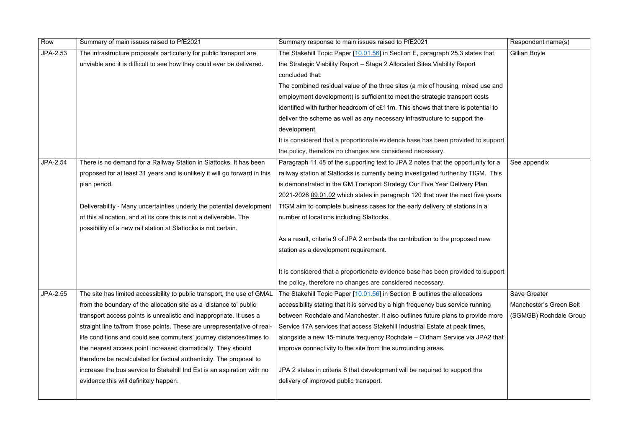| Row             | Summary of main issues raised to PfE2021                                  | Summary response to main issues raised to PfE2021                                  | Respondent name(s)      |
|-----------------|---------------------------------------------------------------------------|------------------------------------------------------------------------------------|-------------------------|
| JPA-2.53        | The infrastructure proposals particularly for public transport are        | The Stakehill Topic Paper [10.01.56] in Section E, paragraph 25.3 states that      | Gillian Boyle           |
|                 | unviable and it is difficult to see how they could ever be delivered.     | the Strategic Viability Report - Stage 2 Allocated Sites Viability Report          |                         |
|                 |                                                                           | concluded that:                                                                    |                         |
|                 |                                                                           | The combined residual value of the three sites (a mix of housing, mixed use and    |                         |
|                 |                                                                           | employment development) is sufficient to meet the strategic transport costs        |                         |
|                 |                                                                           | identified with further headroom of c£11m. This shows that there is potential to   |                         |
|                 |                                                                           | deliver the scheme as well as any necessary infrastructure to support the          |                         |
|                 |                                                                           | development.                                                                       |                         |
|                 |                                                                           | It is considered that a proportionate evidence base has been provided to support   |                         |
|                 |                                                                           | the policy, therefore no changes are considered necessary.                         |                         |
| JPA-2.54        | There is no demand for a Railway Station in Slattocks. It has been        | Paragraph 11.48 of the supporting text to JPA 2 notes that the opportunity for a   | See appendix            |
|                 | proposed for at least 31 years and is unlikely it will go forward in this | railway station at Slattocks is currently being investigated further by TfGM. This |                         |
|                 | plan period.                                                              | is demonstrated in the GM Transport Strategy Our Five Year Delivery Plan           |                         |
|                 |                                                                           | 2021-2026 09.01.02 which states in paragraph 120 that over the next five years     |                         |
|                 | Deliverability - Many uncertainties underly the potential development     | TfGM aim to complete business cases for the early delivery of stations in a        |                         |
|                 | of this allocation, and at its core this is not a deliverable. The        | number of locations including Slattocks.                                           |                         |
|                 | possibility of a new rail station at Slattocks is not certain.            |                                                                                    |                         |
|                 |                                                                           | As a result, criteria 9 of JPA 2 embeds the contribution to the proposed new       |                         |
|                 |                                                                           | station as a development requirement.                                              |                         |
|                 |                                                                           |                                                                                    |                         |
|                 |                                                                           | It is considered that a proportionate evidence base has been provided to support   |                         |
|                 |                                                                           | the policy, therefore no changes are considered necessary.                         |                         |
| <b>JPA-2.55</b> | The site has limited accessibility to public transport, the use of GMAL   | The Stakehill Topic Paper [10.01.56] in Section B outlines the allocations         | <b>Save Greater</b>     |
|                 | from the boundary of the allocation site as a 'distance to' public        | accessibility stating that it is served by a high frequency bus service running    | Manchester's Green Belt |
|                 | transport access points is unrealistic and inappropriate. It uses a       | between Rochdale and Manchester. It also outlines future plans to provide more     | (SGMGB) Rochdale Group  |
|                 | straight line to/from those points. These are unrepresentative of real-   | Service 17A services that access Stakehill Industrial Estate at peak times,        |                         |
|                 | life conditions and could see commuters' journey distances/times to       | alongside a new 15-minute frequency Rochdale – Oldham Service via JPA2 that        |                         |
|                 | the nearest access point increased dramatically. They should              | improve connectivity to the site from the surrounding areas.                       |                         |
|                 | therefore be recalculated for factual authenticity. The proposal to       |                                                                                    |                         |
|                 | increase the bus service to Stakehill Ind Est is an aspiration with no    | JPA 2 states in criteria 8 that development will be required to support the        |                         |
|                 | evidence this will definitely happen.                                     | delivery of improved public transport.                                             |                         |
|                 |                                                                           |                                                                                    |                         |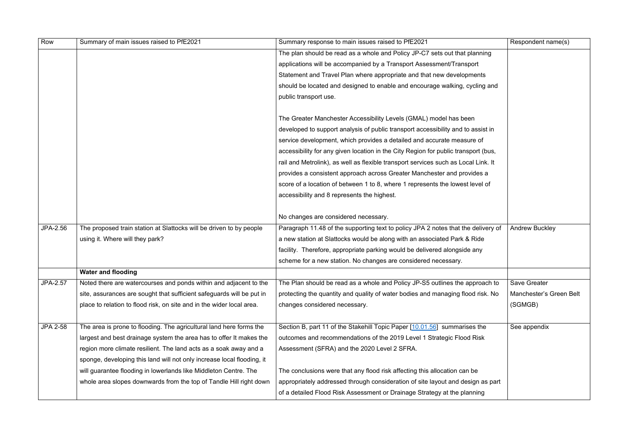| Row             | Summary of main issues raised to PfE2021                               | Summary response to main issues raised to PfE2021                                  | Respondent name(s)      |
|-----------------|------------------------------------------------------------------------|------------------------------------------------------------------------------------|-------------------------|
|                 |                                                                        | The plan should be read as a whole and Policy JP-C7 sets out that planning         |                         |
|                 |                                                                        | applications will be accompanied by a Transport Assessment/Transport               |                         |
|                 |                                                                        | Statement and Travel Plan where appropriate and that new developments              |                         |
|                 |                                                                        | should be located and designed to enable and encourage walking, cycling and        |                         |
|                 |                                                                        | public transport use.                                                              |                         |
|                 |                                                                        |                                                                                    |                         |
|                 |                                                                        | The Greater Manchester Accessibility Levels (GMAL) model has been                  |                         |
|                 |                                                                        | developed to support analysis of public transport accessibility and to assist in   |                         |
|                 |                                                                        | service development, which provides a detailed and accurate measure of             |                         |
|                 |                                                                        | accessibility for any given location in the City Region for public transport (bus, |                         |
|                 |                                                                        | rail and Metrolink), as well as flexible transport services such as Local Link. It |                         |
|                 |                                                                        | provides a consistent approach across Greater Manchester and provides a            |                         |
|                 |                                                                        | score of a location of between 1 to 8, where 1 represents the lowest level of      |                         |
|                 |                                                                        | accessibility and 8 represents the highest.                                        |                         |
|                 |                                                                        |                                                                                    |                         |
|                 |                                                                        | No changes are considered necessary.                                               |                         |
| JPA-2.56        | The proposed train station at Slattocks will be driven to by people    | Paragraph 11.48 of the supporting text to policy JPA 2 notes that the delivery of  | <b>Andrew Buckley</b>   |
|                 | using it. Where will they park?                                        | a new station at Slattocks would be along with an associated Park & Ride           |                         |
|                 |                                                                        | facility. Therefore, appropriate parking would be delivered alongside any          |                         |
|                 |                                                                        | scheme for a new station. No changes are considered necessary.                     |                         |
|                 | <b>Water and flooding</b>                                              |                                                                                    |                         |
| JPA-2.57        | Noted there are watercourses and ponds within and adjacent to the      | The Plan should be read as a whole and Policy JP-S5 outlines the approach to       | <b>Save Greater</b>     |
|                 | site, assurances are sought that sufficient safeguards will be put in  | protecting the quantity and quality of water bodies and managing flood risk. No    | Manchester's Green Belt |
|                 | place to relation to flood risk, on site and in the wider local area.  | changes considered necessary.                                                      | (SGMGB)                 |
|                 |                                                                        |                                                                                    |                         |
| <b>JPA 2-58</b> | The area is prone to flooding. The agricultural land here forms the    | Section B, part 11 of the Stakehill Topic Paper [10.01.56] summarises the          | See appendix            |
|                 | largest and best drainage system the area has to offer It makes the    | outcomes and recommendations of the 2019 Level 1 Strategic Flood Risk              |                         |
|                 | region more climate resilient. The land acts as a soak away and a      | Assessment (SFRA) and the 2020 Level 2 SFRA.                                       |                         |
|                 | sponge, developing this land will not only increase local flooding, it |                                                                                    |                         |
|                 | will guarantee flooding in lowerlands like Middleton Centre. The       | The conclusions were that any flood risk affecting this allocation can be          |                         |
|                 | whole area slopes downwards from the top of Tandle Hill right down     | appropriately addressed through consideration of site layout and design as part    |                         |
|                 |                                                                        | of a detailed Flood Risk Assessment or Drainage Strategy at the planning           |                         |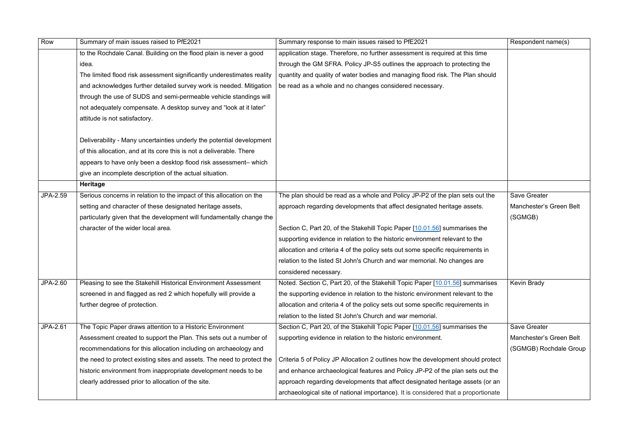| Row      | Summary of main issues raised to PfE2021                               | Summary response to main issues raised to PfE2021                                  | Respondent name(s)      |
|----------|------------------------------------------------------------------------|------------------------------------------------------------------------------------|-------------------------|
|          | to the Rochdale Canal. Building on the flood plain is never a good     | application stage. Therefore, no further assessment is required at this time       |                         |
|          | idea.                                                                  | through the GM SFRA. Policy JP-S5 outlines the approach to protecting the          |                         |
|          | The limited flood risk assessment significantly underestimates reality | quantity and quality of water bodies and managing flood risk. The Plan should      |                         |
|          | and acknowledges further detailed survey work is needed. Mitigation    | be read as a whole and no changes considered necessary.                            |                         |
|          | through the use of SUDS and semi-permeable vehicle standings will      |                                                                                    |                         |
|          | not adequately compensate. A desktop survey and "look at it later"     |                                                                                    |                         |
|          | attitude is not satisfactory.                                          |                                                                                    |                         |
|          | Deliverability - Many uncertainties underly the potential development  |                                                                                    |                         |
|          | of this allocation, and at its core this is not a deliverable. There   |                                                                                    |                         |
|          | appears to have only been a desktop flood risk assessment-which        |                                                                                    |                         |
|          | give an incomplete description of the actual situation.                |                                                                                    |                         |
|          | <b>Heritage</b>                                                        |                                                                                    |                         |
| JPA-2.59 | Serious concerns in relation to the impact of this allocation on the   | The plan should be read as a whole and Policy JP-P2 of the plan sets out the       | <b>Save Greater</b>     |
|          | setting and character of these designated heritage assets,             | approach regarding developments that affect designated heritage assets.            | Manchester's Green Belt |
|          | particularly given that the development will fundamentally change the  |                                                                                    | (SGMGB)                 |
|          | character of the wider local area.                                     | Section C, Part 20, of the Stakehill Topic Paper [10.01.56] summarises the         |                         |
|          |                                                                        | supporting evidence in relation to the historic environment relevant to the        |                         |
|          |                                                                        | allocation and criteria 4 of the policy sets out some specific requirements in     |                         |
|          |                                                                        | relation to the listed St John's Church and war memorial. No changes are           |                         |
|          |                                                                        | considered necessary.                                                              |                         |
| JPA-2.60 | Pleasing to see the Stakehill Historical Environment Assessment        | Noted. Section C, Part 20, of the Stakehill Topic Paper [10.01.56] summarises      | <b>Kevin Brady</b>      |
|          | screened in and flagged as red 2 which hopefully will provide a        | the supporting evidence in relation to the historic environment relevant to the    |                         |
|          | further degree of protection.                                          | allocation and criteria 4 of the policy sets out some specific requirements in     |                         |
|          |                                                                        | relation to the listed St John's Church and war memorial.                          |                         |
| JPA-2.61 | The Topic Paper draws attention to a Historic Environment              | Section C, Part 20, of the Stakehill Topic Paper [10.01.56] summarises the         | <b>Save Greater</b>     |
|          | Assessment created to support the Plan. This sets out a number of      | supporting evidence in relation to the historic environment.                       | Manchester's Green Belt |
|          | recommendations for this allocation including on archaeology and       |                                                                                    | (SGMGB) Rochdale Group  |
|          | the need to protect existing sites and assets. The need to protect the | Criteria 5 of Policy JP Allocation 2 outlines how the development should protect   |                         |
|          | historic environment from inappropriate development needs to be        | and enhance archaeological features and Policy JP-P2 of the plan sets out the      |                         |
|          | clearly addressed prior to allocation of the site.                     | approach regarding developments that affect designated heritage assets (or an      |                         |
|          |                                                                        | archaeological site of national importance). It is considered that a proportionate |                         |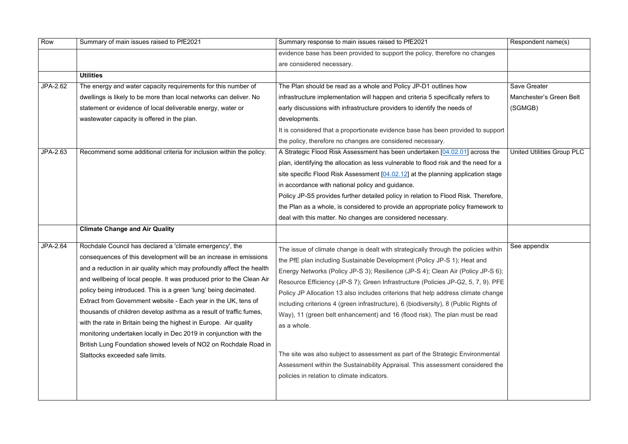| Row      | Summary of main issues raised to PfE2021                                                                                                                                                                                                                                                                                                                                                                                                                                                                                                                                                                                                                                                                                                     | Summary response to main issues raised to PfE2021                                                                                                                                                                                                                                                                                                                                                                                                                                                                                                                                                                                                                                                                                                                                        | Respondent name(s)         |
|----------|----------------------------------------------------------------------------------------------------------------------------------------------------------------------------------------------------------------------------------------------------------------------------------------------------------------------------------------------------------------------------------------------------------------------------------------------------------------------------------------------------------------------------------------------------------------------------------------------------------------------------------------------------------------------------------------------------------------------------------------------|------------------------------------------------------------------------------------------------------------------------------------------------------------------------------------------------------------------------------------------------------------------------------------------------------------------------------------------------------------------------------------------------------------------------------------------------------------------------------------------------------------------------------------------------------------------------------------------------------------------------------------------------------------------------------------------------------------------------------------------------------------------------------------------|----------------------------|
|          |                                                                                                                                                                                                                                                                                                                                                                                                                                                                                                                                                                                                                                                                                                                                              | evidence base has been provided to support the policy, therefore no changes                                                                                                                                                                                                                                                                                                                                                                                                                                                                                                                                                                                                                                                                                                              |                            |
|          |                                                                                                                                                                                                                                                                                                                                                                                                                                                                                                                                                                                                                                                                                                                                              | are considered necessary.                                                                                                                                                                                                                                                                                                                                                                                                                                                                                                                                                                                                                                                                                                                                                                |                            |
|          | <b>Utilities</b>                                                                                                                                                                                                                                                                                                                                                                                                                                                                                                                                                                                                                                                                                                                             |                                                                                                                                                                                                                                                                                                                                                                                                                                                                                                                                                                                                                                                                                                                                                                                          |                            |
| JPA-2.62 | The energy and water capacity requirements for this number of                                                                                                                                                                                                                                                                                                                                                                                                                                                                                                                                                                                                                                                                                | The Plan should be read as a whole and Policy JP-D1 outlines how                                                                                                                                                                                                                                                                                                                                                                                                                                                                                                                                                                                                                                                                                                                         | <b>Save Greater</b>        |
|          | dwellings is likely to be more than local networks can deliver. No                                                                                                                                                                                                                                                                                                                                                                                                                                                                                                                                                                                                                                                                           | infrastructure implementation will happen and criteria 5 specifically refers to                                                                                                                                                                                                                                                                                                                                                                                                                                                                                                                                                                                                                                                                                                          | Manchester's Green Belt    |
|          | statement or evidence of local deliverable energy, water or                                                                                                                                                                                                                                                                                                                                                                                                                                                                                                                                                                                                                                                                                  | early discussions with infrastructure providers to identify the needs of                                                                                                                                                                                                                                                                                                                                                                                                                                                                                                                                                                                                                                                                                                                 | (SGMGB)                    |
|          | wastewater capacity is offered in the plan.                                                                                                                                                                                                                                                                                                                                                                                                                                                                                                                                                                                                                                                                                                  | developments.                                                                                                                                                                                                                                                                                                                                                                                                                                                                                                                                                                                                                                                                                                                                                                            |                            |
|          |                                                                                                                                                                                                                                                                                                                                                                                                                                                                                                                                                                                                                                                                                                                                              | It is considered that a proportionate evidence base has been provided to support                                                                                                                                                                                                                                                                                                                                                                                                                                                                                                                                                                                                                                                                                                         |                            |
|          |                                                                                                                                                                                                                                                                                                                                                                                                                                                                                                                                                                                                                                                                                                                                              | the policy, therefore no changes are considered necessary.                                                                                                                                                                                                                                                                                                                                                                                                                                                                                                                                                                                                                                                                                                                               |                            |
| JPA-2.63 | Recommend some additional criteria for inclusion within the policy.                                                                                                                                                                                                                                                                                                                                                                                                                                                                                                                                                                                                                                                                          | A Strategic Flood Risk Assessment has been undertaken [04.02.01] across the                                                                                                                                                                                                                                                                                                                                                                                                                                                                                                                                                                                                                                                                                                              | United Utilities Group PLC |
|          |                                                                                                                                                                                                                                                                                                                                                                                                                                                                                                                                                                                                                                                                                                                                              | plan, identifying the allocation as less vulnerable to flood risk and the need for a                                                                                                                                                                                                                                                                                                                                                                                                                                                                                                                                                                                                                                                                                                     |                            |
|          |                                                                                                                                                                                                                                                                                                                                                                                                                                                                                                                                                                                                                                                                                                                                              | site specific Flood Risk Assessment [04.02.12] at the planning application stage                                                                                                                                                                                                                                                                                                                                                                                                                                                                                                                                                                                                                                                                                                         |                            |
|          |                                                                                                                                                                                                                                                                                                                                                                                                                                                                                                                                                                                                                                                                                                                                              | in accordance with national policy and guidance.                                                                                                                                                                                                                                                                                                                                                                                                                                                                                                                                                                                                                                                                                                                                         |                            |
|          |                                                                                                                                                                                                                                                                                                                                                                                                                                                                                                                                                                                                                                                                                                                                              | Policy JP-S5 provides further detailed policy in relation to Flood Risk. Therefore,                                                                                                                                                                                                                                                                                                                                                                                                                                                                                                                                                                                                                                                                                                      |                            |
|          |                                                                                                                                                                                                                                                                                                                                                                                                                                                                                                                                                                                                                                                                                                                                              | the Plan as a whole, is considered to provide an appropriate policy framework to                                                                                                                                                                                                                                                                                                                                                                                                                                                                                                                                                                                                                                                                                                         |                            |
|          |                                                                                                                                                                                                                                                                                                                                                                                                                                                                                                                                                                                                                                                                                                                                              | deal with this matter. No changes are considered necessary.                                                                                                                                                                                                                                                                                                                                                                                                                                                                                                                                                                                                                                                                                                                              |                            |
|          | <b>Climate Change and Air Quality</b>                                                                                                                                                                                                                                                                                                                                                                                                                                                                                                                                                                                                                                                                                                        |                                                                                                                                                                                                                                                                                                                                                                                                                                                                                                                                                                                                                                                                                                                                                                                          |                            |
| JPA-2.64 | Rochdale Council has declared a 'climate emergency', the<br>consequences of this development will be an increase in emissions<br>and a reduction in air quality which may profoundly affect the health<br>and wellbeing of local people. It was produced prior to the Clean Air<br>policy being introduced. This is a green 'lung' being decimated.<br>Extract from Government website - Each year in the UK, tens of<br>thousands of children develop asthma as a result of traffic fumes,<br>with the rate in Britain being the highest in Europe. Air quality<br>monitoring undertaken locally in Dec 2019 in conjunction with the<br>British Lung Foundation showed levels of NO2 on Rochdale Road in<br>Slattocks exceeded safe limits. | The issue of climate change is dealt with strategically through the policies within<br>the PfE plan including Sustainable Development (Policy JP-S 1); Heat and<br>Energy Networks (Policy JP-S 3); Resilience (JP-S 4); Clean Air (Policy JP-S 6);<br>Resource Efficiency (JP-S 7); Green Infrastructure (Policies JP-G2, 5, 7, 9). PFE<br>Policy JP Allocation 13 also includes criterions that help address climate change<br>including criterions 4 (green infrastructure), 6 (biodiversity), 8 (Public Rights of<br>Way), 11 (green belt enhancement) and 16 (flood risk). The plan must be read<br>as a whole.<br>The site was also subject to assessment as part of the Strategic Environmental<br>Assessment within the Sustainability Appraisal. This assessment considered the | See appendix               |
|          |                                                                                                                                                                                                                                                                                                                                                                                                                                                                                                                                                                                                                                                                                                                                              | policies in relation to climate indicators.                                                                                                                                                                                                                                                                                                                                                                                                                                                                                                                                                                                                                                                                                                                                              |                            |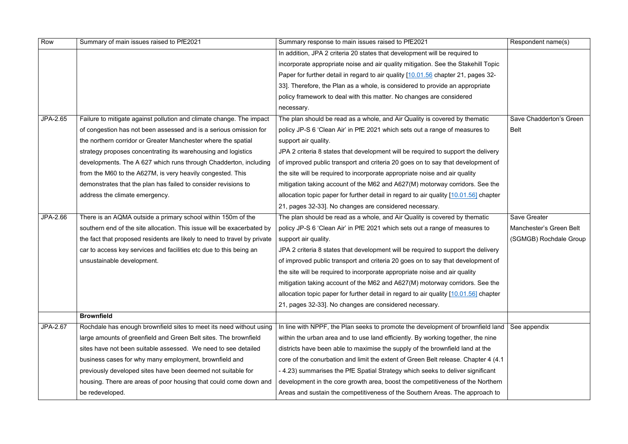| Row      | Summary of main issues raised to PfE2021                                 | Summary response to main issues raised to PfE2021                                     | Respondent name(s)      |
|----------|--------------------------------------------------------------------------|---------------------------------------------------------------------------------------|-------------------------|
|          |                                                                          | In addition, JPA 2 criteria 20 states that development will be required to            |                         |
|          |                                                                          | incorporate appropriate noise and air quality mitigation. See the Stakehill Topic     |                         |
|          |                                                                          | Paper for further detail in regard to air quality [10.01.56 chapter 21, pages 32-     |                         |
|          |                                                                          | 33]. Therefore, the Plan as a whole, is considered to provide an appropriate          |                         |
|          |                                                                          | policy framework to deal with this matter. No changes are considered                  |                         |
|          |                                                                          | necessary.                                                                            |                         |
| JPA-2.65 | Failure to mitigate against pollution and climate change. The impact     | The plan should be read as a whole, and Air Quality is covered by thematic            | Save Chadderton's Green |
|          | of congestion has not been assessed and is a serious omission for        | policy JP-S 6 'Clean Air' in PfE 2021 which sets out a range of measures to           | Belt                    |
|          | the northern corridor or Greater Manchester where the spatial            | support air quality.                                                                  |                         |
|          | strategy proposes concentrating its warehousing and logistics            | JPA 2 criteria 8 states that development will be required to support the delivery     |                         |
|          | developments. The A 627 which runs through Chadderton, including         | of improved public transport and criteria 20 goes on to say that development of       |                         |
|          | from the M60 to the A627M, is very heavily congested. This               | the site will be required to incorporate appropriate noise and air quality            |                         |
|          | demonstrates that the plan has failed to consider revisions to           | mitigation taking account of the M62 and A627(M) motorway corridors. See the          |                         |
|          | address the climate emergency.                                           | allocation topic paper for further detail in regard to air quality [10.01.56] chapter |                         |
|          |                                                                          | 21, pages 32-33]. No changes are considered necessary.                                |                         |
| JPA-2.66 | There is an AQMA outside a primary school within 150m of the             | The plan should be read as a whole, and Air Quality is covered by thematic            | <b>Save Greater</b>     |
|          | southern end of the site allocation. This issue will be exacerbated by   | policy JP-S 6 'Clean Air' in PfE 2021 which sets out a range of measures to           | Manchester's Green Belt |
|          | the fact that proposed residents are likely to need to travel by private | support air quality.                                                                  | (SGMGB) Rochdale Group  |
|          | car to access key services and facilities etc due to this being an       | JPA 2 criteria 8 states that development will be required to support the delivery     |                         |
|          | unsustainable development.                                               | of improved public transport and criteria 20 goes on to say that development of       |                         |
|          |                                                                          | the site will be required to incorporate appropriate noise and air quality            |                         |
|          |                                                                          | mitigation taking account of the M62 and A627(M) motorway corridors. See the          |                         |
|          |                                                                          | allocation topic paper for further detail in regard to air quality [10.01.56] chapter |                         |
|          |                                                                          | 21, pages 32-33]. No changes are considered necessary.                                |                         |
|          | <b>Brownfield</b>                                                        |                                                                                       |                         |
| JPA-2.67 | Rochdale has enough brownfield sites to meet its need without using      | In line with NPPF, the Plan seeks to promote the development of brownfield land       | See appendix            |
|          | large amounts of greenfield and Green Belt sites. The brownfield         | within the urban area and to use land efficiently. By working together, the nine      |                         |
|          | sites have not been suitable assessed. We need to see detailed           | districts have been able to maximise the supply of the brownfield land at the         |                         |
|          | business cases for why many employment, brownfield and                   | core of the conurbation and limit the extent of Green Belt release. Chapter 4 (4.1)   |                         |
|          | previously developed sites have been deemed not suitable for             | - 4.23) summarises the PfE Spatial Strategy which seeks to deliver significant        |                         |
|          | housing. There are areas of poor housing that could come down and        | development in the core growth area, boost the competitiveness of the Northern        |                         |
|          | be redeveloped.                                                          | Areas and sustain the competitiveness of the Southern Areas. The approach to          |                         |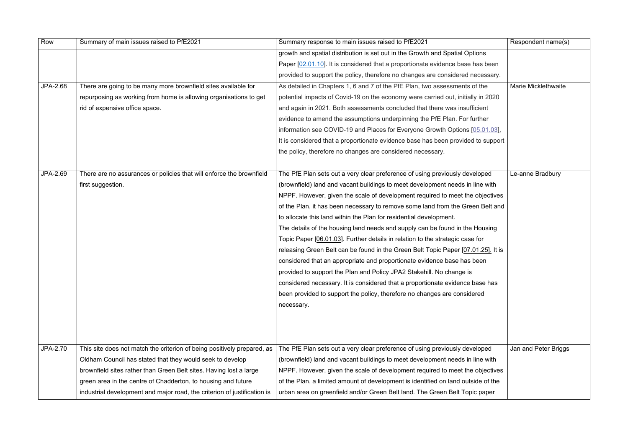| Row             | Summary of main issues raised to PfE2021                                 | Summary response to main issues raised to PfE2021                                 | Respondent name(s)         |
|-----------------|--------------------------------------------------------------------------|-----------------------------------------------------------------------------------|----------------------------|
|                 |                                                                          | growth and spatial distribution is set out in the Growth and Spatial Options      |                            |
|                 |                                                                          | Paper [02.01.10]. It is considered that a proportionate evidence base has been    |                            |
|                 |                                                                          | provided to support the policy, therefore no changes are considered necessary.    |                            |
| <b>JPA-2.68</b> | There are going to be many more brownfield sites available for           | As detailed in Chapters 1, 6 and 7 of the PfE Plan, two assessments of the        | <b>Marie Micklethwaite</b> |
|                 | repurposing as working from home is allowing organisations to get        | potential impacts of Covid-19 on the economy were carried out, initially in 2020  |                            |
|                 | rid of expensive office space.                                           | and again in 2021. Both assessments concluded that there was insufficient         |                            |
|                 |                                                                          | evidence to amend the assumptions underpinning the PfE Plan. For further          |                            |
|                 |                                                                          | information see COVID-19 and Places for Everyone Growth Options [05.01.03].       |                            |
|                 |                                                                          | It is considered that a proportionate evidence base has been provided to support  |                            |
|                 |                                                                          | the policy, therefore no changes are considered necessary.                        |                            |
|                 |                                                                          |                                                                                   |                            |
| JPA-2.69        | There are no assurances or policies that will enforce the brownfield     | The PfE Plan sets out a very clear preference of using previously developed       | Le-anne Bradbury           |
|                 | first suggestion.                                                        | (brownfield) land and vacant buildings to meet development needs in line with     |                            |
|                 |                                                                          | NPPF. However, given the scale of development required to meet the objectives     |                            |
|                 |                                                                          | of the Plan, it has been necessary to remove some land from the Green Belt and    |                            |
|                 |                                                                          | to allocate this land within the Plan for residential development.                |                            |
|                 |                                                                          | The details of the housing land needs and supply can be found in the Housing      |                            |
|                 |                                                                          | Topic Paper [06.01.03]. Further details in relation to the strategic case for     |                            |
|                 |                                                                          | releasing Green Belt can be found in the Green Belt Topic Paper [07.01.25]. It is |                            |
|                 |                                                                          | considered that an appropriate and proportionate evidence base has been           |                            |
|                 |                                                                          | provided to support the Plan and Policy JPA2 Stakehill. No change is              |                            |
|                 |                                                                          | considered necessary. It is considered that a proportionate evidence base has     |                            |
|                 |                                                                          | been provided to support the policy, therefore no changes are considered          |                            |
|                 |                                                                          | necessary.                                                                        |                            |
|                 |                                                                          |                                                                                   |                            |
|                 |                                                                          |                                                                                   |                            |
|                 |                                                                          |                                                                                   |                            |
| JPA-2.70        | This site does not match the criterion of being positively prepared, as  | The PfE Plan sets out a very clear preference of using previously developed       | Jan and Peter Briggs       |
|                 | Oldham Council has stated that they would seek to develop                | (brownfield) land and vacant buildings to meet development needs in line with     |                            |
|                 | brownfield sites rather than Green Belt sites. Having lost a large       | NPPF. However, given the scale of development required to meet the objectives     |                            |
|                 | green area in the centre of Chadderton, to housing and future            | of the Plan, a limited amount of development is identified on land outside of the |                            |
|                 | industrial development and major road, the criterion of justification is | urban area on greenfield and/or Green Belt land. The Green Belt Topic paper       |                            |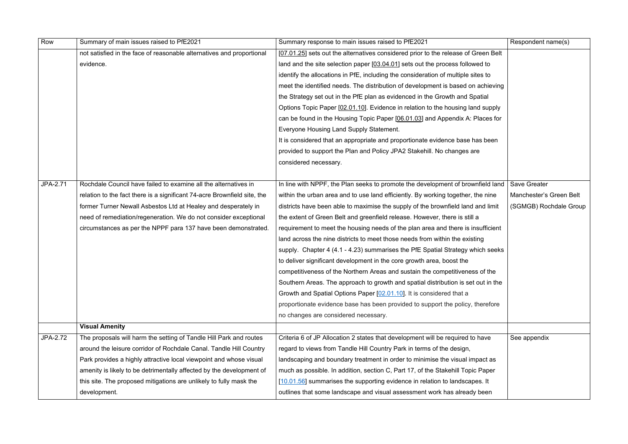| Row      | Summary of main issues raised to PfE2021                                 | Summary response to main issues raised to PfE2021                                  | Respondent name(s)      |
|----------|--------------------------------------------------------------------------|------------------------------------------------------------------------------------|-------------------------|
|          | not satisfied in the face of reasonable alternatives and proportional    | [07.01.25] sets out the alternatives considered prior to the release of Green Belt |                         |
|          | evidence.                                                                | land and the site selection paper [03.04.01] sets out the process followed to      |                         |
|          |                                                                          | identify the allocations in PfE, including the consideration of multiple sites to  |                         |
|          |                                                                          | meet the identified needs. The distribution of development is based on achieving   |                         |
|          |                                                                          | the Strategy set out in the PfE plan as evidenced in the Growth and Spatial        |                         |
|          |                                                                          | Options Topic Paper [02.01.10]. Evidence in relation to the housing land supply    |                         |
|          |                                                                          | can be found in the Housing Topic Paper [06.01.03] and Appendix A: Places for      |                         |
|          |                                                                          | Everyone Housing Land Supply Statement.                                            |                         |
|          |                                                                          | It is considered that an appropriate and proportionate evidence base has been      |                         |
|          |                                                                          | provided to support the Plan and Policy JPA2 Stakehill. No changes are             |                         |
|          |                                                                          | considered necessary.                                                              |                         |
|          |                                                                          |                                                                                    |                         |
| JPA-2.71 | Rochdale Council have failed to examine all the alternatives in          | In line with NPPF, the Plan seeks to promote the development of brownfield land    | <b>Save Greater</b>     |
|          | relation to the fact there is a significant 74-acre Brownfield site, the | within the urban area and to use land efficiently. By working together, the nine   | Manchester's Green Belt |
|          | former Turner Newall Asbestos Ltd at Healey and desperately in           | districts have been able to maximise the supply of the brownfield land and limit   | (SGMGB) Rochdale Group  |
|          | need of remediation/regeneration. We do not consider exceptional         | the extent of Green Belt and greenfield release. However, there is still a         |                         |
|          | circumstances as per the NPPF para 137 have been demonstrated.           | requirement to meet the housing needs of the plan area and there is insufficient   |                         |
|          |                                                                          | land across the nine districts to meet those needs from within the existing        |                         |
|          |                                                                          | supply. Chapter 4 (4.1 - 4.23) summarises the PfE Spatial Strategy which seeks     |                         |
|          |                                                                          | to deliver significant development in the core growth area, boost the              |                         |
|          |                                                                          | competitiveness of the Northern Areas and sustain the competitiveness of the       |                         |
|          |                                                                          | Southern Areas. The approach to growth and spatial distribution is set out in the  |                         |
|          |                                                                          | Growth and Spatial Options Paper [02.01.10]. It is considered that a               |                         |
|          |                                                                          | proportionate evidence base has been provided to support the policy, therefore     |                         |
|          |                                                                          | no changes are considered necessary.                                               |                         |
|          | <b>Visual Amenity</b>                                                    |                                                                                    |                         |
| JPA-2.72 | The proposals will harm the setting of Tandle Hill Park and routes       | Criteria 6 of JP Allocation 2 states that development will be required to have     | See appendix            |
|          | around the leisure corridor of Rochdale Canal. Tandle Hill Country       | regard to views from Tandle Hill Country Park in terms of the design,              |                         |
|          | Park provides a highly attractive local viewpoint and whose visual       | landscaping and boundary treatment in order to minimise the visual impact as       |                         |
|          | amenity is likely to be detrimentally affected by the development of     | much as possible. In addition, section C, Part 17, of the Stakehill Topic Paper    |                         |
|          | this site. The proposed mitigations are unlikely to fully mask the       | [10.01.56] summarises the supporting evidence in relation to landscapes. It        |                         |
|          | development.                                                             | outlines that some landscape and visual assessment work has already been           |                         |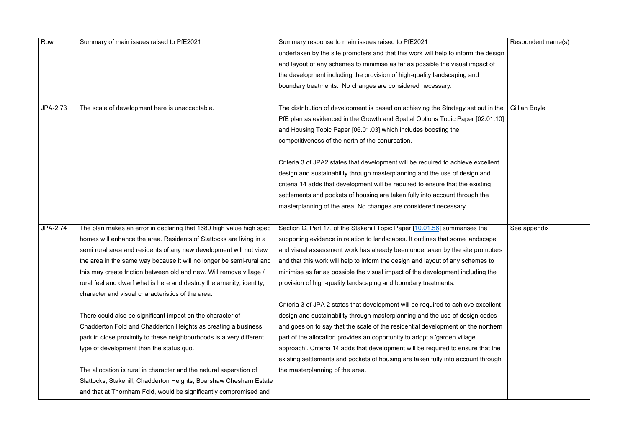| Row      | Summary of main issues raised to PfE2021                             | Summary response to main issues raised to PfE2021                                  | Respondent name(s) |
|----------|----------------------------------------------------------------------|------------------------------------------------------------------------------------|--------------------|
|          |                                                                      | undertaken by the site promoters and that this work will help to inform the design |                    |
|          |                                                                      | and layout of any schemes to minimise as far as possible the visual impact of      |                    |
|          |                                                                      | the development including the provision of high-quality landscaping and            |                    |
|          |                                                                      | boundary treatments. No changes are considered necessary.                          |                    |
|          |                                                                      |                                                                                    |                    |
| JPA-2.73 | The scale of development here is unacceptable.                       | The distribution of development is based on achieving the Strategy set out in the  | Gillian Boyle      |
|          |                                                                      | PfE plan as evidenced in the Growth and Spatial Options Topic Paper [02.01.10]     |                    |
|          |                                                                      | and Housing Topic Paper [06.01.03] which includes boosting the                     |                    |
|          |                                                                      | competitiveness of the north of the conurbation.                                   |                    |
|          |                                                                      |                                                                                    |                    |
|          |                                                                      | Criteria 3 of JPA2 states that development will be required to achieve excellent   |                    |
|          |                                                                      | design and sustainability through masterplanning and the use of design and         |                    |
|          |                                                                      | criteria 14 adds that development will be required to ensure that the existing     |                    |
|          |                                                                      | settlements and pockets of housing are taken fully into account through the        |                    |
|          |                                                                      | masterplanning of the area. No changes are considered necessary.                   |                    |
|          |                                                                      |                                                                                    |                    |
| JPA-2.74 | The plan makes an error in declaring that 1680 high value high spec  | Section C, Part 17, of the Stakehill Topic Paper [10.01.56] summarises the         | See appendix       |
|          | homes will enhance the area. Residents of Slattocks are living in a  | supporting evidence in relation to landscapes. It outlines that some landscape     |                    |
|          | semi rural area and residents of any new development will not view   | and visual assessment work has already been undertaken by the site promoters       |                    |
|          | the area in the same way because it will no longer be semi-rural and | and that this work will help to inform the design and layout of any schemes to     |                    |
|          | this may create friction between old and new. Will remove village /  | minimise as far as possible the visual impact of the development including the     |                    |
|          | rural feel and dwarf what is here and destroy the amenity, identity, | provision of high-quality landscaping and boundary treatments.                     |                    |
|          | character and visual characteristics of the area.                    |                                                                                    |                    |
|          |                                                                      | Criteria 3 of JPA 2 states that development will be required to achieve excellent  |                    |
|          | There could also be significant impact on the character of           | design and sustainability through masterplanning and the use of design codes       |                    |
|          | Chadderton Fold and Chadderton Heights as creating a business        | and goes on to say that the scale of the residential development on the northern   |                    |
|          | park in close proximity to these neighbourhoods is a very different  | part of the allocation provides an opportunity to adopt a 'garden village'         |                    |
|          | type of development than the status quo.                             | approach'. Criteria 14 adds that development will be required to ensure that the   |                    |
|          |                                                                      | existing settlements and pockets of housing are taken fully into account through   |                    |
|          | The allocation is rural in character and the natural separation of   | the masterplanning of the area.                                                    |                    |
|          | Slattocks, Stakehill, Chadderton Heights, Boarshaw Chesham Estate    |                                                                                    |                    |
|          | and that at Thornham Fold, would be significantly compromised and    |                                                                                    |                    |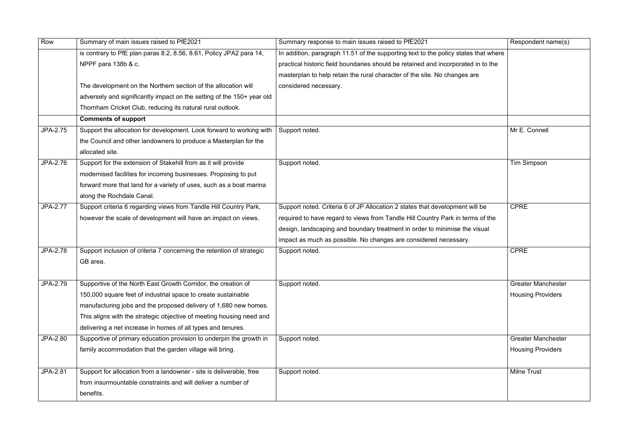| Row             | Summary of main issues raised to PfE2021                               | Summary response to main issues raised to PfE2021                                   | Responder          |
|-----------------|------------------------------------------------------------------------|-------------------------------------------------------------------------------------|--------------------|
|                 | is contrary to PfE plan paras 8.2, 8.56, 8.61, Policy JPA2 para 14,    | In addition, paragraph 11.51 of the supporting text to the policy states that where |                    |
|                 | NPPF para 138b & c.                                                    | practical historic field boundaries should be retained and incorporated in to the   |                    |
|                 |                                                                        | masterplan to help retain the rural character of the site. No changes are           |                    |
|                 | The development on the Northern section of the allocation will         | considered necessary.                                                               |                    |
|                 | adversely and significantly impact on the setting of the 150+ year old |                                                                                     |                    |
|                 | Thornham Cricket Club, reducing its natural rural outlook.             |                                                                                     |                    |
|                 | <b>Comments of support</b>                                             |                                                                                     |                    |
| JPA-2.75        | Support the allocation for development. Look forward to working with   | Support noted.                                                                      | Mr E. Conr         |
|                 | the Council and other landowners to produce a Masterplan for the       |                                                                                     |                    |
|                 | allocated site.                                                        |                                                                                     |                    |
| JPA-2.76        | Support for the extension of Stakehill from as it will provide         | Support noted.                                                                      | <b>Tim Simps</b>   |
|                 | modernised facilities for incoming businesses. Proposing to put        |                                                                                     |                    |
|                 | forward more that land for a variety of uses, such as a boat marina    |                                                                                     |                    |
|                 | along the Rochdale Canal.                                              |                                                                                     |                    |
| <b>JPA-2.77</b> | Support criteria 6 regarding views from Tandle Hill Country Park,      | Support noted. Criteria 6 of JP Allocation 2 states that development will be        | <b>CPRE</b>        |
|                 | however the scale of development will have an impact on views.         | required to have regard to views from Tandle Hill Country Park in terms of the      |                    |
|                 |                                                                        | design, landscaping and boundary treatment in order to minimise the visual          |                    |
|                 |                                                                        | impact as much as possible. No changes are considered necessary.                    |                    |
| <b>JPA-2.78</b> | Support inclusion of criteria 7 concerning the retention of strategic  | Support noted.                                                                      | <b>CPRE</b>        |
|                 | GB area.                                                               |                                                                                     |                    |
|                 |                                                                        |                                                                                     |                    |
| JPA-2.79        | Supportive of the North East Growth Corridor, the creation of          | Support noted.                                                                      | <b>Greater Ma</b>  |
|                 | 150,000 square feet of industrial space to create sustainable          |                                                                                     | <b>Housing Pr</b>  |
|                 | manufacturing jobs and the proposed delivery of 1,680 new homes.       |                                                                                     |                    |
|                 | This aligns with the strategic objective of meeting housing need and   |                                                                                     |                    |
|                 | delivering a net increase in homes of all types and tenures.           |                                                                                     |                    |
| JPA-2.80        | Supportive of primary education provision to underpin the growth in    | Support noted.                                                                      | <b>Greater Ma</b>  |
|                 | family accommodation that the garden village will bring.               |                                                                                     | <b>Housing Pr</b>  |
|                 |                                                                        |                                                                                     |                    |
| JPA-2.81        | Support for allocation from a landowner - site is deliverable, free    | Support noted.                                                                      | <b>Milne Trust</b> |
|                 | from insurmountable constraints and will deliver a number of           |                                                                                     |                    |
|                 | benefits.                                                              |                                                                                     |                    |
|                 |                                                                        |                                                                                     |                    |

| $\overline{21}$                 | Respondent name(s)        |
|---------------------------------|---------------------------|
| to the policy states that where |                           |
|                                 |                           |
| d and incorporated in to the    |                           |
| site. No changes are            |                           |
|                                 |                           |
|                                 |                           |
|                                 |                           |
|                                 |                           |
|                                 | Mr E. Connell             |
|                                 |                           |
|                                 |                           |
|                                 | <b>Tim Simpson</b>        |
|                                 |                           |
|                                 |                           |
|                                 |                           |
| nat development will be         | <b>CPRE</b>               |
| ountry Park in terms of the     |                           |
| er to minimise the visual       |                           |
| dered necessary.                |                           |
|                                 | <b>CPRE</b>               |
|                                 |                           |
|                                 |                           |
|                                 | <b>Greater Manchester</b> |
|                                 |                           |
|                                 | <b>Housing Providers</b>  |
|                                 |                           |
|                                 |                           |
|                                 |                           |
|                                 | <b>Greater Manchester</b> |
|                                 | <b>Housing Providers</b>  |
|                                 |                           |
|                                 | <b>Milne Trust</b>        |
|                                 |                           |
|                                 |                           |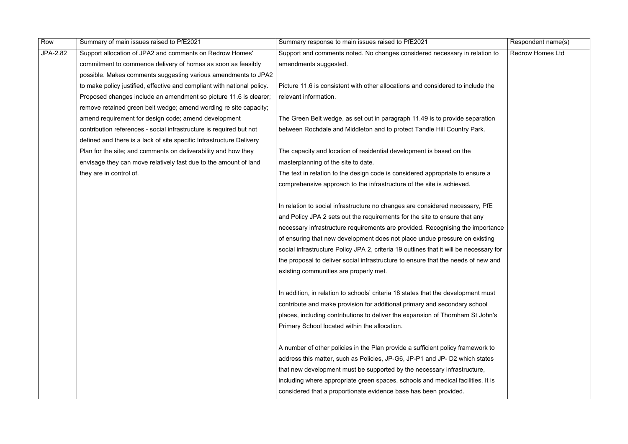| Row      | Summary of main issues raised to PfE2021                                | Summary response to main issues raised to PfE2021                                      | Respondent name(s)      |
|----------|-------------------------------------------------------------------------|----------------------------------------------------------------------------------------|-------------------------|
| JPA-2.82 | Support allocation of JPA2 and comments on Redrow Homes'                | Support and comments noted. No changes considered necessary in relation to             | <b>Redrow Homes Ltd</b> |
|          | commitment to commence delivery of homes as soon as feasibly            | amendments suggested.                                                                  |                         |
|          | possible. Makes comments suggesting various amendments to JPA2          |                                                                                        |                         |
|          | to make policy justified, effective and compliant with national policy. | Picture 11.6 is consistent with other allocations and considered to include the        |                         |
|          | Proposed changes include an amendment so picture 11.6 is clearer;       | relevant information.                                                                  |                         |
|          | remove retained green belt wedge; amend wording re site capacity;       |                                                                                        |                         |
|          | amend requirement for design code; amend development                    | The Green Belt wedge, as set out in paragraph 11.49 is to provide separation           |                         |
|          | contribution references - social infrastructure is required but not     | between Rochdale and Middleton and to protect Tandle Hill Country Park.                |                         |
|          | defined and there is a lack of site specific Infrastructure Delivery    |                                                                                        |                         |
|          | Plan for the site; and comments on deliverability and how they          | The capacity and location of residential development is based on the                   |                         |
|          | envisage they can move relatively fast due to the amount of land        | masterplanning of the site to date.                                                    |                         |
|          | they are in control of.                                                 | The text in relation to the design code is considered appropriate to ensure a          |                         |
|          |                                                                         | comprehensive approach to the infrastructure of the site is achieved.                  |                         |
|          |                                                                         |                                                                                        |                         |
|          |                                                                         | In relation to social infrastructure no changes are considered necessary, PfE          |                         |
|          |                                                                         | and Policy JPA 2 sets out the requirements for the site to ensure that any             |                         |
|          |                                                                         | necessary infrastructure requirements are provided. Recognising the importance         |                         |
|          |                                                                         | of ensuring that new development does not place undue pressure on existing             |                         |
|          |                                                                         | social infrastructure Policy JPA 2, criteria 19 outlines that it will be necessary for |                         |
|          |                                                                         | the proposal to deliver social infrastructure to ensure that the needs of new and      |                         |
|          |                                                                         | existing communities are properly met.                                                 |                         |
|          |                                                                         |                                                                                        |                         |
|          |                                                                         | In addition, in relation to schools' criteria 18 states that the development must      |                         |
|          |                                                                         | contribute and make provision for additional primary and secondary school              |                         |
|          |                                                                         | places, including contributions to deliver the expansion of Thornham St John's         |                         |
|          |                                                                         | Primary School located within the allocation.                                          |                         |
|          |                                                                         |                                                                                        |                         |
|          |                                                                         | A number of other policies in the Plan provide a sufficient policy framework to        |                         |
|          |                                                                         | address this matter, such as Policies, JP-G6, JP-P1 and JP- D2 which states            |                         |
|          |                                                                         | that new development must be supported by the necessary infrastructure,                |                         |
|          |                                                                         | including where appropriate green spaces, schools and medical facilities. It is        |                         |
|          |                                                                         | considered that a proportionate evidence base has been provided.                       |                         |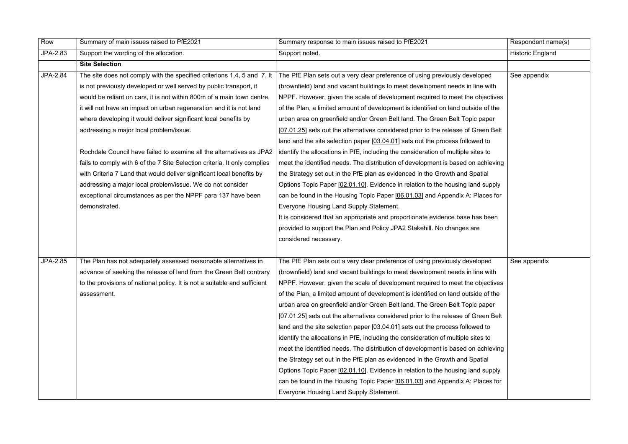| Row             | Summary of main issues raised to PfE2021                                  | Summary response to main issues raised to PfE2021                                  | Respondent name(s)      |
|-----------------|---------------------------------------------------------------------------|------------------------------------------------------------------------------------|-------------------------|
| JPA-2.83        | Support the wording of the allocation.                                    | Support noted.                                                                     | <b>Historic England</b> |
|                 | <b>Site Selection</b>                                                     |                                                                                    |                         |
| <b>JPA-2.84</b> | The site does not comply with the specified criterions 1,4, 5 and 7. It   | The PfE Plan sets out a very clear preference of using previously developed        | See appendix            |
|                 | is not previously developed or well served by public transport, it        | (brownfield) land and vacant buildings to meet development needs in line with      |                         |
|                 | would be reliant on cars, it is not within 800m of a main town centre,    | NPPF. However, given the scale of development required to meet the objectives      |                         |
|                 | it will not have an impact on urban regeneration and it is not land       | of the Plan, a limited amount of development is identified on land outside of the  |                         |
|                 | where developing it would deliver significant local benefits by           | urban area on greenfield and/or Green Belt land. The Green Belt Topic paper        |                         |
|                 | addressing a major local problem/issue.                                   | [07.01.25] sets out the alternatives considered prior to the release of Green Belt |                         |
|                 |                                                                           | land and the site selection paper [03.04.01] sets out the process followed to      |                         |
|                 | Rochdale Council have failed to examine all the alternatives as JPA2      | identify the allocations in PfE, including the consideration of multiple sites to  |                         |
|                 | fails to comply with 6 of the 7 Site Selection criteria. It only complies | meet the identified needs. The distribution of development is based on achieving   |                         |
|                 | with Criteria 7 Land that would deliver significant local benefits by     | the Strategy set out in the PfE plan as evidenced in the Growth and Spatial        |                         |
|                 | addressing a major local problem/issue. We do not consider                | Options Topic Paper [02.01.10]. Evidence in relation to the housing land supply    |                         |
|                 | exceptional circumstances as per the NPPF para 137 have been              | can be found in the Housing Topic Paper [06.01.03] and Appendix A: Places for      |                         |
|                 | demonstrated.                                                             | Everyone Housing Land Supply Statement.                                            |                         |
|                 |                                                                           | It is considered that an appropriate and proportionate evidence base has been      |                         |
|                 |                                                                           | provided to support the Plan and Policy JPA2 Stakehill. No changes are             |                         |
|                 |                                                                           | considered necessary.                                                              |                         |
|                 |                                                                           |                                                                                    |                         |
| <b>JPA-2.85</b> | The Plan has not adequately assessed reasonable alternatives in           | The PfE Plan sets out a very clear preference of using previously developed        | See appendix            |
|                 | advance of seeking the release of land from the Green Belt contrary       | (brownfield) land and vacant buildings to meet development needs in line with      |                         |
|                 | to the provisions of national policy. It is not a suitable and sufficient | NPPF. However, given the scale of development required to meet the objectives      |                         |
|                 | assessment.                                                               | of the Plan, a limited amount of development is identified on land outside of the  |                         |
|                 |                                                                           | urban area on greenfield and/or Green Belt land. The Green Belt Topic paper        |                         |
|                 |                                                                           | [07.01.25] sets out the alternatives considered prior to the release of Green Belt |                         |
|                 |                                                                           | land and the site selection paper [03.04.01] sets out the process followed to      |                         |
|                 |                                                                           | identify the allocations in PfE, including the consideration of multiple sites to  |                         |
|                 |                                                                           | meet the identified needs. The distribution of development is based on achieving   |                         |
|                 |                                                                           | the Strategy set out in the PfE plan as evidenced in the Growth and Spatial        |                         |
|                 |                                                                           | Options Topic Paper [02.01.10]. Evidence in relation to the housing land supply    |                         |
|                 |                                                                           | can be found in the Housing Topic Paper [06.01.03] and Appendix A: Places for      |                         |
|                 |                                                                           | Everyone Housing Land Supply Statement.                                            |                         |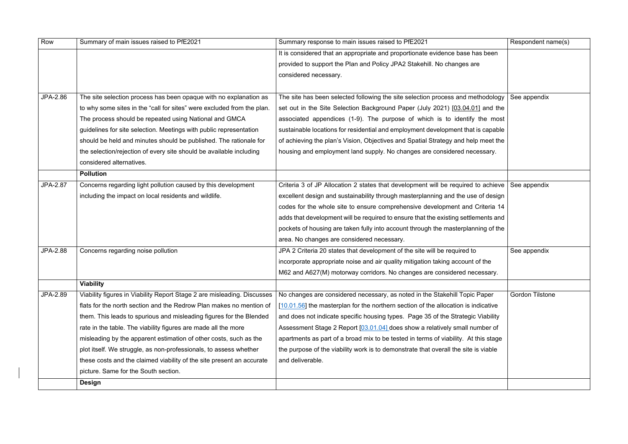| Row             | Summary of main issues raised to PfE2021                                | Summary response to main issues raised to PfE2021                                              | Respondent name(s)     |
|-----------------|-------------------------------------------------------------------------|------------------------------------------------------------------------------------------------|------------------------|
|                 |                                                                         | It is considered that an appropriate and proportionate evidence base has been                  |                        |
|                 |                                                                         | provided to support the Plan and Policy JPA2 Stakehill. No changes are                         |                        |
|                 |                                                                         | considered necessary.                                                                          |                        |
|                 |                                                                         |                                                                                                |                        |
| JPA-2.86        | The site selection process has been opaque with no explanation as       | The site has been selected following the site selection process and methodology                | See appendix           |
|                 | to why some sites in the "call for sites" were excluded from the plan.  | set out in the Site Selection Background Paper (July 2021) [03.04.01] and the                  |                        |
|                 | The process should be repeated using National and GMCA                  | associated appendices (1-9). The purpose of which is to identify the most                      |                        |
|                 | guidelines for site selection. Meetings with public representation      | sustainable locations for residential and employment development that is capable               |                        |
|                 | should be held and minutes should be published. The rationale for       | of achieving the plan's Vision, Objectives and Spatial Strategy and help meet the              |                        |
|                 | the selection/rejection of every site should be available including     | housing and employment land supply. No changes are considered necessary.                       |                        |
|                 | considered alternatives.                                                |                                                                                                |                        |
|                 | <b>Pollution</b>                                                        |                                                                                                |                        |
| <b>JPA-2.87</b> | Concerns regarding light pollution caused by this development           | Criteria 3 of JP Allocation 2 states that development will be required to achieve See appendix |                        |
|                 | including the impact on local residents and wildlife.                   | excellent design and sustainability through masterplanning and the use of design               |                        |
|                 |                                                                         | codes for the whole site to ensure comprehensive development and Criteria 14                   |                        |
|                 |                                                                         | adds that development will be required to ensure that the existing settlements and             |                        |
|                 |                                                                         | pockets of housing are taken fully into account through the masterplanning of the              |                        |
|                 |                                                                         | area. No changes are considered necessary.                                                     |                        |
| <b>JPA-2.88</b> | Concerns regarding noise pollution                                      | JPA 2 Criteria 20 states that development of the site will be required to                      | See appendix           |
|                 |                                                                         | incorporate appropriate noise and air quality mitigation taking account of the                 |                        |
|                 |                                                                         | M62 and A627(M) motorway corridors. No changes are considered necessary.                       |                        |
|                 | <b>Viability</b>                                                        |                                                                                                |                        |
| <b>JPA-2.89</b> | Viability figures in Viability Report Stage 2 are misleading. Discusses | No changes are considered necessary, as noted in the Stakehill Topic Paper                     | <b>Gordon Tilstone</b> |
|                 | flats for the north section and the Redrow Plan makes no mention of     | [10.01.56] the masterplan for the northern section of the allocation is indicative             |                        |
|                 | them. This leads to spurious and misleading figures for the Blended     | and does not indicate specific housing types. Page 35 of the Strategic Viability               |                        |
|                 | rate in the table. The viability figures are made all the more          | Assessment Stage 2 Report [03.01.04] does show a relatively small number of                    |                        |
|                 | misleading by the apparent estimation of other costs, such as the       | apartments as part of a broad mix to be tested in terms of viability. At this stage            |                        |
|                 | plot itself. We struggle, as non-professionals, to assess whether       | the purpose of the viability work is to demonstrate that overall the site is viable            |                        |
|                 | these costs and the claimed viability of the site present an accurate   | and deliverable.                                                                               |                        |
|                 | picture. Same for the South section.                                    |                                                                                                |                        |
|                 | Design                                                                  |                                                                                                |                        |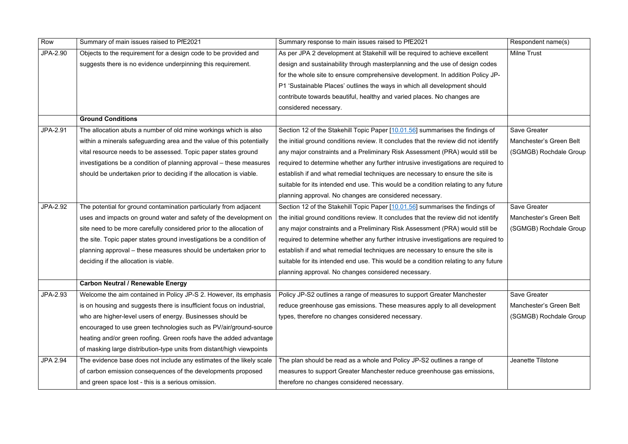| Row             | Summary of main issues raised to PfE2021                              | Summary response to main issues raised to PfE2021                                   | Respondent name(s)      |
|-----------------|-----------------------------------------------------------------------|-------------------------------------------------------------------------------------|-------------------------|
| JPA-2.90        | Objects to the requirement for a design code to be provided and       | As per JPA 2 development at Stakehill will be required to achieve excellent         | <b>Milne Trust</b>      |
|                 | suggests there is no evidence underpinning this requirement.          | design and sustainability through masterplanning and the use of design codes        |                         |
|                 |                                                                       | for the whole site to ensure comprehensive development. In addition Policy JP-      |                         |
|                 |                                                                       | P1 'Sustainable Places' outlines the ways in which all development should           |                         |
|                 |                                                                       | contribute towards beautiful, healthy and varied places. No changes are             |                         |
|                 |                                                                       | considered necessary.                                                               |                         |
|                 | <b>Ground Conditions</b>                                              |                                                                                     |                         |
| JPA-2.91        | The allocation abuts a number of old mine workings which is also      | Section 12 of the Stakehill Topic Paper [10.01.56] summarises the findings of       | <b>Save Greater</b>     |
|                 | within a minerals safeguarding area and the value of this potentially | the initial ground conditions review. It concludes that the review did not identify | Manchester's Green Belt |
|                 | vital resource needs to be assessed. Topic paper states ground        | any major constraints and a Preliminary Risk Assessment (PRA) would still be        | (SGMGB) Rochdale Group  |
|                 | investigations be a condition of planning approval – these measures   | required to determine whether any further intrusive investigations are required to  |                         |
|                 | should be undertaken prior to deciding if the allocation is viable.   | establish if and what remedial techniques are necessary to ensure the site is       |                         |
|                 |                                                                       | suitable for its intended end use. This would be a condition relating to any future |                         |
|                 |                                                                       | planning approval. No changes are considered necessary.                             |                         |
| JPA-2.92        | The potential for ground contamination particularly from adjacent     | Section 12 of the Stakehill Topic Paper [10.01.56] summarises the findings of       | <b>Save Greater</b>     |
|                 | uses and impacts on ground water and safety of the development on     | the initial ground conditions review. It concludes that the review did not identify | Manchester's Green Belt |
|                 | site need to be more carefully considered prior to the allocation of  | any major constraints and a Preliminary Risk Assessment (PRA) would still be        | (SGMGB) Rochdale Group  |
|                 | the site. Topic paper states ground investigations be a condition of  | required to determine whether any further intrusive investigations are required to  |                         |
|                 | planning approval – these measures should be undertaken prior to      | establish if and what remedial techniques are necessary to ensure the site is       |                         |
|                 | deciding if the allocation is viable.                                 | suitable for its intended end use. This would be a condition relating to any future |                         |
|                 |                                                                       | planning approval. No changes considered necessary.                                 |                         |
|                 | <b>Carbon Neutral / Renewable Energy</b>                              |                                                                                     |                         |
| JPA-2.93        | Welcome the aim contained in Policy JP-S 2. However, its emphasis     | Policy JP-S2 outlines a range of measures to support Greater Manchester             | <b>Save Greater</b>     |
|                 | is on housing and suggests there is insufficient focus on industrial, | reduce greenhouse gas emissions. These measures apply to all development            | Manchester's Green Belt |
|                 | who are higher-level users of energy. Businesses should be            | types, therefore no changes considered necessary.                                   | (SGMGB) Rochdale Group  |
|                 | encouraged to use green technologies such as PV/air/ground-source     |                                                                                     |                         |
|                 | heating and/or green roofing. Green roofs have the added advantage    |                                                                                     |                         |
|                 | of masking large distribution-type units from distant/high viewpoints |                                                                                     |                         |
| <b>JPA 2.94</b> | The evidence base does not include any estimates of the likely scale  | The plan should be read as a whole and Policy JP-S2 outlines a range of             | Jeanette Tilstone       |
|                 | of carbon emission consequences of the developments proposed          | measures to support Greater Manchester reduce greenhouse gas emissions,             |                         |
|                 | and green space lost - this is a serious omission.                    | therefore no changes considered necessary.                                          |                         |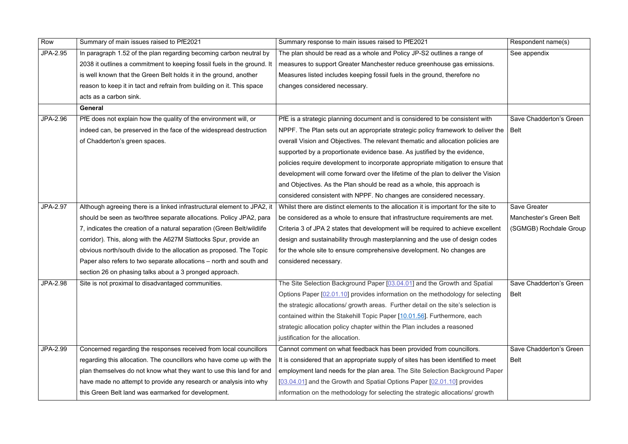| Row             | Summary of main issues raised to PfE2021                                | Summary response to main issues raised to PfE2021                                    | Respondent name(s)      |
|-----------------|-------------------------------------------------------------------------|--------------------------------------------------------------------------------------|-------------------------|
| <b>JPA-2.95</b> | In paragraph 1.52 of the plan regarding becoming carbon neutral by      | The plan should be read as a whole and Policy JP-S2 outlines a range of              | See appendix            |
|                 | 2038 it outlines a commitment to keeping fossil fuels in the ground. It | measures to support Greater Manchester reduce greenhouse gas emissions.              |                         |
|                 | is well known that the Green Belt holds it in the ground, another       | Measures listed includes keeping fossil fuels in the ground, therefore no            |                         |
|                 | reason to keep it in tact and refrain from building on it. This space   | changes considered necessary.                                                        |                         |
|                 | acts as a carbon sink.                                                  |                                                                                      |                         |
|                 | <b>General</b>                                                          |                                                                                      |                         |
| JPA-2.96        | PfE does not explain how the quality of the environment will, or        | PfE is a strategic planning document and is considered to be consistent with         | Save Chadderton's Green |
|                 | indeed can, be preserved in the face of the widespread destruction      | NPPF. The Plan sets out an appropriate strategic policy framework to deliver the     | Belt                    |
|                 | of Chadderton's green spaces.                                           | overall Vision and Objectives. The relevant thematic and allocation policies are     |                         |
|                 |                                                                         | supported by a proportionate evidence base. As justified by the evidence,            |                         |
|                 |                                                                         | policies require development to incorporate appropriate mitigation to ensure that    |                         |
|                 |                                                                         | development will come forward over the lifetime of the plan to deliver the Vision    |                         |
|                 |                                                                         | and Objectives. As the Plan should be read as a whole, this approach is              |                         |
|                 |                                                                         | considered consistent with NPPF. No changes are considered necessary.                |                         |
| JPA-2.97        | Although agreeing there is a linked infrastructural element to JPA2, it | Whilst there are distinct elements to the allocation it is important for the site to | <b>Save Greater</b>     |
|                 | should be seen as two/three separate allocations. Policy JPA2, para     | be considered as a whole to ensure that infrastructure requirements are met.         | Manchester's Green Belt |
|                 | 7, indicates the creation of a natural separation (Green Belt/wildlife  | Criteria 3 of JPA 2 states that development will be required to achieve excellent    | (SGMGB) Rochdale Group  |
|                 | corridor). This, along with the A627M Slattocks Spur, provide an        | design and sustainability through masterplanning and the use of design codes         |                         |
|                 | obvious north/south divide to the allocation as proposed. The Topic     | for the whole site to ensure comprehensive development. No changes are               |                         |
|                 | Paper also refers to two separate allocations – north and south and     | considered necessary.                                                                |                         |
|                 | section 26 on phasing talks about a 3 pronged approach.                 |                                                                                      |                         |
| <b>JPA-2.98</b> | Site is not proximal to disadvantaged communities.                      | The Site Selection Background Paper [03.04.01] and the Growth and Spatial            | Save Chadderton's Green |
|                 |                                                                         | Options Paper [02.01.10] provides information on the methodology for selecting       | Belt                    |
|                 |                                                                         | the strategic allocations/ growth areas. Further detail on the site's selection is   |                         |
|                 |                                                                         | contained within the Stakehill Topic Paper [10.01.56]. Furthermore, each             |                         |
|                 |                                                                         | strategic allocation policy chapter within the Plan includes a reasoned              |                         |
|                 |                                                                         | justification for the allocation.                                                    |                         |
| JPA-2.99        | Concerned regarding the responses received from local councillors       | Cannot comment on what feedback has been provided from councillors.                  | Save Chadderton's Green |
|                 | regarding this allocation. The councillors who have come up with the    | It is considered that an appropriate supply of sites has been identified to meet     | <b>Belt</b>             |
|                 | plan themselves do not know what they want to use this land for and     | employment land needs for the plan area. The Site Selection Background Paper         |                         |
|                 | have made no attempt to provide any research or analysis into why       | [03.04.01] and the Growth and Spatial Options Paper [02.01.10] provides              |                         |
|                 | this Green Belt land was earmarked for development.                     | information on the methodology for selecting the strategic allocations/ growth       |                         |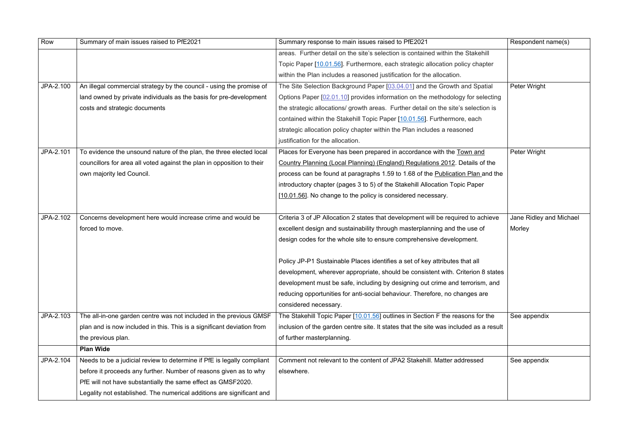| Row       | Summary of main issues raised to PfE2021                               | Summary response to main issues raised to PfE2021                                     | Respondent name(s)      |
|-----------|------------------------------------------------------------------------|---------------------------------------------------------------------------------------|-------------------------|
|           |                                                                        | areas. Further detail on the site's selection is contained within the Stakehill       |                         |
|           |                                                                        | Topic Paper [10.01.56]. Furthermore, each strategic allocation policy chapter         |                         |
|           |                                                                        | within the Plan includes a reasoned justification for the allocation.                 |                         |
| JPA-2.100 | An illegal commercial strategy by the council - using the promise of   | The Site Selection Background Paper [03.04.01] and the Growth and Spatial             | Peter Wright            |
|           | land owned by private individuals as the basis for pre-development     | Options Paper [02.01.10] provides information on the methodology for selecting        |                         |
|           | costs and strategic documents                                          | the strategic allocations/ growth areas. Further detail on the site's selection is    |                         |
|           |                                                                        | contained within the Stakehill Topic Paper [10.01.56]. Furthermore, each              |                         |
|           |                                                                        | strategic allocation policy chapter within the Plan includes a reasoned               |                         |
|           |                                                                        | justification for the allocation.                                                     |                         |
| JPA-2.101 | To evidence the unsound nature of the plan, the three elected local    | Places for Everyone has been prepared in accordance with the Town and                 | Peter Wright            |
|           | councillors for area all voted against the plan in opposition to their | Country Planning (Local Planning) (England) Regulations 2012. Details of the          |                         |
|           | own majority led Council.                                              | process can be found at paragraphs 1.59 to 1.68 of the Publication Plan and the       |                         |
|           |                                                                        | introductory chapter (pages 3 to 5) of the Stakehill Allocation Topic Paper           |                         |
|           |                                                                        | [10.01.56]. No change to the policy is considered necessary.                          |                         |
|           |                                                                        |                                                                                       |                         |
| JPA-2.102 | Concerns development here would increase crime and would be            | Criteria 3 of JP Allocation 2 states that development will be required to achieve     | Jane Ridley and Michael |
|           | forced to move.                                                        | excellent design and sustainability through masterplanning and the use of             | Morley                  |
|           |                                                                        | design codes for the whole site to ensure comprehensive development.                  |                         |
|           |                                                                        |                                                                                       |                         |
|           |                                                                        | Policy JP-P1 Sustainable Places identifies a set of key attributes that all           |                         |
|           |                                                                        | development, wherever appropriate, should be consistent with. Criterion 8 states      |                         |
|           |                                                                        | development must be safe, including by designing out crime and terrorism, and         |                         |
|           |                                                                        | reducing opportunities for anti-social behaviour. Therefore, no changes are           |                         |
|           |                                                                        | considered necessary.                                                                 |                         |
| JPA-2.103 | The all-in-one garden centre was not included in the previous GMSF     | The Stakehill Topic Paper [10.01.56] outlines in Section F the reasons for the        | See appendix            |
|           | plan and is now included in this. This is a significant deviation from | inclusion of the garden centre site. It states that the site was included as a result |                         |
|           | the previous plan.                                                     | of further masterplanning.                                                            |                         |
|           | <b>Plan Wide</b>                                                       |                                                                                       |                         |
| JPA-2.104 | Needs to be a judicial review to determine if PfE is legally compliant | Comment not relevant to the content of JPA2 Stakehill. Matter addressed               | See appendix            |
|           | before it proceeds any further. Number of reasons given as to why      | elsewhere.                                                                            |                         |
|           | PfE will not have substantially the same effect as GMSF2020.           |                                                                                       |                         |
|           | Legality not established. The numerical additions are significant and  |                                                                                       |                         |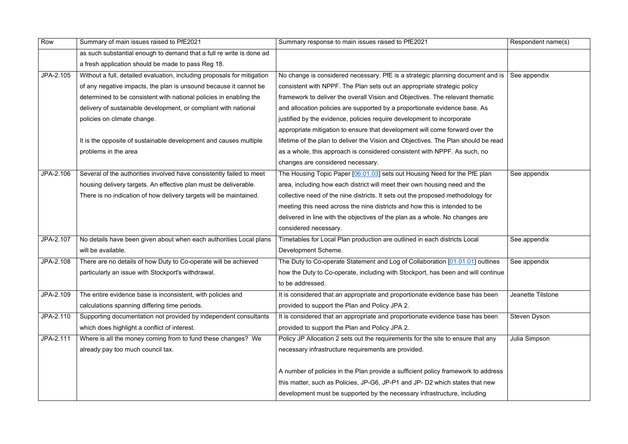| Row       | Summary of main issues raised to PfE2021                                | Summary response to main issues raised to PfE2021                                  | Respondent name(s)  |
|-----------|-------------------------------------------------------------------------|------------------------------------------------------------------------------------|---------------------|
|           | as such substantial enough to demand that a full re write is done ad    |                                                                                    |                     |
|           | a fresh application should be made to pass Reg 18.                      |                                                                                    |                     |
| JPA-2.105 | Without a full, detailed evaluation, including proposals for mitigation | No change is considered necessary. PfE is a strategic planning document and is     | See appendix        |
|           | of any negative impacts, the plan is unsound because it cannot be       | consistent with NPPF. The Plan sets out an appropriate strategic policy            |                     |
|           | determined to be consistent with national policies in enabling the      | framework to deliver the overall Vision and Objectives. The relevant thematic      |                     |
|           | delivery of sustainable development, or compliant with national         | and allocation policies are supported by a proportionate evidence base. As         |                     |
|           | policies on climate change.                                             | justified by the evidence, policies require development to incorporate             |                     |
|           |                                                                         | appropriate mitigation to ensure that development will come forward over the       |                     |
|           | It is the opposite of sustainable development and causes multiple       | lifetime of the plan to deliver the Vision and Objectives. The Plan should be read |                     |
|           | problems in the area                                                    | as a whole, this approach is considered consistent with NPPF. As such, no          |                     |
|           |                                                                         | changes are considered necessary.                                                  |                     |
| JPA-2.106 | Several of the authorities involved have consistently failed to meet    | The Housing Topic Paper [06.01.03] sets out Housing Need for the PfE plan          | See appendix        |
|           | housing delivery targets. An effective plan must be deliverable.        | area, including how each district will meet their own housing need and the         |                     |
|           | There is no indication of how delivery targets will be maintained.      | collective need of the nine districts. It sets out the proposed methodology for    |                     |
|           |                                                                         | meeting this need across the nine districts and how this is intended to be         |                     |
|           |                                                                         | delivered in line with the objectives of the plan as a whole. No changes are       |                     |
|           |                                                                         | considered necessary.                                                              |                     |
| JPA-2.107 | No details have been given about when each authorities Local plans      | Timetables for Local Plan production are outlined in each districts Local          | See appendix        |
|           | will be available.                                                      | Development Scheme.                                                                |                     |
| JPA-2.108 | There are no details of how Duty to Co-operate will be achieved         | The Duty to Co-operate Statement and Log of Collaboration [01.01.01] outlines      | See appendix        |
|           | particularly an issue with Stockport's withdrawal.                      | how the Duty to Co-operate, including with Stockport, has been and will continue   |                     |
|           |                                                                         | to be addressed.                                                                   |                     |
| JPA-2.109 | The entire evidence base is inconsistent, with policies and             | It is considered that an appropriate and proportionate evidence base has been      | Jeanette Tilstone   |
|           | calculations spanning differing time periods.                           | provided to support the Plan and Policy JPA 2.                                     |                     |
| JPA-2.110 | Supporting documentation not provided by independent consultants        | It is considered that an appropriate and proportionate evidence base has been      | <b>Steven Dyson</b> |
|           | which does highlight a conflict of interest.                            | provided to support the Plan and Policy JPA 2.                                     |                     |
| JPA-2.111 | Where is all the money coming from to fund these changes? We            | Policy JP Allocation 2 sets out the requirements for the site to ensure that any   | Julia Simpson       |
|           | already pay too much council tax.                                       | necessary infrastructure requirements are provided.                                |                     |
|           |                                                                         |                                                                                    |                     |
|           |                                                                         | A number of policies in the Plan provide a sufficient policy framework to address  |                     |
|           |                                                                         | this matter, such as Policies, JP-G6, JP-P1 and JP- D2 which states that new       |                     |
|           |                                                                         | development must be supported by the necessary infrastructure, including           |                     |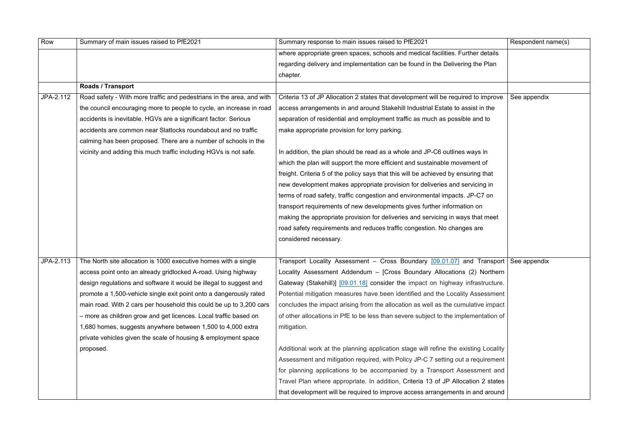| Row       | Summary of main issues raised to PfE2021                              | Summary response to main issues raised to PfE2021                                    | Respondent name(s) |
|-----------|-----------------------------------------------------------------------|--------------------------------------------------------------------------------------|--------------------|
|           |                                                                       | where appropriate green spaces, schools and medical facilities. Further details      |                    |
|           |                                                                       | regarding delivery and implementation can be found in the Delivering the Plan        |                    |
|           |                                                                       | chapter.                                                                             |                    |
|           | <b>Roads / Transport</b>                                              |                                                                                      |                    |
| JPA-2.112 | Road safety - With more traffic and pedestrians in the area, and with | Criteria 13 of JP Allocation 2 states that development will be required to improve   | See appendix       |
|           | the council encouraging more to people to cycle, an increase in road  | access arrangements in and around Stakehill Industrial Estate to assist in the       |                    |
|           | accidents is inevitable. HGVs are a significant factor. Serious       | separation of residential and employment traffic as much as possible and to          |                    |
|           | accidents are common near Slattocks roundabout and no traffic         | make appropriate provision for lorry parking.                                        |                    |
|           | calming has been proposed. There are a number of schools in the       |                                                                                      |                    |
|           | vicinity and adding this much traffic including HGVs is not safe.     | In addition, the plan should be read as a whole and JP-C6 outlines ways in           |                    |
|           |                                                                       | which the plan will support the more efficient and sustainable movement of           |                    |
|           |                                                                       | freight. Criteria 5 of the policy says that this will be achieved by ensuring that   |                    |
|           |                                                                       | new development makes appropriate provision for deliveries and servicing in          |                    |
|           |                                                                       | terms of road safety, traffic congestion and environmental impacts. JP-C7 on         |                    |
|           |                                                                       | transport requirements of new developments gives further information on              |                    |
|           |                                                                       | making the appropriate provision for deliveries and servicing in ways that meet      |                    |
|           |                                                                       | road safety requirements and reduces traffic congestion. No changes are              |                    |
|           |                                                                       | considered necessary.                                                                |                    |
|           |                                                                       |                                                                                      |                    |
| JPA-2.113 | The North site allocation is 1000 executive homes with a single       | Transport Locality Assessment – Cross Boundary [09.01.07] and Transport See appendix |                    |
|           | access point onto an already gridlocked A-road. Using highway         | Locality Assessment Addendum - [Cross Boundary Allocations (2) Northern              |                    |
|           | design regulations and software it would be illegal to suggest and    | Gateway (Stakehill)] [09.01.18] consider the impact on highway infrastructure.       |                    |
|           | promote a 1,500-vehicle single exit point onto a dangerously rated    | Potential mitigation measures have been identified and the Locality Assessment       |                    |
|           | main road. With 2 cars per household this could be up to 3,200 cars   | concludes the impact arising from the allocation as well as the cumulative impact    |                    |
|           | - more as children grow and get licences. Local traffic based on      | of other allocations in PfE to be less than severe subject to the implementation of  |                    |
|           | 1,680 homes, suggests anywhere between 1,500 to 4,000 extra           | mitigation.                                                                          |                    |
|           | private vehicles given the scale of housing & employment space        |                                                                                      |                    |
|           | proposed.                                                             | Additional work at the planning application stage will refine the existing Locality  |                    |
|           |                                                                       | Assessment and mitigation required, with Policy JP-C 7 setting out a requirement     |                    |
|           |                                                                       | for planning applications to be accompanied by a Transport Assessment and            |                    |
|           |                                                                       | Travel Plan where appropriate. In addition, Criteria 13 of JP Allocation 2 states    |                    |
|           |                                                                       | that development will be required to improve access arrangements in and around       |                    |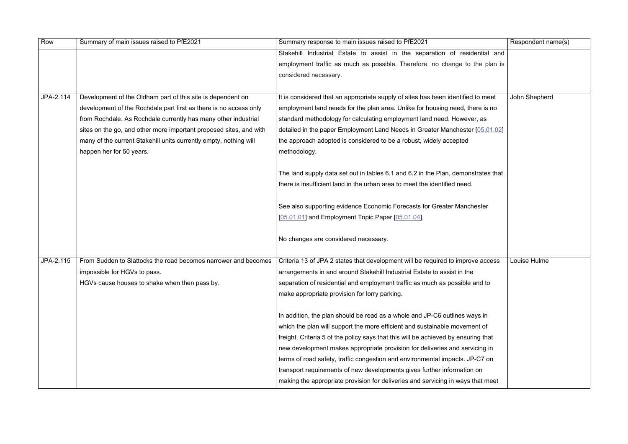| Row       | Summary of main issues raised to PfE2021                           | Summary response to main issues raised to PfE2021                                  | Respondent name(s) |
|-----------|--------------------------------------------------------------------|------------------------------------------------------------------------------------|--------------------|
|           |                                                                    | Stakehill Industrial Estate to assist in the separation of residential and         |                    |
|           |                                                                    | employment traffic as much as possible. Therefore, no change to the plan is        |                    |
|           |                                                                    | considered necessary.                                                              |                    |
|           |                                                                    |                                                                                    |                    |
| JPA-2.114 | Development of the Oldham part of this site is dependent on        | It is considered that an appropriate supply of sites has been identified to meet   | John Shepherd      |
|           | development of the Rochdale part first as there is no access only  | employment land needs for the plan area. Unlike for housing need, there is no      |                    |
|           | from Rochdale. As Rochdale currently has many other industrial     | standard methodology for calculating employment land need. However, as             |                    |
|           | sites on the go, and other more important proposed sites, and with | detailed in the paper Employment Land Needs in Greater Manchester [05.01.02]       |                    |
|           | many of the current Stakehill units currently empty, nothing will  | the approach adopted is considered to be a robust, widely accepted                 |                    |
|           | happen her for 50 years.                                           | methodology.                                                                       |                    |
|           |                                                                    |                                                                                    |                    |
|           |                                                                    | The land supply data set out in tables 6.1 and 6.2 in the Plan, demonstrates that  |                    |
|           |                                                                    | there is insufficient land in the urban area to meet the identified need.          |                    |
|           |                                                                    |                                                                                    |                    |
|           |                                                                    | See also supporting evidence Economic Forecasts for Greater Manchester             |                    |
|           |                                                                    | [05.01.01] and Employment Topic Paper [05.01.04].                                  |                    |
|           |                                                                    |                                                                                    |                    |
|           |                                                                    | No changes are considered necessary.                                               |                    |
|           |                                                                    |                                                                                    |                    |
| JPA-2.115 | From Sudden to Slattocks the road becomes narrower and becomes     | Criteria 13 of JPA 2 states that development will be required to improve access    | Louise Hulme       |
|           | impossible for HGVs to pass.                                       | arrangements in and around Stakehill Industrial Estate to assist in the            |                    |
|           | HGVs cause houses to shake when then pass by.                      | separation of residential and employment traffic as much as possible and to        |                    |
|           |                                                                    | make appropriate provision for lorry parking.                                      |                    |
|           |                                                                    |                                                                                    |                    |
|           |                                                                    | In addition, the plan should be read as a whole and JP-C6 outlines ways in         |                    |
|           |                                                                    | which the plan will support the more efficient and sustainable movement of         |                    |
|           |                                                                    | freight. Criteria 5 of the policy says that this will be achieved by ensuring that |                    |
|           |                                                                    | new development makes appropriate provision for deliveries and servicing in        |                    |
|           |                                                                    | terms of road safety, traffic congestion and environmental impacts. JP-C7 on       |                    |
|           |                                                                    | transport requirements of new developments gives further information on            |                    |
|           |                                                                    | making the appropriate provision for deliveries and servicing in ways that meet    |                    |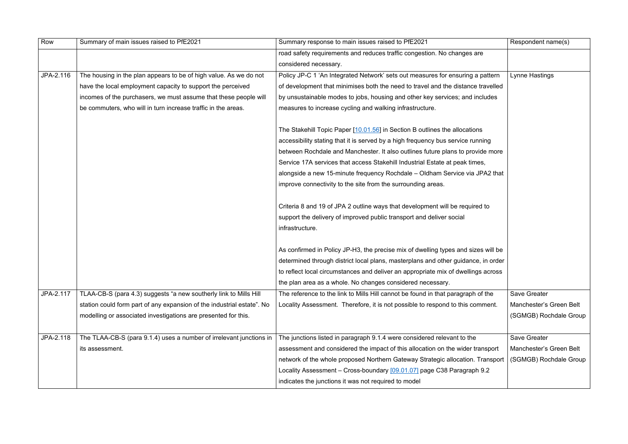| Row       | Summary of main issues raised to PfE2021                               | Summary response to main issues raised to PfE2021                                 | Respondent name(s)      |
|-----------|------------------------------------------------------------------------|-----------------------------------------------------------------------------------|-------------------------|
|           |                                                                        | road safety requirements and reduces traffic congestion. No changes are           |                         |
|           |                                                                        | considered necessary.                                                             |                         |
| JPA-2.116 | The housing in the plan appears to be of high value. As we do not      | Policy JP-C 1 'An Integrated Network' sets out measures for ensuring a pattern    | Lynne Hastings          |
|           | have the local employment capacity to support the perceived            | of development that minimises both the need to travel and the distance travelled  |                         |
|           | incomes of the purchasers, we must assume that these people will       | by unsustainable modes to jobs, housing and other key services; and includes      |                         |
|           | be commuters, who will in turn increase traffic in the areas.          | measures to increase cycling and walking infrastructure.                          |                         |
|           |                                                                        | The Stakehill Topic Paper [10.01.56] in Section B outlines the allocations        |                         |
|           |                                                                        | accessibility stating that it is served by a high frequency bus service running   |                         |
|           |                                                                        | between Rochdale and Manchester. It also outlines future plans to provide more    |                         |
|           |                                                                        | Service 17A services that access Stakehill Industrial Estate at peak times,       |                         |
|           |                                                                        | alongside a new 15-minute frequency Rochdale – Oldham Service via JPA2 that       |                         |
|           |                                                                        | improve connectivity to the site from the surrounding areas.                      |                         |
|           |                                                                        | Criteria 8 and 19 of JPA 2 outline ways that development will be required to      |                         |
|           |                                                                        | support the delivery of improved public transport and deliver social              |                         |
|           |                                                                        | infrastructure.                                                                   |                         |
|           |                                                                        | As confirmed in Policy JP-H3, the precise mix of dwelling types and sizes will be |                         |
|           |                                                                        | determined through district local plans, masterplans and other guidance, in order |                         |
|           |                                                                        | to reflect local circumstances and deliver an appropriate mix of dwellings across |                         |
|           |                                                                        | the plan area as a whole. No changes considered necessary.                        |                         |
| JPA-2.117 | TLAA-CB-S (para 4.3) suggests "a new southerly link to Mills Hill      | The reference to the link to Mills Hill cannot be found in that paragraph of the  | <b>Save Greater</b>     |
|           | station could form part of any expansion of the industrial estate". No | Locality Assessment. Therefore, it is not possible to respond to this comment.    | Manchester's Green Belt |
|           | modelling or associated investigations are presented for this.         |                                                                                   | (SGMGB) Rochdale Group  |
|           |                                                                        |                                                                                   |                         |
| JPA-2.118 | The TLAA-CB-S (para 9.1.4) uses a number of irrelevant junctions in    | The junctions listed in paragraph 9.1.4 were considered relevant to the           | <b>Save Greater</b>     |
|           | its assessment.                                                        | assessment and considered the impact of this allocation on the wider transport    | Manchester's Green Belt |
|           |                                                                        | network of the whole proposed Northern Gateway Strategic allocation. Transport    | (SGMGB) Rochdale Group  |
|           |                                                                        | Locality Assessment - Cross-boundary [09.01.07] page C38 Paragraph 9.2            |                         |
|           |                                                                        | indicates the junctions it was not required to model                              |                         |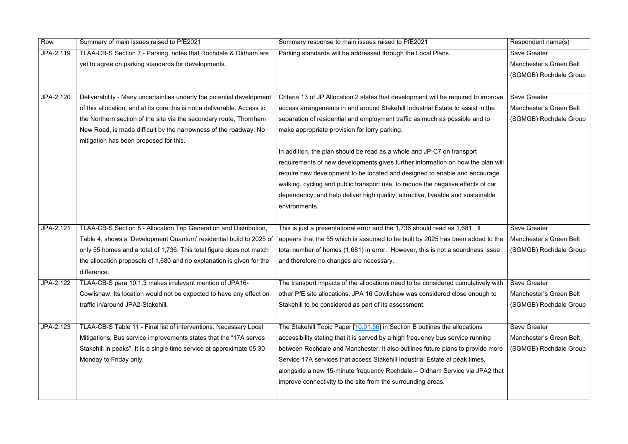| Row       | Summary of main issues raised to PfE2021                                 | Summary response to main issues raised to PfE2021                                  | Respondent name(s)      |
|-----------|--------------------------------------------------------------------------|------------------------------------------------------------------------------------|-------------------------|
| JPA-2.119 | TLAA-CB-S Section 7 - Parking, notes that Rochdale & Oldham are          | Parking standards will be addressed through the Local Plans.                       | <b>Save Greater</b>     |
|           | yet to agree on parking standards for developments.                      |                                                                                    | Manchester's Green Belt |
|           |                                                                          |                                                                                    | (SGMGB) Rochdale Group  |
|           |                                                                          |                                                                                    |                         |
| JPA-2.120 | Deliverability - Many uncertainties underly the potential development    | Criteria 13 of JP Allocation 2 states that development will be required to improve | <b>Save Greater</b>     |
|           | of this allocation, and at its core this is not a deliverable. Access to | access arrangements in and around Stakehill Industrial Estate to assist in the     | Manchester's Green Belt |
|           | the Northern section of the site via the secondary route, Thornham       | separation of residential and employment traffic as much as possible and to        | (SGMGB) Rochdale Group  |
|           | New Road, is made difficult by the narrowness of the roadway. No         | make appropriate provision for lorry parking.                                      |                         |
|           | mitigation has been proposed for this.                                   |                                                                                    |                         |
|           |                                                                          | In addition, the plan should be read as a whole and JP-C7 on transport             |                         |
|           |                                                                          | requirements of new developments gives further information on how the plan will    |                         |
|           |                                                                          | require new development to be located and designed to enable and encourage         |                         |
|           |                                                                          | walking, cycling and public transport use, to reduce the negative effects of car   |                         |
|           |                                                                          | dependency, and help deliver high quality, attractive, liveable and sustainable    |                         |
|           |                                                                          | environments.                                                                      |                         |
|           |                                                                          |                                                                                    |                         |
| JPA-2.121 | TLAA-CB-S Section 8 - Allocation Trip Generation and Distribution,       | This is just a presentational error and the 1,736 should read as 1,681. It         | <b>Save Greater</b>     |
|           | Table 4, shows a 'Development Quantum' residential build to 2025 of      | appears that the 55 which is assumed to be built by 2025 has been added to the     | Manchester's Green Belt |
|           | only 55 homes and a total of 1,736. This total figure does not match     | total number of homes (1,681) in error. However, this is not a soundness issue     | (SGMGB) Rochdale Group  |
|           | the allocation proposals of 1,680 and no explanation is given for the    | and therefore no changes are necessary.                                            |                         |
|           | difference.                                                              |                                                                                    |                         |
| JPA-2.122 | TLAA-CB-S para 10.1.3 makes irrelevant mention of JPA16-                 | The transport impacts of the allocations need to be considered cumulatively with   | <b>Save Greater</b>     |
|           | Cowlishaw. Its location would not be expected to have any effect on      | other PfE site allocations. JPA 16 Cowlishaw was considered close enough to        | Manchester's Green Belt |
|           | traffic in/around JPA2-Stakehill.                                        | Stakehill to be considered as part of its assessment.                              | (SGMGB) Rochdale Group  |
|           |                                                                          |                                                                                    |                         |
| JPA-2.123 | TLAA-CB-S Table 11 - Final list of interventions: Necessary Local        | The Stakehill Topic Paper [10.01.56] in Section B outlines the allocations         | <b>Save Greater</b>     |
|           | Mitigations; Bus service improvements states that the "17A serves        | accessibility stating that it is served by a high frequency bus service running    | Manchester's Green Belt |
|           | Stakehill in peaks". It is a single time service at approximate 05.30    | between Rochdale and Manchester. It also outlines future plans to provide more     | (SGMGB) Rochdale Group  |
|           | Monday to Friday only.                                                   | Service 17A services that access Stakehill Industrial Estate at peak times,        |                         |
|           |                                                                          | alongside a new 15-minute frequency Rochdale – Oldham Service via JPA2 that        |                         |
|           |                                                                          | improve connectivity to the site from the surrounding areas.                       |                         |
|           |                                                                          |                                                                                    |                         |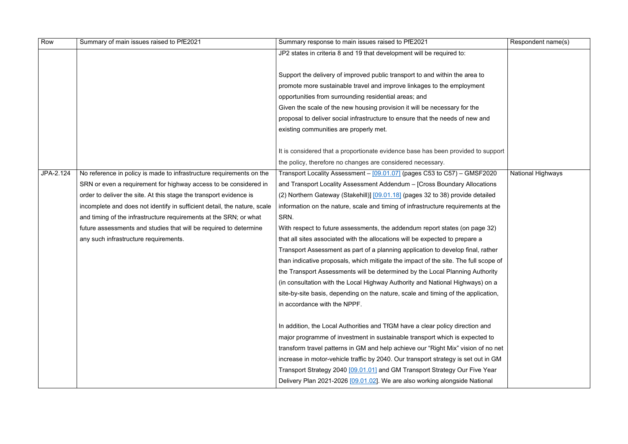| Row       | Summary of main issues raised to PfE2021                                 | Summary response to main issues raised to PfE2021                                   | Respondent name(s)       |
|-----------|--------------------------------------------------------------------------|-------------------------------------------------------------------------------------|--------------------------|
|           |                                                                          | JP2 states in criteria 8 and 19 that development will be required to:               |                          |
|           |                                                                          |                                                                                     |                          |
|           |                                                                          | Support the delivery of improved public transport to and within the area to         |                          |
|           |                                                                          | promote more sustainable travel and improve linkages to the employment              |                          |
|           |                                                                          | opportunities from surrounding residential areas; and                               |                          |
|           |                                                                          | Given the scale of the new housing provision it will be necessary for the           |                          |
|           |                                                                          | proposal to deliver social infrastructure to ensure that the needs of new and       |                          |
|           |                                                                          | existing communities are properly met.                                              |                          |
|           |                                                                          |                                                                                     |                          |
|           |                                                                          | It is considered that a proportionate evidence base has been provided to support    |                          |
|           |                                                                          | the policy, therefore no changes are considered necessary.                          |                          |
| JPA-2.124 | No reference in policy is made to infrastructure requirements on the     | Transport Locality Assessment - [09.01.07] (pages C53 to C57) - GMSF2020            | <b>National Highways</b> |
|           | SRN or even a requirement for highway access to be considered in         | and Transport Locality Assessment Addendum - [Cross Boundary Allocations            |                          |
|           | order to deliver the site. At this stage the transport evidence is       | (2) Northern Gateway (Stakehill)] [09.01.18] (pages 32 to 38) provide detailed      |                          |
|           | incomplete and does not identify in sufficient detail, the nature, scale | information on the nature, scale and timing of infrastructure requirements at the   |                          |
|           | and timing of the infrastructure requirements at the SRN; or what        | SRN.                                                                                |                          |
|           | future assessments and studies that will be required to determine        | With respect to future assessments, the addendum report states (on page 32)         |                          |
|           | any such infrastructure requirements.                                    | that all sites associated with the allocations will be expected to prepare a        |                          |
|           |                                                                          | Transport Assessment as part of a planning application to develop final, rather     |                          |
|           |                                                                          | than indicative proposals, which mitigate the impact of the site. The full scope of |                          |
|           |                                                                          | the Transport Assessments will be determined by the Local Planning Authority        |                          |
|           |                                                                          | (in consultation with the Local Highway Authority and National Highways) on a       |                          |
|           |                                                                          | site-by-site basis, depending on the nature, scale and timing of the application,   |                          |
|           |                                                                          | in accordance with the NPPF.                                                        |                          |
|           |                                                                          |                                                                                     |                          |
|           |                                                                          | In addition, the Local Authorities and TfGM have a clear policy direction and       |                          |
|           |                                                                          | major programme of investment in sustainable transport which is expected to         |                          |
|           |                                                                          | transform travel patterns in GM and help achieve our "Right Mix" vision of no net   |                          |
|           |                                                                          | increase in motor-vehicle traffic by 2040. Our transport strategy is set out in GM  |                          |
|           |                                                                          | Transport Strategy 2040 [09.01.01] and GM Transport Strategy Our Five Year          |                          |
|           |                                                                          | Delivery Plan 2021-2026 [09.01.02]. We are also working alongside National          |                          |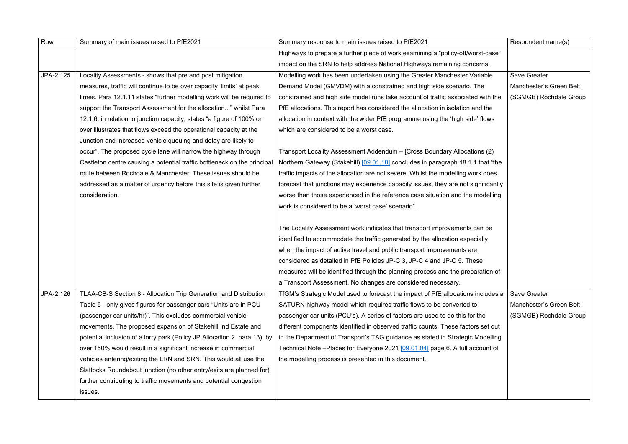| Row       | Summary of main issues raised to PfE2021                                  | Summary response to main issues raised to PfE2021                                  | Respondent name(s)      |
|-----------|---------------------------------------------------------------------------|------------------------------------------------------------------------------------|-------------------------|
|           |                                                                           | Highways to prepare a further piece of work examining a "policy-off/worst-case"    |                         |
|           |                                                                           | impact on the SRN to help address National Highways remaining concerns.            |                         |
| JPA-2.125 | Locality Assessments - shows that pre and post mitigation                 | Modelling work has been undertaken using the Greater Manchester Variable           | Save Greater            |
|           | measures, traffic will continue to be over capacity 'limits' at peak      | Demand Model (GMVDM) with a constrained and high side scenario. The                | Manchester's Green Belt |
|           | times. Para 12.1.11 states "further modelling work will be required to    | constrained and high side model runs take account of traffic associated with the   | (SGMGB) Rochdale Group  |
|           | support the Transport Assessment for the allocation" whilst Para          | PfE allocations. This report has considered the allocation in isolation and the    |                         |
|           | 12.1.6, in relation to junction capacity, states "a figure of 100% or     | allocation in context with the wider PfE programme using the 'high side' flows     |                         |
|           | over illustrates that flows exceed the operational capacity at the        | which are considered to be a worst case.                                           |                         |
|           | Junction and increased vehicle queuing and delay are likely to            |                                                                                    |                         |
|           | occur". The proposed cycle lane will narrow the highway through           | Transport Locality Assessment Addendum - [Cross Boundary Allocations (2)           |                         |
|           | Castleton centre causing a potential traffic bottleneck on the principal  | Northern Gateway (Stakehill) [09.01.18] concludes in paragraph 18.1.1 that "the    |                         |
|           | route between Rochdale & Manchester. These issues should be               | traffic impacts of the allocation are not severe. Whilst the modelling work does   |                         |
|           | addressed as a matter of urgency before this site is given further        | forecast that junctions may experience capacity issues, they are not significantly |                         |
|           | consideration.                                                            | worse than those experienced in the reference case situation and the modelling     |                         |
|           |                                                                           | work is considered to be a 'worst case' scenario".                                 |                         |
|           |                                                                           |                                                                                    |                         |
|           |                                                                           | The Locality Assessment work indicates that transport improvements can be          |                         |
|           |                                                                           | identified to accommodate the traffic generated by the allocation especially       |                         |
|           |                                                                           | when the impact of active travel and public transport improvements are             |                         |
|           |                                                                           | considered as detailed in PfE Policies JP-C 3, JP-C 4 and JP-C 5. These            |                         |
|           |                                                                           | measures will be identified through the planning process and the preparation of    |                         |
|           |                                                                           | a Transport Assessment. No changes are considered necessary.                       |                         |
| JPA-2.126 | TLAA-CB-S Section 8 - Allocation Trip Generation and Distribution         | TfGM's Strategic Model used to forecast the impact of PfE allocations includes a   | Save Greater            |
|           | Table 5 - only gives figures for passenger cars "Units are in PCU         | SATURN highway model which requires traffic flows to be converted to               | Manchester's Green Belt |
|           | (passenger car units/hr)". This excludes commercial vehicle               | passenger car units (PCU's). A series of factors are used to do this for the       | (SGMGB) Rochdale Group  |
|           | movements. The proposed expansion of Stakehill Ind Estate and             | different components identified in observed traffic counts. These factors set out  |                         |
|           | potential inclusion of a lorry park (Policy JP Allocation 2, para 13), by | in the Department of Transport's TAG guidance as stated in Strategic Modelling     |                         |
|           | over 150% would result in a significant increase in commercial            | Technical Note - Places for Everyone 2021 [09.01.04] page 6. A full account of     |                         |
|           | vehicles entering/exiting the LRN and SRN. This would all use the         | the modelling process is presented in this document.                               |                         |
|           | Slattocks Roundabout junction (no other entry/exits are planned for)      |                                                                                    |                         |
|           | further contributing to traffic movements and potential congestion        |                                                                                    |                         |
|           | issues.                                                                   |                                                                                    |                         |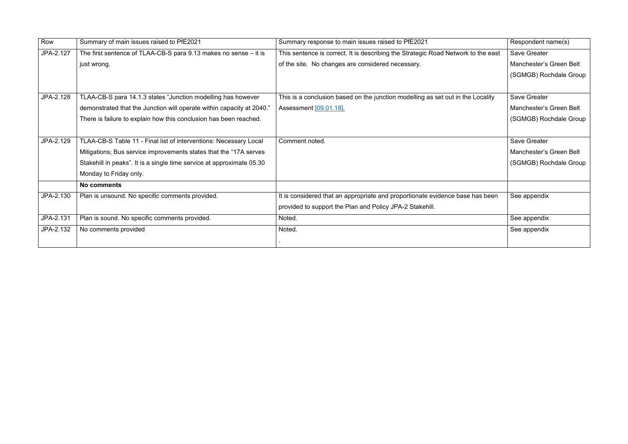| Row       | Summary of main issues raised to PfE2021                              | Summary response to main issues raised to PfE2021                                 | Respondent name(s)      |
|-----------|-----------------------------------------------------------------------|-----------------------------------------------------------------------------------|-------------------------|
| JPA-2.127 | The first sentence of TLAA-CB-S para 9.13 makes no sense - it is      | This sentence is correct. It is describing the Strategic Road Network to the east | Save Greater            |
|           | just wrong.                                                           | of the site. No changes are considered necessary.                                 | Manchester's Green Belt |
|           |                                                                       |                                                                                   | (SGMGB) Rochdale Group  |
|           |                                                                       |                                                                                   |                         |
| JPA-2.128 | TLAA-CB-S para 14.1.3 states "Junction modelling has however          | This is a conclusion based on the junction modelling as set out in the Locality   | <b>Save Greater</b>     |
|           | demonstrated that the Junction will operate within capacity at 2040." | Assessment [09.01.18].                                                            | Manchester's Green Belt |
|           | There is failure to explain how this conclusion has been reached.     |                                                                                   | (SGMGB) Rochdale Group  |
|           |                                                                       |                                                                                   |                         |
| JPA-2.129 | TLAA-CB-S Table 11 - Final list of interventions: Necessary Local     | Comment noted.                                                                    | <b>Save Greater</b>     |
|           | Mitigations; Bus service improvements states that the "17A serves"    |                                                                                   | Manchester's Green Belt |
|           | Stakehill in peaks". It is a single time service at approximate 05.30 |                                                                                   | (SGMGB) Rochdale Group  |
|           | Monday to Friday only.                                                |                                                                                   |                         |
|           | No comments                                                           |                                                                                   |                         |
| JPA-2.130 | Plan is unsound. No specific comments provided.                       | It is considered that an appropriate and proportionate evidence base has been     | See appendix            |
|           |                                                                       | provided to support the Plan and Policy JPA-2 Stakehill.                          |                         |
| JPA-2.131 | Plan is sound. No specific comments provided.                         | Noted.                                                                            | See appendix            |
| JPA-2.132 | No comments provided                                                  | Noted.                                                                            | See appendix            |
|           |                                                                       |                                                                                   |                         |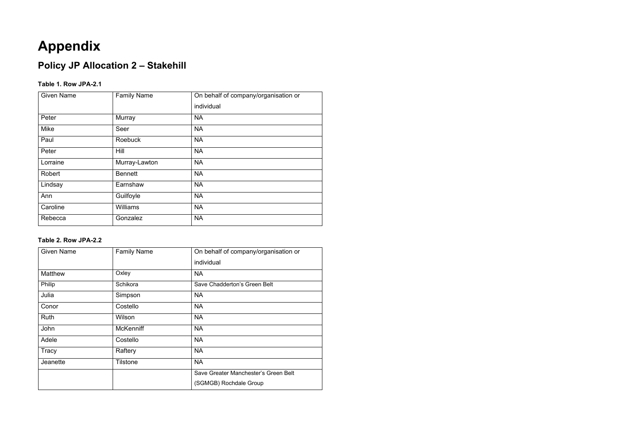### **Appendix**

### **Policy JP Allocation 2 – Stakehill**

#### **Table 1. Row JPA-2.1**

| <b>Given Name</b> | <b>Family Name</b> | On behalf of company/organisation or |
|-------------------|--------------------|--------------------------------------|
|                   |                    | individual                           |
| Peter             | Murray             | <b>NA</b>                            |
| Mike              | Seer               | <b>NA</b>                            |
| Paul              | <b>Roebuck</b>     | <b>NA</b>                            |
| Peter             | Hill               | <b>NA</b>                            |
| Lorraine          | Murray-Lawton      | <b>NA</b>                            |
| Robert            | <b>Bennett</b>     | <b>NA</b>                            |
| Lindsay           | Earnshaw           | <b>NA</b>                            |
| Ann               | Guilfoyle          | <b>NA</b>                            |
| Caroline          | Williams           | <b>NA</b>                            |
| Rebecca           | Gonzalez           | <b>NA</b>                            |

#### **Table 2. Row JPA-2.2**

| <b>Given Name</b> | <b>Family Name</b> | On behalf of company/organisation or |
|-------------------|--------------------|--------------------------------------|
|                   |                    | individual                           |
| <b>Matthew</b>    | Oxley              | <b>NA</b>                            |
| Philip            | Schikora           | Save Chadderton's Green Belt         |
| Julia             | Simpson            | <b>NA</b>                            |
| Conor             | Costello           | <b>NA</b>                            |
| <b>Ruth</b>       | Wilson             | <b>NA</b>                            |
| John              | <b>McKenniff</b>   | <b>NA</b>                            |
| Adele             | Costello           | <b>NA</b>                            |
| Tracy             | Raftery            | <b>NA</b>                            |
| Jeanette          | Tilstone           | <b>NA</b>                            |
|                   |                    | Save Greater Manchester's Green Belt |
|                   |                    | (SGMGB) Rochdale Group               |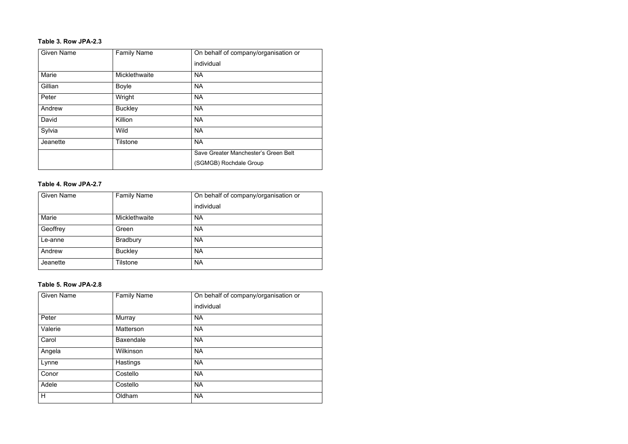#### **Table 3. Row JPA-2.3**

| <b>Given Name</b> | <b>Family Name</b> | On behalf of company/organisation or |
|-------------------|--------------------|--------------------------------------|
|                   |                    | individual                           |
| <b>Marie</b>      | Micklethwaite      | <b>NA</b>                            |
| Gillian           | <b>Boyle</b>       | <b>NA</b>                            |
| Peter             | Wright             | <b>NA</b>                            |
| Andrew            | <b>Buckley</b>     | <b>NA</b>                            |
| David             | Killion            | <b>NA</b>                            |
| Sylvia            | <b>Wild</b>        | <b>NA</b>                            |
| Jeanette          | <b>Tilstone</b>    | <b>NA</b>                            |
|                   |                    | Save Greater Manchester's Green Belt |
|                   |                    | (SGMGB) Rochdale Group               |

#### **Table 4. Row JPA-2.7**

| <b>Given Name</b> | <b>Family Name</b> | On behalf of company/organisation or |
|-------------------|--------------------|--------------------------------------|
|                   |                    | individual                           |
| Marie             | Micklethwaite      | <b>NA</b>                            |
| Geoffrey          | Green              | <b>NA</b>                            |
| Le-anne           | <b>Bradbury</b>    | <b>NA</b>                            |
| Andrew            | <b>Buckley</b>     | <b>NA</b>                            |
| Jeanette          | Tilstone           | <b>NA</b>                            |

#### **Table 5. Row JPA-2.8**

| <b>Given Name</b> | <b>Family Name</b> | On behalf of company/organisation or |
|-------------------|--------------------|--------------------------------------|
|                   |                    | individual                           |
| Peter             | Murray             | <b>NA</b>                            |
| Valerie           | <b>Matterson</b>   | <b>NA</b>                            |
| Carol             | <b>Baxendale</b>   | <b>NA</b>                            |
| Angela            | Wilkinson          | <b>NA</b>                            |
| Lynne             | Hastings           | <b>NA</b>                            |
| Conor             | Costello           | <b>NA</b>                            |
| Adele             | Costello           | <b>NA</b>                            |
| H                 | Oldham             | <b>NA</b>                            |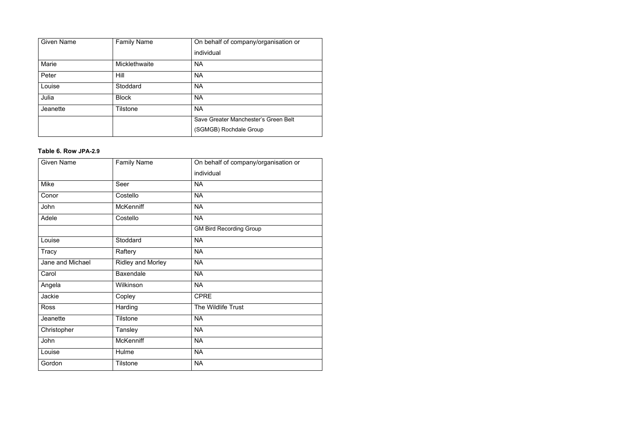| <b>Given Name</b> | <b>Family Name</b> | On behalf of company/organisation or |
|-------------------|--------------------|--------------------------------------|
|                   |                    | individual                           |
| Marie             | Micklethwaite      | <b>NA</b>                            |
| Peter             | <b>Hill</b>        | <b>NA</b>                            |
| Louise            | Stoddard           | <b>NA</b>                            |
| Julia             | <b>Block</b>       | <b>NA</b>                            |
| Jeanette          | <b>Tilstone</b>    | <b>NA</b>                            |
|                   |                    | Save Greater Manchester's Green Belt |
|                   |                    | (SGMGB) Rochdale Group               |

#### **Table 6. Row JPA-2.9**

| <b>Given Name</b> | <b>Family Name</b>       | On behalf of company/organisation or |
|-------------------|--------------------------|--------------------------------------|
|                   |                          | individual                           |
| <b>Mike</b>       | Seer                     | <b>NA</b>                            |
| Conor             | Costello                 | <b>NA</b>                            |
| John              | <b>McKenniff</b>         | <b>NA</b>                            |
| Adele             | Costello                 | <b>NA</b>                            |
|                   |                          | <b>GM Bird Recording Group</b>       |
| Louise            | Stoddard                 | <b>NA</b>                            |
| <b>Tracy</b>      | Raftery                  | <b>NA</b>                            |
| Jane and Michael  | <b>Ridley and Morley</b> | <b>NA</b>                            |
| Carol             | <b>Baxendale</b>         | <b>NA</b>                            |
| Angela            | Wilkinson                | <b>NA</b>                            |
| Jackie            | Copley                   | <b>CPRE</b>                          |
| <b>Ross</b>       | Harding                  | The Wildlife Trust                   |
| Jeanette          | <b>Tilstone</b>          | <b>NA</b>                            |
| Christopher       | <b>Tansley</b>           | <b>NA</b>                            |
| John              | <b>McKenniff</b>         | <b>NA</b>                            |
| Louise            | Hulme                    | <b>NA</b>                            |
| Gordon            | <b>Tilstone</b>          | <b>NA</b>                            |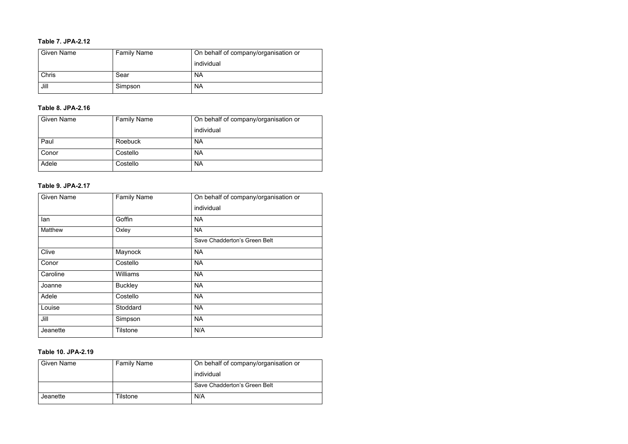#### **Table 7. JPA-2.12**

| <b>Given Name</b> | <b>Family Name</b> | On behalf of company/organisation or |
|-------------------|--------------------|--------------------------------------|
|                   |                    | individual                           |
| <b>Chris</b>      | Sear               | <b>NA</b>                            |
| Jill              | Simpson            | <b>NA</b>                            |

#### **Table 8. JPA-2.16**

| <b>Given Name</b> | <b>Family Name</b> | On behalf of company/organisation or |
|-------------------|--------------------|--------------------------------------|
|                   |                    | individual                           |
| Paul              | Roebuck            | <b>NA</b>                            |
| Conor             | Costello           | <b>NA</b>                            |
| Adele             | Costello           | <b>NA</b>                            |

#### **Table 9. JPA-2.17**

| <b>Given Name</b> | <b>Family Name</b> | On behalf of company/organisation or |
|-------------------|--------------------|--------------------------------------|
|                   |                    | individual                           |
| lan               | Goffin             | <b>NA</b>                            |
| Matthew           | Oxley              | <b>NA</b>                            |
|                   |                    | Save Chadderton's Green Belt         |
| Clive             | Maynock            | <b>NA</b>                            |
| Conor             | Costello           | <b>NA</b>                            |
| Caroline          | Williams           | <b>NA</b>                            |
| Joanne            | <b>Buckley</b>     | <b>NA</b>                            |
| Adele             | Costello           | <b>NA</b>                            |
| Louise            | Stoddard           | <b>NA</b>                            |
| Jill              | Simpson            | <b>NA</b>                            |
| Jeanette          | <b>Tilstone</b>    | N/A                                  |

#### **Table 10. JPA-2.19**

| <b>Given Name</b> | <b>Family Name</b> | On behalf of company/organisation or |
|-------------------|--------------------|--------------------------------------|
|                   |                    | individual                           |
|                   |                    | Save Chadderton's Green Belt         |
| Jeanette          | Tilstone           | N/A                                  |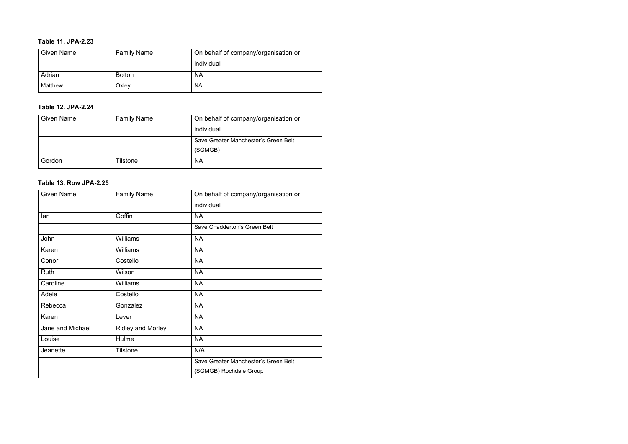#### **Table 11. JPA-2.23**

| <b>Given Name</b> | <b>Family Name</b> | On behalf of company/organisation or |
|-------------------|--------------------|--------------------------------------|
|                   |                    | individual                           |
| Adrian            | <b>Bolton</b>      | <b>NA</b>                            |
| Matthew           | Oxley              | <b>NA</b>                            |

#### **Table 12. JPA-2.24**

| <b>Given Name</b> | <b>Family Name</b> | On behalf of company/organisation or |
|-------------------|--------------------|--------------------------------------|
|                   |                    | individual                           |
|                   |                    | Save Greater Manchester's Green Belt |
|                   |                    | (SGMGB)                              |
| Gordon            | Tilstone           | <b>NA</b>                            |

#### **Table 13. Row JPA-2.25**

| <b>Given Name</b> | <b>Family Name</b>       | On behalf of company/organisation or |
|-------------------|--------------------------|--------------------------------------|
|                   |                          | individual                           |
| lan               | Goffin                   | <b>NA</b>                            |
|                   |                          | Save Chadderton's Green Belt         |
| John              | Williams                 | <b>NA</b>                            |
| Karen             | Williams                 | <b>NA</b>                            |
| Conor             | Costello                 | <b>NA</b>                            |
| Ruth              | Wilson                   | <b>NA</b>                            |
| Caroline          | <b>Williams</b>          | <b>NA</b>                            |
| Adele             | Costello                 | <b>NA</b>                            |
| Rebecca           | Gonzalez                 | <b>NA</b>                            |
| Karen             | Lever                    | <b>NA</b>                            |
| Jane and Michael  | <b>Ridley and Morley</b> | <b>NA</b>                            |
| Louise            | Hulme                    | <b>NA</b>                            |
| Jeanette          | Tilstone                 | N/A                                  |
|                   |                          | Save Greater Manchester's Green Belt |
|                   |                          | (SGMGB) Rochdale Group               |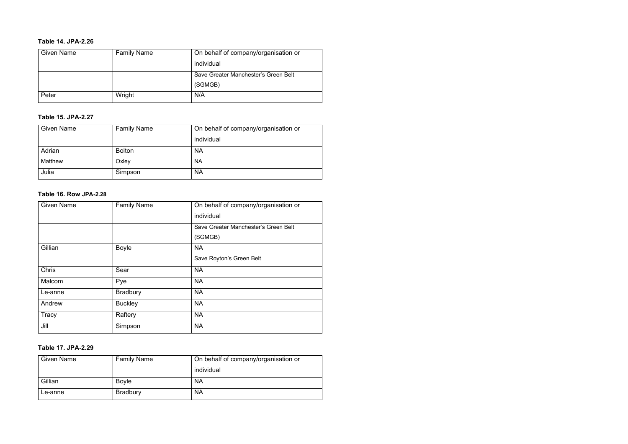#### **Table 14. JPA-2.26**

| <b>Given Name</b> | <b>Family Name</b> | On behalf of company/organisation or |
|-------------------|--------------------|--------------------------------------|
|                   |                    | individual                           |
|                   |                    | Save Greater Manchester's Green Belt |
|                   |                    | (SGMGB)                              |
| Peter             | Wright             | N/A                                  |

#### **Table 15. JPA-2.27**

| <b>Given Name</b> | <b>Family Name</b> | On behalf of company/organisation or |
|-------------------|--------------------|--------------------------------------|
|                   |                    | individual                           |
| Adrian            | <b>Bolton</b>      | <b>NA</b>                            |
| Matthew           | Oxley              | <b>NA</b>                            |
| Julia             | Simpson            | <b>NA</b>                            |

#### **Table 16. Row JPA-2.28**

| <b>Given Name</b> | <b>Family Name</b> | On behalf of company/organisation or |
|-------------------|--------------------|--------------------------------------|
|                   |                    | individual                           |
|                   |                    | Save Greater Manchester's Green Belt |
|                   |                    | (SGMGB)                              |
| Gillian           | <b>Boyle</b>       | <b>NA</b>                            |
|                   |                    | Save Royton's Green Belt             |
| <b>Chris</b>      | Sear               | <b>NA</b>                            |
| Malcom            | Pye                | <b>NA</b>                            |
| Le-anne           | <b>Bradbury</b>    | <b>NA</b>                            |
| Andrew            | <b>Buckley</b>     | <b>NA</b>                            |
| Tracy             | Raftery            | <b>NA</b>                            |
| Jill              | Simpson            | <b>NA</b>                            |

#### **Table 17. JPA-2.29**

| <b>Given Name</b> | <b>Family Name</b> | On behalf of company/organisation or |
|-------------------|--------------------|--------------------------------------|
|                   |                    | individual                           |
| Gillian           | <b>Boyle</b>       | <b>NA</b>                            |
| Le-anne           | <b>Bradbury</b>    | <b>NA</b>                            |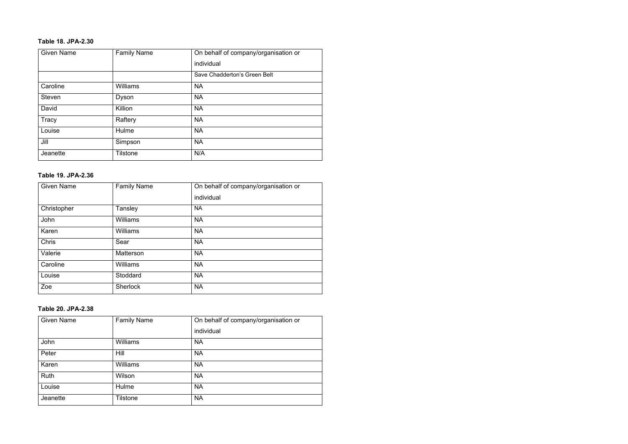#### **Table 18. JPA-2.30**

| <b>Given Name</b> | <b>Family Name</b> | On behalf of company/organisation or |
|-------------------|--------------------|--------------------------------------|
|                   |                    | individual                           |
|                   |                    | Save Chadderton's Green Belt         |
| Caroline          | Williams           | <b>NA</b>                            |
| <b>Steven</b>     | Dyson              | <b>NA</b>                            |
| David             | Killion            | <b>NA</b>                            |
| Tracy             | Raftery            | <b>NA</b>                            |
| Louise            | Hulme              | <b>NA</b>                            |
| Jill              | Simpson            | <b>NA</b>                            |
| Jeanette          | <b>Tilstone</b>    | N/A                                  |

#### **Table 19. JPA-2.36**

| <b>Given Name</b> | <b>Family Name</b> | On behalf of company/organisation or |
|-------------------|--------------------|--------------------------------------|
|                   |                    | individual                           |
| Christopher       | Tansley            | <b>NA</b>                            |
| John              | Williams           | <b>NA</b>                            |
| Karen             | Williams           | <b>NA</b>                            |
| <b>Chris</b>      | Sear               | <b>NA</b>                            |
| Valerie           | <b>Matterson</b>   | <b>NA</b>                            |
| Caroline          | Williams           | <b>NA</b>                            |
| Louise            | Stoddard           | <b>NA</b>                            |
| Zoe               | <b>Sherlock</b>    | <b>NA</b>                            |

#### **Table 20. JPA-2.38**

| <b>Given Name</b> | <b>Family Name</b> | On behalf of company/organisation or |
|-------------------|--------------------|--------------------------------------|
|                   |                    | individual                           |
| John              | <b>Williams</b>    | <b>NA</b>                            |
| Peter             | Hill               | <b>NA</b>                            |
| Karen             | <b>Williams</b>    | <b>NA</b>                            |
| Ruth              | Wilson             | <b>NA</b>                            |
| Louise            | Hulme              | <b>NA</b>                            |
| Jeanette          | <b>Tilstone</b>    | <b>NA</b>                            |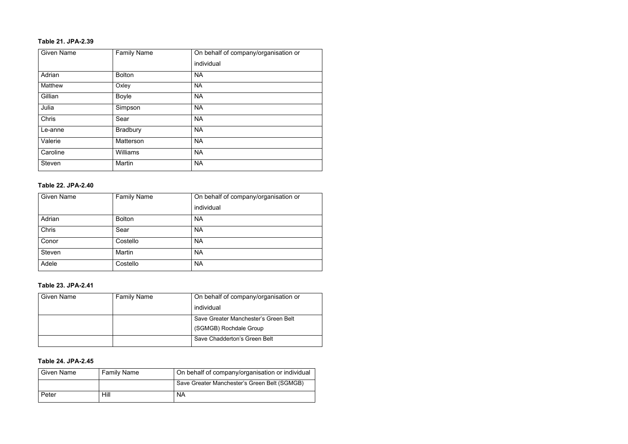#### **Table 21. JPA-2.39**

| <b>Given Name</b> | <b>Family Name</b> | On behalf of company/organisation or |
|-------------------|--------------------|--------------------------------------|
|                   |                    | individual                           |
| Adrian            | <b>Bolton</b>      | <b>NA</b>                            |
| Matthew           | Oxley              | <b>NA</b>                            |
| Gillian           | <b>Boyle</b>       | <b>NA</b>                            |
| Julia             | Simpson            | <b>NA</b>                            |
| Chris             | Sear               | <b>NA</b>                            |
| Le-anne           | <b>Bradbury</b>    | <b>NA</b>                            |
| Valerie           | Matterson          | <b>NA</b>                            |
| Caroline          | <b>Williams</b>    | <b>NA</b>                            |
| <b>Steven</b>     | Martin             | <b>NA</b>                            |

#### **Table 22. JPA-2.40**

| <b>Given Name</b> | <b>Family Name</b> | On behalf of company/organisation or |
|-------------------|--------------------|--------------------------------------|
|                   |                    | individual                           |
| Adrian            | <b>Bolton</b>      | <b>NA</b>                            |
| Chris             | Sear               | <b>NA</b>                            |
| Conor             | Costello           | <b>NA</b>                            |
| <b>Steven</b>     | Martin             | <b>NA</b>                            |
| Adele             | Costello           | <b>NA</b>                            |

#### **Table 23. JPA-2.41**

| <b>Given Name</b> | <b>Family Name</b> | On behalf of company/organisation or |
|-------------------|--------------------|--------------------------------------|
|                   |                    | individual                           |
|                   |                    | Save Greater Manchester's Green Belt |
|                   |                    | (SGMGB) Rochdale Group               |
|                   |                    | Save Chadderton's Green Belt         |

#### **Table 24. JPA-2.45**

| <b>Given Name</b> | <b>Family Name</b> | On behalf of company/organisation or individual |
|-------------------|--------------------|-------------------------------------------------|
|                   |                    | Save Greater Manchester's Green Belt (SGMGB)    |
| Peter             | Hill               | <b>NA</b>                                       |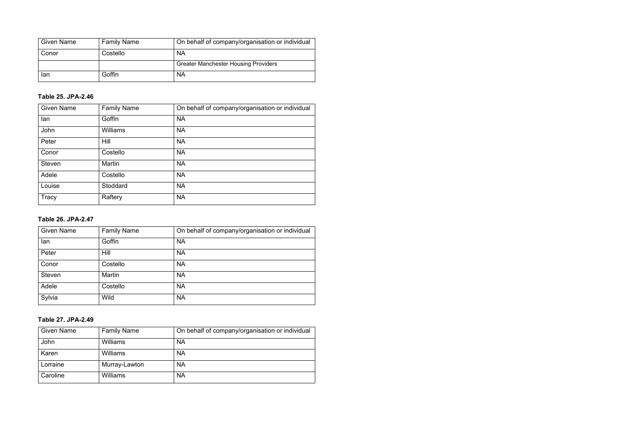| <b>Given Name</b> | <b>Family Name</b> | On behalf of company/organisation or individual |
|-------------------|--------------------|-------------------------------------------------|
| Conor             | Costello           | <b>NA</b>                                       |
|                   |                    | <b>Greater Manchester Housing Providers</b>     |
| lan               | Goffin             | <b>NA</b>                                       |

#### **Table 25. JPA-2.46**

| <b>Given Name</b> | <b>Family Name</b> | On behalf of company/organisation or individual |
|-------------------|--------------------|-------------------------------------------------|
| lan               | Goffin             | <b>NA</b>                                       |
| John              | <b>Williams</b>    | <b>NA</b>                                       |
| Peter             | Hill               | <b>NA</b>                                       |
| Conor             | Costello           | <b>NA</b>                                       |
| <b>Steven</b>     | Martin             | <b>NA</b>                                       |
| Adele             | Costello           | <b>NA</b>                                       |
| Louise            | Stoddard           | <b>NA</b>                                       |
| Tracy             | Raftery            | <b>NA</b>                                       |

#### **Table 26. JPA-2.47**

| <b>Given Name</b> | <b>Family Name</b> | On behalf of company/organisation or individual |
|-------------------|--------------------|-------------------------------------------------|
| lan               | Goffin             | <b>NA</b>                                       |
| Peter             | Hill               | <b>NA</b>                                       |
| Conor             | Costello           | <b>NA</b>                                       |
| <b>Steven</b>     | <b>Martin</b>      | <b>NA</b>                                       |
| Adele             | Costello           | <b>NA</b>                                       |
| Sylvia            | Wild               | <b>NA</b>                                       |

#### **Table 27. JPA-2.49**

| <b>Given Name</b> | <b>Family Name</b> | On behalf of company/organisation or individual |
|-------------------|--------------------|-------------------------------------------------|
| John              | Williams           | <b>NA</b>                                       |
| Karen             | <b>Williams</b>    | <b>NA</b>                                       |
| Lorraine          | Murray-Lawton      | <b>NA</b>                                       |
| Caroline          | <b>Williams</b>    | <b>NA</b>                                       |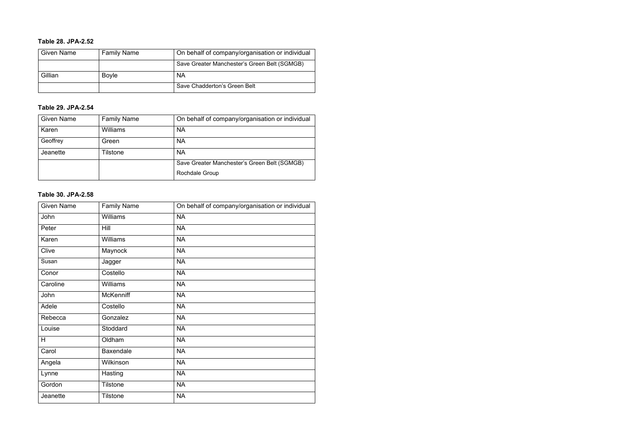#### **Table 28. JPA-2.52**

| <b>Given Name</b> | <b>Family Name</b> | On behalf of company/organisation or individual |
|-------------------|--------------------|-------------------------------------------------|
|                   |                    | Save Greater Manchester's Green Belt (SGMGB)    |
| Gillian           | <b>Boyle</b>       | <b>NA</b>                                       |
|                   |                    | Save Chadderton's Green Belt                    |

#### **Table 29. JPA-2.54**

| <b>Given Name</b> | <b>Family Name</b> | On behalf of company/organisation or individual |
|-------------------|--------------------|-------------------------------------------------|
| Karen             | Williams           | <b>NA</b>                                       |
| Geoffrey          | Green              | <b>NA</b>                                       |
| Jeanette          | Tilstone           | <b>NA</b>                                       |
|                   |                    | Save Greater Manchester's Green Belt (SGMGB)    |
|                   |                    | <b>Rochdale Group</b>                           |

#### **Table 30. JPA-2.58**

| <b>Given Name</b> | <b>Family Name</b> | On behalf of company/organisation or individual |
|-------------------|--------------------|-------------------------------------------------|
| John              | <b>Williams</b>    | <b>NA</b>                                       |
| Peter             | <b>Hill</b>        | <b>NA</b>                                       |
| Karen             | <b>Williams</b>    | <b>NA</b>                                       |
| Clive             | Maynock            | <b>NA</b>                                       |
| Susan             | Jagger             | <b>NA</b>                                       |
| Conor             | Costello           | <b>NA</b>                                       |
| Caroline          | <b>Williams</b>    | <b>NA</b>                                       |
| John              | <b>McKenniff</b>   | <b>NA</b>                                       |
| Adele             | Costello           | <b>NA</b>                                       |
| Rebecca           | Gonzalez           | <b>NA</b>                                       |
| Louise            | Stoddard           | <b>NA</b>                                       |
| H                 | Oldham             | <b>NA</b>                                       |
| Carol             | <b>Baxendale</b>   | <b>NA</b>                                       |
| Angela            | Wilkinson          | <b>NA</b>                                       |
| Lynne             | Hasting            | <b>NA</b>                                       |
| Gordon            | <b>Tilstone</b>    | <b>NA</b>                                       |
| Jeanette          | <b>Tilstone</b>    | <b>NA</b>                                       |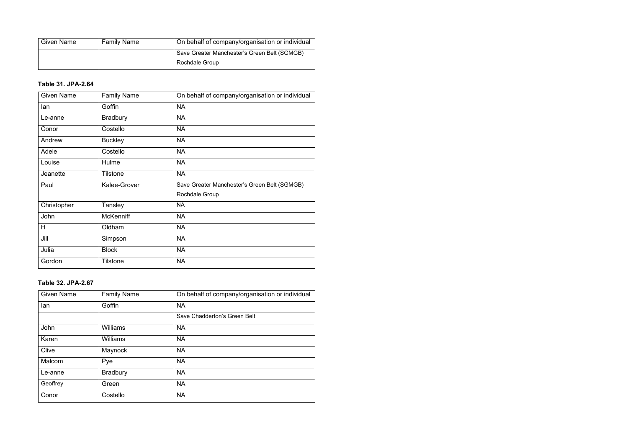| <b>Given Name</b> | <b>Family Name</b> | On behalf of company/organisation or individual |
|-------------------|--------------------|-------------------------------------------------|
|                   |                    | Save Greater Manchester's Green Belt (SGMGB)    |
|                   |                    | <b>Rochdale Group</b>                           |

#### **Table 31. JPA-2.64**

| <b>Given Name</b> | <b>Family Name</b> | On behalf of company/organisation or individual |
|-------------------|--------------------|-------------------------------------------------|
| lan               | Goffin             | <b>NA</b>                                       |
| Le-anne           | <b>Bradbury</b>    | <b>NA</b>                                       |
| Conor             | Costello           | <b>NA</b>                                       |
| Andrew            | <b>Buckley</b>     | <b>NA</b>                                       |
| Adele             | Costello           | <b>NA</b>                                       |
| Louise            | Hulme              | <b>NA</b>                                       |
| Jeanette          | <b>Tilstone</b>    | <b>NA</b>                                       |
| Paul              | Kalee-Grover       | Save Greater Manchester's Green Belt (SGMGB)    |
|                   |                    | Rochdale Group                                  |
| Christopher       | Tansley            | <b>NA</b>                                       |
| John              | <b>McKenniff</b>   | <b>NA</b>                                       |
| H                 | Oldham             | <b>NA</b>                                       |
| Jill              | Simpson            | <b>NA</b>                                       |
| Julia             | <b>Block</b>       | <b>NA</b>                                       |
| Gordon            | <b>Tilstone</b>    | <b>NA</b>                                       |

#### **Table 32. JPA-2.67**

| <b>Given Name</b> | <b>Family Name</b> | On behalf of company/organisation or individual |
|-------------------|--------------------|-------------------------------------------------|
| lan               | Goffin             | <b>NA</b>                                       |
|                   |                    | Save Chadderton's Green Belt                    |
| John              | Williams           | <b>NA</b>                                       |
| Karen             | Williams           | <b>NA</b>                                       |
| Clive             | Maynock            | <b>NA</b>                                       |
| Malcom            | Pye                | <b>NA</b>                                       |
| Le-anne           | <b>Bradbury</b>    | <b>NA</b>                                       |
| Geoffrey          | Green              | <b>NA</b>                                       |
| Conor             | Costello           | <b>NA</b>                                       |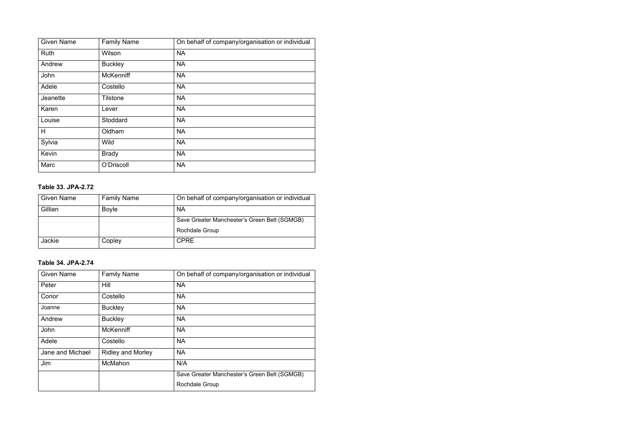| <b>Given Name</b> | <b>Family Name</b> | On behalf of company/organisation or individual |
|-------------------|--------------------|-------------------------------------------------|
| <b>Ruth</b>       | Wilson             | <b>NA</b>                                       |
| Andrew            | <b>Buckley</b>     | <b>NA</b>                                       |
| John              | <b>McKenniff</b>   | <b>NA</b>                                       |
| Adele             | Costello           | <b>NA</b>                                       |
| Jeanette          | <b>Tilstone</b>    | <b>NA</b>                                       |
| Karen             | Lever              | <b>NA</b>                                       |
| Louise            | Stoddard           | <b>NA</b>                                       |
| H                 | Oldham             | <b>NA</b>                                       |
| Sylvia            | <b>Wild</b>        | <b>NA</b>                                       |
| Kevin             | <b>Brady</b>       | <b>NA</b>                                       |
| Marc              | O'Driscoll         | <b>NA</b>                                       |

#### **Table 33. JPA-2.72**

| <b>Given Name</b> | <b>Family Name</b> | On behalf of company/organisation or individual |
|-------------------|--------------------|-------------------------------------------------|
| Gillian           | <b>Boyle</b>       | <b>NA</b>                                       |
|                   |                    | Save Greater Manchester's Green Belt (SGMGB)    |
|                   |                    | Rochdale Group                                  |
| Jackie            | Copley             | <b>CPRE</b>                                     |

#### **Table 34. JPA-2.74**

| <b>Given Name</b> | <b>Family Name</b>       | On behalf of company/organisation or individual |
|-------------------|--------------------------|-------------------------------------------------|
| Peter             | Hill                     | <b>NA</b>                                       |
| Conor             | Costello                 | <b>NA</b>                                       |
| Joanne            | <b>Buckley</b>           | <b>NA</b>                                       |
| Andrew            | <b>Buckley</b>           | <b>NA</b>                                       |
| John              | <b>McKenniff</b>         | <b>NA</b>                                       |
| Adele             | Costello                 | <b>NA</b>                                       |
| Jane and Michael  | <b>Ridley and Morley</b> | <b>NA</b>                                       |
| Jim               | McMahon                  | N/A                                             |
|                   |                          | Save Greater Manchester's Green Belt (SGMGB)    |
|                   |                          | <b>Rochdale Group</b>                           |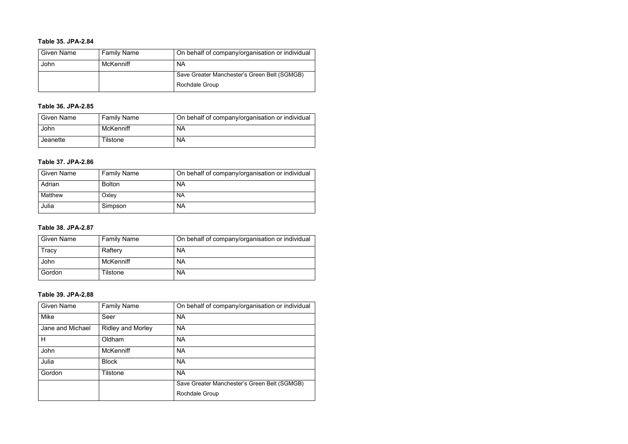#### **Table 35. JPA-2.84**

| <b>Given Name</b> | <b>Family Name</b> | On behalf of company/organisation or individual |
|-------------------|--------------------|-------------------------------------------------|
| John              | McKenniff          | <b>NA</b>                                       |
|                   |                    | Save Greater Manchester's Green Belt (SGMGB)    |
|                   |                    | <b>Rochdale Group</b>                           |

#### **Table 36. JPA-2.85**

| <b>Given Name</b> | <b>Family Name</b> | On behalf of company/organisation or individual |
|-------------------|--------------------|-------------------------------------------------|
| John              | McKenniff          | <b>NA</b>                                       |
| Jeanette          | Tilstone           | <b>NA</b>                                       |

#### **Table 37. JPA-2.86**

| <b>Given Name</b> | <b>Family Name</b> | On behalf of company/organisation or individual |
|-------------------|--------------------|-------------------------------------------------|
| Adrian            | <b>Bolton</b>      | <b>NA</b>                                       |
| Matthew           | Oxley              | <b>NA</b>                                       |
| Julia             | Simpson            | <b>NA</b>                                       |

#### **Table 38. JPA-2.87**

| <b>Given Name</b> | <b>Family Name</b> | On behalf of company/organisation or individual |
|-------------------|--------------------|-------------------------------------------------|
| Tracy             | Raftery            | <b>NA</b>                                       |
| John              | <b>McKenniff</b>   | <b>NA</b>                                       |
| Gordon            | Tilstone           | <b>NA</b>                                       |

#### **Table 39. JPA-2.88**

| <b>Given Name</b> | <b>Family Name</b>       | On behalf of company/organisation or individual |
|-------------------|--------------------------|-------------------------------------------------|
| Mike              | Seer                     | <b>NA</b>                                       |
| Jane and Michael  | <b>Ridley and Morley</b> | <b>NA</b>                                       |
| H                 | Oldham                   | <b>NA</b>                                       |
| John              | <b>McKenniff</b>         | <b>NA</b>                                       |
| Julia             | <b>Block</b>             | <b>NA</b>                                       |
| Gordon            | Tilstone                 | <b>NA</b>                                       |
|                   |                          | Save Greater Manchester's Green Belt (SGMGB)    |
|                   |                          | <b>Rochdale Group</b>                           |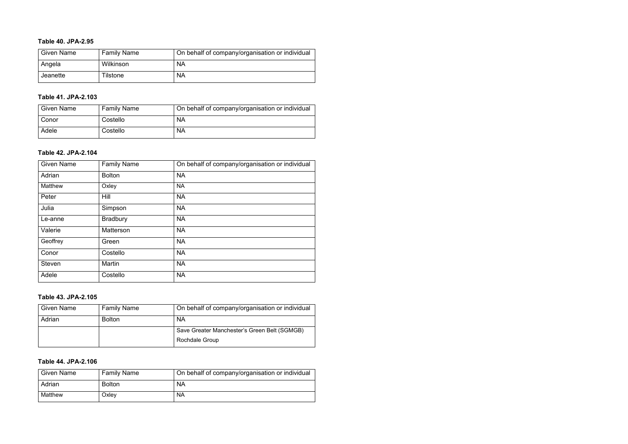#### **Table 40. JPA-2.95**

| Given Name | <b>Family Name</b> | On behalf of company/organisation or individual |
|------------|--------------------|-------------------------------------------------|
| Angela     | Wilkinson          | <b>NA</b>                                       |
| Jeanette   | Tilstone           | <b>NA</b>                                       |

#### **Table 41. JPA-2.103**

| <b>Given Name</b> | <b>Family Name</b> | On behalf of company/organisation or individual |
|-------------------|--------------------|-------------------------------------------------|
| Conor             | Costello           | <b>NA</b>                                       |
| Adele             | Costello           | <b>NA</b>                                       |

#### **Table 42. JPA-2.104**

| <b>Given Name</b> | <b>Family Name</b> | On behalf of company/organisation or individual |
|-------------------|--------------------|-------------------------------------------------|
| Adrian            | <b>Bolton</b>      | <b>NA</b>                                       |
| Matthew           | Oxley              | <b>NA</b>                                       |
| Peter             | Hill               | <b>NA</b>                                       |
| Julia             | Simpson            | <b>NA</b>                                       |
| Le-anne           | <b>Bradbury</b>    | <b>NA</b>                                       |
| Valerie           | <b>Matterson</b>   | <b>NA</b>                                       |
| Geoffrey          | Green              | <b>NA</b>                                       |
| Conor             | Costello           | <b>NA</b>                                       |
| <b>Steven</b>     | Martin             | <b>NA</b>                                       |
| Adele             | Costello           | <b>NA</b>                                       |

#### **Table 43. JPA-2.105**

| <b>Given Name</b> | <b>Family Name</b> | On behalf of company/organisation or individual |
|-------------------|--------------------|-------------------------------------------------|
| Adrian            | <b>Bolton</b>      | <b>NA</b>                                       |
|                   |                    | Save Greater Manchester's Green Belt (SGMGB)    |
|                   |                    | <b>Rochdale Group</b>                           |

#### **Table 44. JPA-2.106**

| <b>Given Name</b> | <b>Family Name</b> | On behalf of company/organisation or individual |
|-------------------|--------------------|-------------------------------------------------|
| Adrian            | <b>Bolton</b>      | <b>NA</b>                                       |
| Matthew           | Oxley              | <b>NA</b>                                       |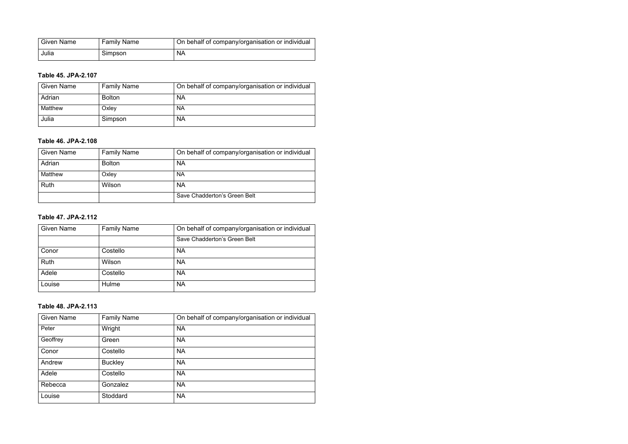| <b>Given Name</b> | <b>Family Name</b> | On behalf of company/organisation or individual |
|-------------------|--------------------|-------------------------------------------------|
| Julia             | Simpson            | <b>NA</b>                                       |

#### **Table 45. JPA-2.107**

| <b>Given Name</b> | <b>Family Name</b> | On behalf of company/organisation or individual |
|-------------------|--------------------|-------------------------------------------------|
| Adrian            | <b>Bolton</b>      | <b>NA</b>                                       |
| Matthew           | Oxley              | <b>NA</b>                                       |
| Julia             | Simpson            | <b>NA</b>                                       |

#### **Table 46. JPA-2.108**

| <b>Given Name</b> | <b>Family Name</b> | On behalf of company/organisation or individual |
|-------------------|--------------------|-------------------------------------------------|
| Adrian            | <b>Bolton</b>      | <b>NA</b>                                       |
| Matthew           | Oxley              | <b>NA</b>                                       |
| Ruth              | Wilson             | <b>NA</b>                                       |
|                   |                    | Save Chadderton's Green Belt                    |

#### **Table 47. JPA-2.112**

| <b>Given Name</b> | <b>Family Name</b> | On behalf of company/organisation or individual |
|-------------------|--------------------|-------------------------------------------------|
|                   |                    | Save Chadderton's Green Belt                    |
| Conor             | Costello           | <b>NA</b>                                       |
| Ruth              | Wilson             | <b>NA</b>                                       |
| Adele             | Costello           | <b>NA</b>                                       |
| Louise            | Hulme              | <b>NA</b>                                       |

#### **Table 48. JPA-2.113**

| <b>Given Name</b> | <b>Family Name</b> | On behalf of company/organisation or individual |
|-------------------|--------------------|-------------------------------------------------|
| Peter             | Wright             | <b>NA</b>                                       |
| Geoffrey          | Green              | <b>NA</b>                                       |
| Conor             | Costello           | <b>NA</b>                                       |
| Andrew            | <b>Buckley</b>     | <b>NA</b>                                       |
| Adele             | Costello           | <b>NA</b>                                       |
| Rebecca           | Gonzalez           | <b>NA</b>                                       |
| Louise            | Stoddard           | <b>NA</b>                                       |